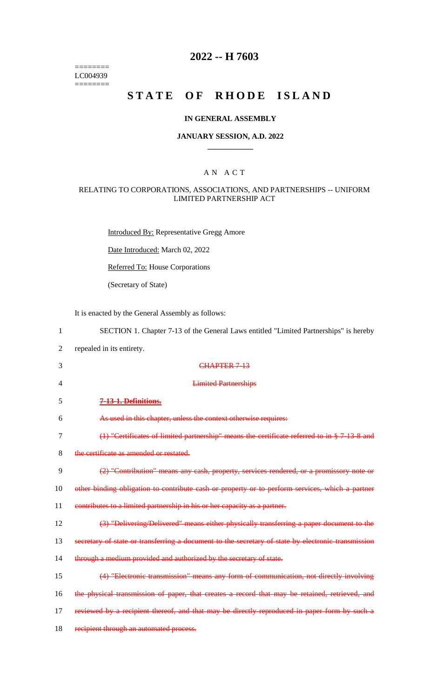======== LC004939  $=$ 

# **2022 -- H 7603**

# **STATE OF RHODE ISLAND**

#### **IN GENERAL ASSEMBLY**

#### **JANUARY SESSION, A.D. 2022 \_\_\_\_\_\_\_\_\_\_\_\_**

### A N A C T

#### RELATING TO CORPORATIONS, ASSOCIATIONS, AND PARTNERSHIPS -- UNIFORM LIMITED PARTNERSHIP ACT

Introduced By: Representative Gregg Amore

Date Introduced: March 02, 2022

Referred To: House Corporations

(Secretary of State)

It is enacted by the General Assembly as follows:

| 1              | SECTION 1. Chapter 7-13 of the General Laws entitled "Limited Partnerships" is hereby              |
|----------------|----------------------------------------------------------------------------------------------------|
| $\overline{2}$ | repealed in its entirety.                                                                          |
| 3              | CHAPTER 7-13                                                                                       |
| 4              | <b>Limited Partnerships</b>                                                                        |
| 5              | 7-13-1. Definitions.                                                                               |
| 6              | As used in this chapter, unless the context otherwise requires:                                    |
| 7              | (1) "Certificates of limited partnership" means the certificate referred to in § 7 13 8 and        |
| 8              | the certificate as amended or restated.                                                            |
| 9              | (2) "Contribution" means any cash, property, services rendered, or a promissory note or            |
| 10             | other binding obligation to contribute cash or property or to perform services, which a partner    |
| 11             | contributes to a limited partnership in his or her capacity as a partner.                          |
| 12             | (3) "Delivering/Delivered" means either physically transferring a paper document to the            |
| 13             | secretary of state or transferring a document to the secretary of state by electronic transmission |
| 14             | through a medium provided and authorized by the secretary of state.                                |
| 15             | (4) "Electronic transmission" means any form of communication, not directly involving              |
| 16             | the physical transmission of paper, that creates a record that may be retained, retrieved, and     |
| 17             | reviewed by a recipient thereof, and that may be directly reproduced in paper form by such a       |
| 18             | recipient through an automated process.                                                            |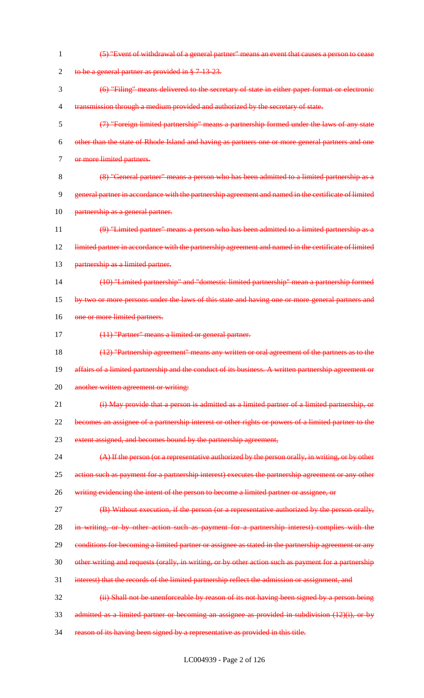1 (5) "Event of withdrawal of a general partner" means an event that causes a person to cease 2 to be a general partner as provided in § 7-13-23. 3 (6) "Filing" means delivered to the secretary of state in either paper format or electronic 4 transmission through a medium provided and authorized by the secretary of state. 5 (7) "Foreign limited partnership" means a partnership formed under the laws of any state 6 other than the state of Rhode Island and having as partners one or more general partners and one 7 or more limited partners. 8 (8) "General partner" means a person who has been admitted to a limited partnership as a 9 general partner in accordance with the partnership agreement and named in the certificate of limited 10 partnership as a general partner. 11 (9) "Limited partner" means a person who has been admitted to a limited partnership as a 12 limited partner in accordance with the partnership agreement and named in the certificate of limited 13 partnership as a limited partner. 14 (10) "Limited partnership" and "domestic limited partnership" mean a partnership formed 15 by two or more persons under the laws of this state and having one or more general partners and 16 one or more limited partners. 17 (11) "Partner" means a limited or general partner. 18 (12) "Partnership agreement" means any written or oral agreement of the partners as to the 19 affairs of a limited partnership and the conduct of its business. A written partnership agreement or 20 another written agreement or writing: 21 (i) May provide that a person is admitted as a limited partner of a limited partnership, or 22 becomes an assignee of a partnership interest or other rights or powers of a limited partner to the 23 extent assigned, and becomes bound by the partnership agreement, 24 (A) If the person (or a representative authorized by the person orally, in writing, or by other 25 action such as payment for a partnership interest) executes the partnership agreement or any other 26 writing evidencing the intent of the person to become a limited partner or assignee, or 27 **(B)** Without execution, if the person (or a representative authorized by the person orally, 28 in writing, or by other action such as payment for a partnership interest) complies with the 29 conditions for becoming a limited partner or assignee as stated in the partnership agreement or any 30 other writing and requests (orally, in writing, or by other action such as payment for a partnership 31 interest) that the records of the limited partnership reflect the admission or assignment, and 32 (ii) Shall not be unenforceable by reason of its not having been signed by a person being 33 admitted as a limited partner or becoming an assignee as provided in subdivision (12)(i), or by 34 reason of its having been signed by a representative as provided in this title.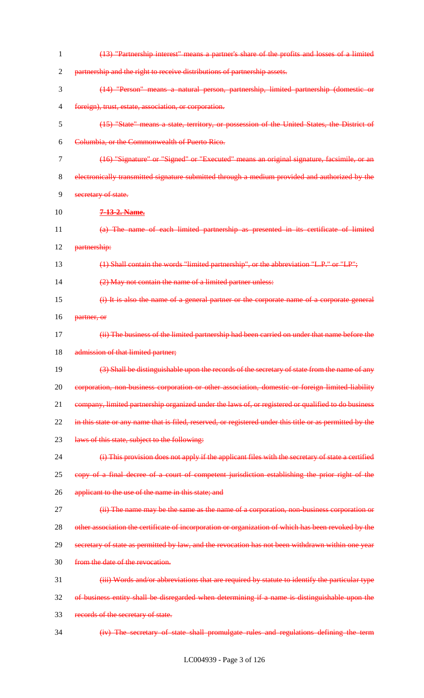| 1  | (13) "Partnership interest" means a partner's share of the profits and losses of a limited               |
|----|----------------------------------------------------------------------------------------------------------|
| 2  | partnership and the right to receive distributions of partnership assets.                                |
| 3  | (14) "Person" means a natural person, partnership, limited partnership (domestic or                      |
| 4  | foreign), trust, estate, association, or corporation.                                                    |
| 5  | (15) "State" means a state, territory, or possession of the United States, the District of               |
| 6  | Columbia, or the Commonwealth of Puerto Rico.                                                            |
| 7  | (16) "Signature" or "Signed" or "Executed" means an original signature, facsimile, or an                 |
| 8  | electronically transmitted signature submitted through a medium provided and authorized by the           |
| 9  | secretary of state.                                                                                      |
| 10 | 7-13-2. Name.                                                                                            |
| 11 | (a) The name of each limited partnership as presented in its certificate of limited                      |
| 12 | partnership:                                                                                             |
| 13 | (1) Shall contain the words "limited partnership", or the abbreviation "L.P." or "LP";                   |
| 14 | (2) May not contain the name of a limited partner unless:                                                |
| 15 | (i) It is also the name of a general partner or the corporate name of a corporate general                |
| 16 | partner, or                                                                                              |
| 17 | (ii) The business of the limited partnership had been carried on under that name before the              |
| 18 | admission of that limited partner;                                                                       |
| 19 | (3) Shall be distinguishable upon the records of the secretary of state from the name of any             |
| 20 | corporation, non-business corporation or other association, domestic or foreign limited liability        |
| 21 | company, limited partnership organized under the laws of, or registered or qualified to do business      |
| 22 | in this state or any name that is filed, reserved, or registered under this title or as permitted by the |
| 23 | laws of this state, subject to the following:                                                            |
| 24 | (i) This provision does not apply if the applicant files with the secretary of state a certified         |
| 25 | copy of a final decree of a court of competent jurisdiction establishing the prior right of the          |
| 26 | applicant to the use of the name in this state; and                                                      |
| 27 | (ii) The name may be the same as the name of a corporation, non-business corporation or                  |
| 28 | other association the certificate of incorporation or organization of which has been revoked by the      |
| 29 | secretary of state as permitted by law, and the revocation has not been withdrawn within one year        |
| 30 | from the date of the revocation.                                                                         |
| 31 | (iii) Words and/or abbreviations that are required by statute to identify the particular type            |
| 32 | of business entity shall be disregarded when determining if a name is distinguishable upon the           |
| 33 | records of the secretary of state.                                                                       |
| 34 | (iv) The secretary of state shall promulgate rules and regulations defining the term                     |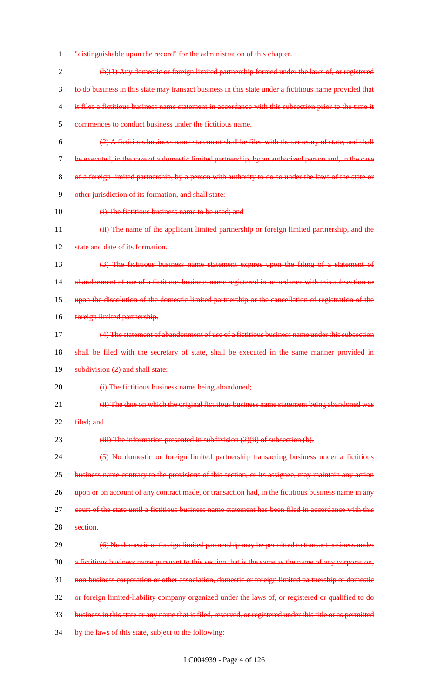1 "distinguishable upon the record" for the administration of this chapter.

| $\overline{2}$ | (b)(1) Any domestic or foreign limited partnership formed under the laws of, or registered                 |
|----------------|------------------------------------------------------------------------------------------------------------|
| 3              | to do business in this state may transact business in this state under a fictitious name provided that     |
| $\overline{4}$ | it files a fictitious business name statement in accordance with this subsection prior to the time it      |
| 5              | commences to conduct business under the fictitious name.                                                   |
| 6              | (2) A fictitious business name statement shall be filed with the secretary of state, and shall             |
| 7              | be executed, in the case of a domestic limited partnership, by an authorized person and, in the case       |
| 8              | of a foreign limited partnership, by a person with authority to do so under the laws of the state or       |
| 9              | other jurisdiction of its formation, and shall state:                                                      |
| 10             | (i) The fictitious business name to be used; and                                                           |
| 11             | (ii) The name of the applicant limited partnership or foreign limited partnership, and the                 |
| 12             | state and date of its formation.                                                                           |
| 13             | (3) The fictitious business name statement expires upon the filing of a statement of                       |
| 14             | abandonment of use of a fictitious business name registered in accordance with this subsection or          |
| 15             | upon the dissolution of the domestic limited partnership or the cancellation of registration of the        |
| 16             | foreign limited partnership.                                                                               |
| 17             | (4) The statement of abandonment of use of a fictitious business name under this subsection                |
| 18             | shall be filed with the secretary of state, shall be executed in the same manner provided in               |
| 19             | subdivision (2) and shall state:                                                                           |
| 20             | (i) The fictitious business name being abandoned;                                                          |
| 21             | (ii) The date on which the original fictitious business name statement being abandoned was                 |
| 22             | filed; and                                                                                                 |
| 23             | $(iii)$ The information presented in subdivision $(2)(ii)$ of subsection $(b)$ .                           |
| 24             | (5) No domestic or foreign limited partnership transacting business under a fictitious                     |
| 25             | business name contrary to the provisions of this section, or its assignee, may maintain any action         |
| 26             | upon or on account of any contract made, or transaction had, in the fictitious business name in any        |
| 27             | court of the state until a fictitious business name statement has been filed in accordance with this       |
| 28             | section.                                                                                                   |
| 29             | (6) No domestic or foreign limited partnership may be permitted to transact business under                 |
| 30             | a fictitious business name pursuant to this section that is the same as the name of any corporation,       |
| 31             | non-business corporation or other association, domestic or foreign limited partnership or domestic         |
| 32             | or foreign limited liability company organized under the laws of, or registered or qualified to do         |
| 33             | business in this state or any name that is filed, reserved, or registered under this title or as permitted |
| 34             | by the laws of this state, subject to the following:                                                       |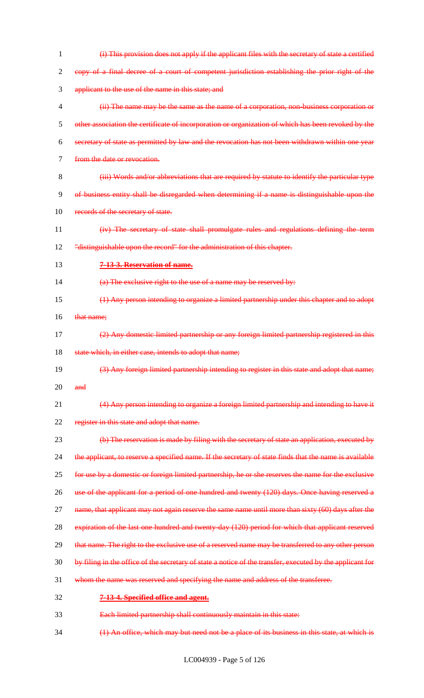| 1              | (i) This provision does not apply if the applicant files with the secretary of state a certified          |
|----------------|-----------------------------------------------------------------------------------------------------------|
| $\overline{2}$ | copy of a final decree of a court of competent jurisdiction establishing the prior right of the           |
| 3              | applicant to the use of the name in this state; and                                                       |
| 4              | (ii) The name may be the same as the name of a corporation, non-business corporation or                   |
| 5              | other association the certificate of incorporation or organization of which has been revoked by the       |
| 6              | secretary of state as permitted by law and the revocation has not been withdrawn within one year          |
| 7              | from the date or revocation.                                                                              |
| 8              | (iii) Words and/or abbreviations that are required by statute to identify the particular type             |
| 9              | of business entity shall be disregarded when determining if a name is distinguishable upon the            |
| 10             | records of the secretary of state.                                                                        |
| 11             | (iv) The secretary of state shall promulgate rules and regulations defining the term                      |
| 12             | "distinguishable upon the record" for the administration of this chapter.                                 |
| 13             | 7-13-3. Reservation of name.                                                                              |
| 14             | (a) The exclusive right to the use of a name may be reserved by:                                          |
| 15             | (1) Any person intending to organize a limited partnership under this chapter and to adopt                |
| 16             | that name;                                                                                                |
| 17             | (2) Any domestic limited partnership or any foreign limited partnership registered in this                |
| 18             | state which, in either case, intends to adopt that name;                                                  |
| 19             | (3) Any foreign limited partnership intending to register in this state and adopt that name;              |
| 20             | and                                                                                                       |
| 21             | (4) Any person intending to organize a foreign limited partnership and intending to have it               |
| 22             | register in this state and adopt that name.                                                               |
| 23             | (b) The reservation is made by filing with the secretary of state an application, executed by             |
| 24             | the applicant, to reserve a specified name. If the secretary of state finds that the name is available    |
| 25             | for use by a domestic or foreign limited partnership, he or she reserves the name for the exclusive       |
| 26             | use of the applicant for a period of one hundred and twenty (120) days. Once having reserved a            |
| 27             | name, that applicant may not again reserve the same name until more than sixty (60) days after the        |
| 28             | expiration of the last one hundred and twenty day (120) period for which that applicant reserved          |
| 29             | that name. The right to the exclusive use of a reserved name may be transferred to any other person       |
| 30             | by filing in the office of the secretary of state a notice of the transfer, executed by the applicant for |
| 31             | whom the name was reserved and specifying the name and address of the transferee.                         |
| 32             | 7-13-4. Specified office and agent.                                                                       |
| 33             | Each limited partnership shall continuously maintain in this state:                                       |
| 34             | (1) An office, which may but need not be a place of its business in this state, at which is               |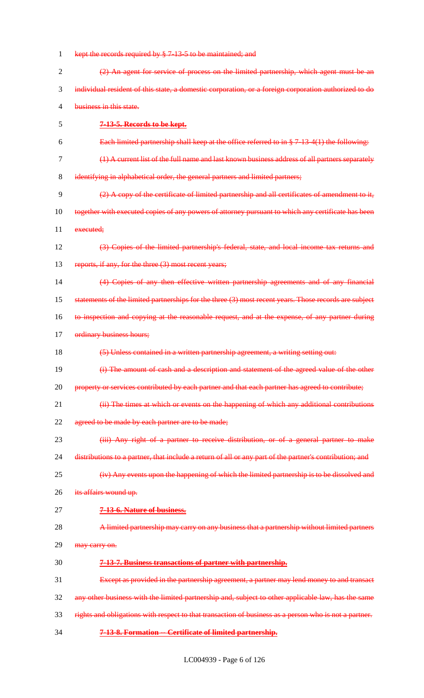1 kept the records required by § 7-13-5 to be maintained; and 2 (2) An agent for service of process on the limited partnership, which agent must be an 3 individual resident of this state, a domestic corporation, or a foreign corporation authorized to do 4 business in this state. 5 **7-13-5. Records to be kept.** 6 Each limited partnership shall keep at the office referred to in § 7-13-4(1) the following: 7 (1) A current list of the full name and last known business address of all partners separately 8 identifying in alphabetical order, the general partners and limited partners; 9 (2) A copy of the certificate of limited partnership and all certificates of amendment to it, 10 together with executed copies of any powers of attorney pursuant to which any certificate has been 11 executed; 12 (3) Copies of the limited partnership's federal, state, and local income tax returns and 13 reports, if any, for the three (3) most recent years; 14 (4) Copies of any then effective written partnership agreements and of any financial 15 statements of the limited partnerships for the three (3) most recent years. Those records are subject 16 to inspection and copying at the reasonable request, and at the expense, of any partner during 17 ordinary business hours; 18 (5) Unless contained in a written partnership agreement, a writing setting out: 19 (i) The amount of cash and a description and statement of the agreed value of the other 20 property or services contributed by each partner and that each partner has agreed to contribute; 21 (ii) The times at which or events on the happening of which any additional contributions 22 agreed to be made by each partner are to be made; 23 **(iii) Any right of a partner to receive distribution, or of a general partner to make** 24 distributions to a partner, that include a return of all or any part of the partner's contribution; and 25 (iv) Any events upon the happening of which the limited partnership is to be dissolved and 26 its affairs wound up. 27 **7-13-6. Nature of business.** 28 A limited partnership may carry on any business that a partnership without limited partners 29 may carry on. 30 **7-13-7. Business transactions of partner with partnership.** 31 Except as provided in the partnership agreement, a partner may lend money to and transact 32 any other business with the limited partnership and, subject to other applicable law, has the same 33 rights and obligations with respect to that transaction of business as a person who is not a partner. 34 **7-13-8. Formation -- Certificate of limited partnership.**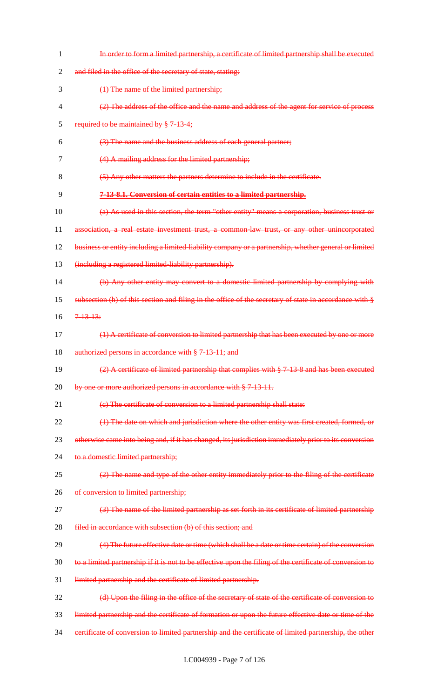| 1  | In order to form a limited partnership, a certificate of limited partnership shall be executed            |
|----|-----------------------------------------------------------------------------------------------------------|
| 2  | and filed in the office of the secretary of state, stating:                                               |
| 3  | (1) The name of the limited partnership;                                                                  |
| 4  | (2) The address of the office and the name and address of the agent for service of process                |
| 5  | required to be maintained by $§$ 7-13-4;                                                                  |
| 6  | (3) The name and the business address of each general partner;                                            |
| 7  | (4) A mailing address for the limited partnership;                                                        |
| 8  | (5) Any other matters the partners determine to include in the certificate.                               |
| 9  | 7-13-8.1. Conversion of certain entities to a limited partnership.                                        |
| 10 | (a) As used in this section, the term "other entity" means a corporation, business trust or               |
| 11 | association, a real estate investment trust, a common law trust, or any other unincorporated              |
| 12 | business or entity including a limited-liability company or a partnership, whether general or limited     |
| 13 | (including a registered limited liability partnership).                                                   |
| 14 | (b) Any other entity may convert to a domestic limited partnership by complying with                      |
| 15 | subsection (h) of this section and filing in the office of the secretary of state in accordance with §    |
| 16 | $7 - 13 - 13$                                                                                             |
| 17 | (1) A certificate of conversion to limited partnership that has been executed by one or more              |
| 18 | authorized persons in accordance with § 7-13-11; and                                                      |
| 19 | (2) A certificate of limited partnership that complies with § 7-13-8 and has been executed                |
| 20 | by one or more authorized persons in accordance with $\S$ 7-13-11.                                        |
| 21 | (e) The certificate of conversion to a limited partnership shall state:                                   |
| 22 | (1) The date on which and jurisdiction where the other entity was first created, formed, or               |
| 23 | otherwise came into being and, if it has changed, its jurisdiction immediately prior to its conversion    |
| 24 | to a domestic limited partnership;                                                                        |
| 25 | (2) The name and type of the other entity immediately prior to the filing of the certificate              |
| 26 | of conversion to limited partnership;                                                                     |
| 27 | (3) The name of the limited partnership as set forth in its certificate of limited partnership            |
| 28 | filed in accordance with subsection (b) of this section; and                                              |
| 29 | (4) The future effective date or time (which shall be a date or time certain) of the conversion           |
| 30 | to a limited partnership if it is not to be effective upon the filing of the certificate of conversion to |
| 31 | limited partnership and the certificate of limited partnership.                                           |
| 32 | (d) Upon the filing in the office of the secretary of state of the certificate of conversion to           |
| 33 | limited partnership and the certificate of formation or upon the future effective date or time of the     |
| 34 | certificate of conversion to limited partnership and the certificate of limited partnership, the other    |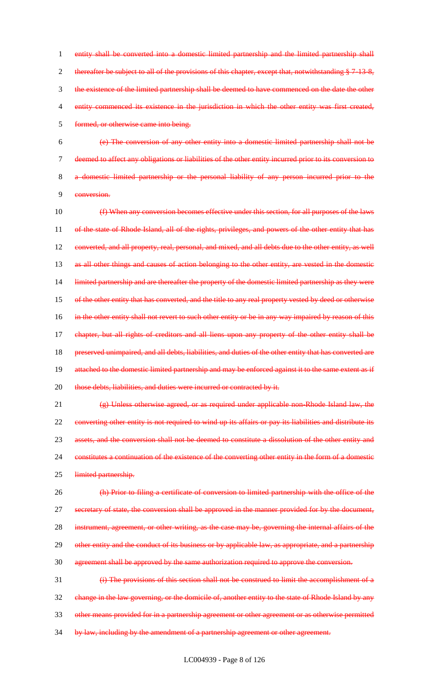entity shall be converted into a domestic limited partnership and the limited partnership shall 2 thereafter be subject to all of the provisions of this chapter, except that, notwithstanding § 7-13-8, the existence of the limited partnership shall be deemed to have commenced on the date the other entity commenced its existence in the jurisdiction in which the other entity was first created, formed, or otherwise came into being.

 (e) The conversion of any other entity into a domestic limited partnership shall not be deemed to affect any obligations or liabilities of the other entity incurred prior to its conversion to 8 a domestic limited partnership or the personal liability of any person incurred prior to the conversion.

10 (f) When any conversion becomes effective under this section, for all purposes of the laws 11 of the state of Rhode Island, all of the rights, privileges, and powers of the other entity that has 12 converted, and all property, real, personal, and mixed, and all debts due to the other entity, as well 13 as all other things and causes of action belonging to the other entity, are vested in the domestic 14 limited partnership and are thereafter the property of the domestic limited partnership as they were 15 of the other entity that has converted, and the title to any real property vested by deed or otherwise 16 in the other entity shall not revert to such other entity or be in any way impaired by reason of this 17 chapter, but all rights of creditors and all liens upon any property of the other entity shall be 18 preserved unimpaired, and all debts, liabilities, and duties of the other entity that has converted are 19 attached to the domestic limited partnership and may be enforced against it to the same extent as if 20 those debts, liabilities, and duties were incurred or contracted by it.

21 (g) Unless otherwise agreed, or as required under applicable non-Rhode Island law, the 22 converting other entity is not required to wind up its affairs or pay its liabilities and distribute its 23 assets, and the conversion shall not be deemed to constitute a dissolution of the other entity and 24 constitutes a continuation of the existence of the converting other entity in the form of a domestic 25 limited partnership.

26 (h) Prior to filing a certificate of conversion to limited partnership with the office of the 27 secretary of state, the conversion shall be approved in the manner provided for by the document, 28 instrument, agreement, or other writing, as the case may be, governing the internal affairs of the 29 other entity and the conduct of its business or by applicable law, as appropriate, and a partnership 30 agreement shall be approved by the same authorization required to approve the conversion.

 (i) The provisions of this section shall not be construed to limit the accomplishment of a change in the law governing, or the domicile of, another entity to the state of Rhode Island by any other means provided for in a partnership agreement or other agreement or as otherwise permitted 34 by law, including by the amendment of a partnership agreement or other agreement.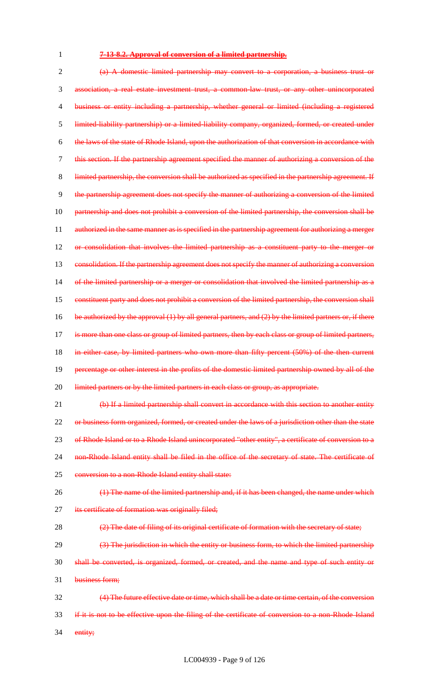## 1 **7-13-8.2. Approval of conversion of a limited partnership.**

2 (a) A domestic limited partnership may convert to a corporation, a business trust or 3 association, a real estate investment trust, a common-law trust, or any other unincorporated 4 business or entity including a partnership, whether general or limited (including a registered 5 limited-liability partnership) or a limited-liability company, organized, formed, or created under 6 the laws of the state of Rhode Island, upon the authorization of that conversion in accordance with 7 this section. If the partnership agreement specified the manner of authorizing a conversion of the 8 limited partnership, the conversion shall be authorized as specified in the partnership agreement. If 9 the partnership agreement does not specify the manner of authorizing a conversion of the limited 10 partnership and does not prohibit a conversion of the limited partnership, the conversion shall be 11 authorized in the same manner as is specified in the partnership agreement for authorizing a merger 12 or consolidation that involves the limited partnership as a constituent party to the merger or 13 consolidation. If the partnership agreement does not specify the manner of authorizing a conversion 14 of the limited partnership or a merger or consolidation that involved the limited partnership as a 15 constituent party and does not prohibit a conversion of the limited partnership, the conversion shall 16 be authorized by the approval (1) by all general partners, and (2) by the limited partners or, if there 17 is more than one class or group of limited partners, then by each class or group of limited partners, 18 in either case, by limited partners who own more than fifty percent (50%) of the then current 19 percentage or other interest in the profits of the domestic limited partnership owned by all of the 20 limited partners or by the limited partners in each class or group, as appropriate. 21 (b) If a limited partnership shall convert in accordance with this section to another entity 22 or business form organized, formed, or created under the laws of a jurisdiction other than the state 23 of Rhode Island or to a Rhode Island unincorporated "other entity", a certificate of conversion to a 24 non-Rhode Island entity shall be filed in the office of the secretary of state. The certificate of 25 conversion to a non-Rhode Island entity shall state: 26 (1) The name of the limited partnership and, if it has been changed, the name under which 27 its certificate of formation was originally filed; 28 (2) The date of filing of its original certificate of formation with the secretary of state; 29 (3) The jurisdiction in which the entity or business form, to which the limited partnership 30 shall be converted, is organized, formed, or created, and the name and type of such entity or 31 business form; 32 (4) The future effective date or time, which shall be a date or time certain, of the conversion 33 if it is not to be effective upon the filing of the certificate of conversion to a non-Rhode Island 34 entity;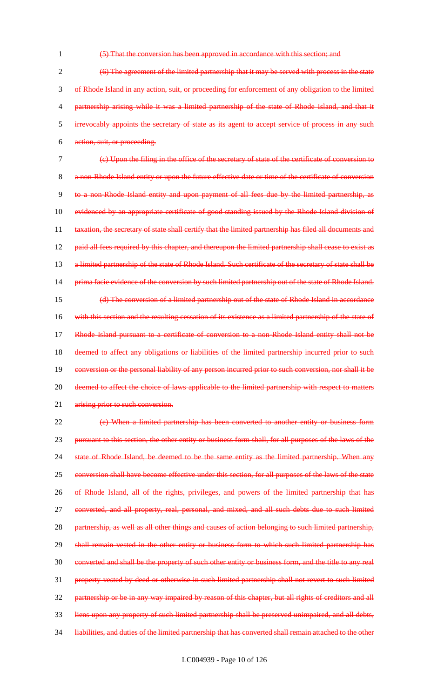1 (5) That the conversion has been approved in accordance with this section; and

 (6) The agreement of the limited partnership that it may be served with process in the state of Rhode Island in any action, suit, or proceeding for enforcement of any obligation to the limited 4 partnership arising while it was a limited partnership of the state of Rhode Island, and that it irrevocably appoints the secretary of state as its agent to accept service of process in any such action, suit, or proceeding.

7 (c) Upon the filing in the office of the secretary of state of the certificate of conversion to 8 a non-Rhode Island entity or upon the future effective date or time of the certificate of conversion 9 to a non-Rhode Island entity and upon payment of all fees due by the limited partnership, as 10 evidenced by an appropriate certificate of good standing issued by the Rhode Island division of 11 taxation, the secretary of state shall certify that the limited partnership has filed all documents and 12 paid all fees required by this chapter, and thereupon the limited partnership shall cease to exist as 13 a limited partnership of the state of Rhode Island. Such certificate of the secretary of state shall be 14 prima facie evidence of the conversion by such limited partnership out of the state of Rhode Island. 15 (d) The conversion of a limited partnership out of the state of Rhode Island in accordance 16 with this section and the resulting cessation of its existence as a limited partnership of the state of 17 Rhode Island pursuant to a certificate of conversion to a non-Rhode Island entity shall not be 18 deemed to affect any obligations or liabilities of the limited partnership incurred prior to such 19 conversion or the personal liability of any person incurred prior to such conversion, nor shall it be 20 deemed to affect the choice of laws applicable to the limited partnership with respect to matters 21 arising prior to such conversion.

22 (e) When a limited partnership has been converted to another entity or business form 23 pursuant to this section, the other entity or business form shall, for all purposes of the laws of the 24 state of Rhode Island, be deemed to be the same entity as the limited partnership. When any 25 conversion shall have become effective under this section, for all purposes of the laws of the state 26 of Rhode Island, all of the rights, privileges, and powers of the limited partnership that has 27 converted, and all property, real, personal, and mixed, and all such debts due to such limited 28 partnership, as well as all other things and causes of action belonging to such limited partnership, 29 shall remain vested in the other entity or business form to which such limited partnership has 30 converted and shall be the property of such other entity or business form, and the title to any real 31 property vested by deed or otherwise in such limited partnership shall not revert to such limited 32 partnership or be in any way impaired by reason of this chapter, but all rights of creditors and all 33 liens upon any property of such limited partnership shall be preserved unimpaired, and all debts, 34 liabilities, and duties of the limited partnership that has converted shall remain attached to the other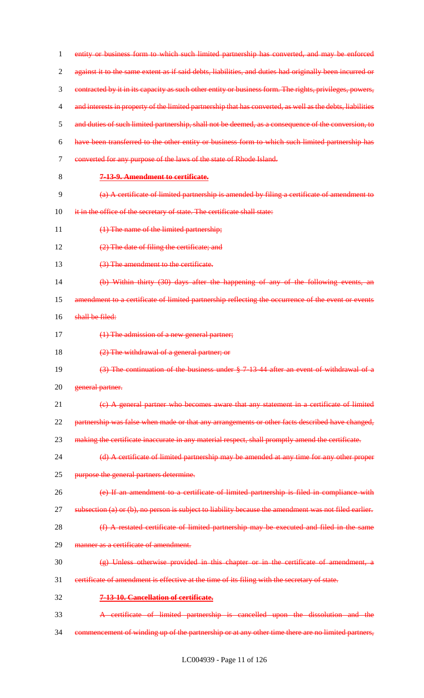| 1  | entity or business form to which such limited partnership has converted, and may be enforced               |
|----|------------------------------------------------------------------------------------------------------------|
| 2  | against it to the same extent as if said debts, liabilities, and duties had originally been incurred or    |
| 3  | contracted by it in its capacity as such other entity or business form. The rights, privileges, powers,    |
| 4  | and interests in property of the limited partnership that has converted, as well as the debts, liabilities |
| 5  | and duties of such limited partnership, shall not be deemed, as a consequence of the conversion, to        |
| 6  | have been transferred to the other entity or business form to which such limited partnership has           |
| 7  | converted for any purpose of the laws of the state of Rhode Island.                                        |
| 8  | 7-13-9. Amendment to certificate.                                                                          |
| 9  | (a) A certificate of limited partnership is amended by filing a certificate of amendment to                |
| 10 | it in the office of the secretary of state. The certificate shall state:                                   |
| 11 | (1) The name of the limited partnership;                                                                   |
| 12 | (2) The date of filing the certificate; and                                                                |
| 13 | (3) The amendment to the certificate.                                                                      |
| 14 | (b) Within thirty (30) days after the happening of any of the following events, an                         |
| 15 | amendment to a certificate of limited partnership reflecting the occurrence of the event or events         |
| 16 | shall be filed:                                                                                            |
| 17 | (1) The admission of a new general partner;                                                                |
| 18 | (2) The withdrawal of a general partner; or                                                                |
| 19 | $(3)$ The continuation of the business under $\S$ 7-13-44 after an event of withdrawal of a                |
| 20 | general partner.                                                                                           |
| 21 | (e) A general partner who becomes aware that any statement in a certificate of limited                     |
| 22 | partnership was false when made or that any arrangements or other facts described have changed,            |
| 23 | making the certificate inaccurate in any material respect, shall promptly amend the certificate.           |
| 24 | (d) A certificate of limited partnership may be amended at any time for any other proper                   |
| 25 | purpose the general partners determine.                                                                    |
| 26 | (e) If an amendment to a certificate of limited partnership is filed in compliance with                    |
| 27 | subsection (a) or (b), no person is subject to liability because the amendment was not filed earlier.      |
| 28 | $(f)$ A restated certificate of limited partnership may be executed and filed in the same                  |
| 29 | manner as a certificate of amendment.                                                                      |
| 30 | $(g)$ Unless otherwise provided in this chapter or in the certificate of amendment, a                      |
| 31 | certificate of amendment is effective at the time of its filing with the secretary of state.               |
| 32 | 7-13-10. Cancellation of certificate.                                                                      |
| 33 | A certificate of limited partnership is cancelled upon the dissolution and the                             |
| 34 | commencement of winding up of the partnership or at any other time there are no limited partners,          |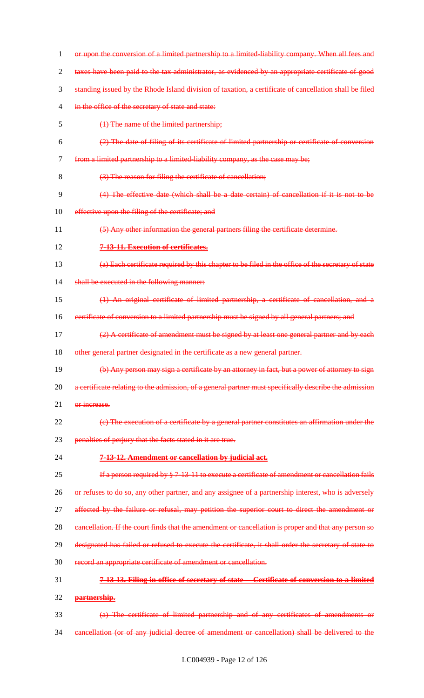| $\mathbf{1}$   | or upon the conversion of a limited partnership to a limited-liability company. When all fees and      |
|----------------|--------------------------------------------------------------------------------------------------------|
| $\overline{2}$ | taxes have been paid to the tax administrator, as evidenced by an appropriate certificate of good      |
| 3              | standing issued by the Rhode Island division of taxation, a certificate of cancellation shall be filed |
| $\overline{4}$ | in the office of the secretary of state and state:                                                     |
| 5              | (1) The name of the limited partnership;                                                               |
| 6              | (2) The date of filing of its certificate of limited partnership or certificate of conversion          |
| $\tau$         | from a limited partnership to a limited-liability company, as the case may be;                         |
| 8              | (3) The reason for filing the certificate of cancellation;                                             |
| 9              | (4) The effective date (which shall be a date certain) of cancellation if it is not to be              |
| 10             | effective upon the filing of the certificate; and                                                      |
| 11             | (5) Any other information the general partners filing the certificate determine.                       |
| 12             | 7-13-11. Execution of certificates.                                                                    |
| 13             | (a) Each certificate required by this chapter to be filed in the office of the secretary of state      |
| 14             | shall be executed in the following manner:                                                             |
| 15             | (1) An original certificate of limited partnership, a certificate of cancellation, and a               |
| 16             | eertificate of conversion to a limited partnership must be signed by all general partners; and         |
| 17             | (2) A certificate of amendment must be signed by at least one general partner and by each              |
| 18             | other general partner designated in the certificate as a new general partner.                          |
| 19             | (b) Any person may sign a certificate by an attorney in fact, but a power of attorney to sign          |
| 20             | a certificate relating to the admission, of a general partner must specifically describe the admission |
| 21             | or increase.                                                                                           |
| 22             | (e) The execution of a certificate by a general partner constitutes an affirmation under the           |
| 23             | penalties of perjury that the facts stated in it are true.                                             |
| 24             | 7-13-12. Amendment or cancellation by judicial act.                                                    |
| 25             | If a person required by § 7-13-11 to execute a certificate of amendment or cancellation fails          |
| 26             | or refuses to do so, any other partner, and any assignee of a partnership interest, who is adversely   |
| 27             | affected by the failure or refusal, may petition the superior court to direct the amendment or         |
| 28             | eancellation. If the court finds that the amendment or cancellation is proper and that any person so   |
| 29             | designated has failed or refused to execute the certificate, it shall order the secretary of state to  |
| 30             | record an appropriate certificate of amendment or cancellation.                                        |
| 31             | 7-13-13. Filing in office of secretary of state -- Certificate of conversion to a limited              |
| 32             | partnership.                                                                                           |
| 33             | (a) The certificate of limited partnership and of any certificates of amendments or                    |
| 34             | eancellation (or of any judicial decree of amendment or cancellation) shall be delivered to the        |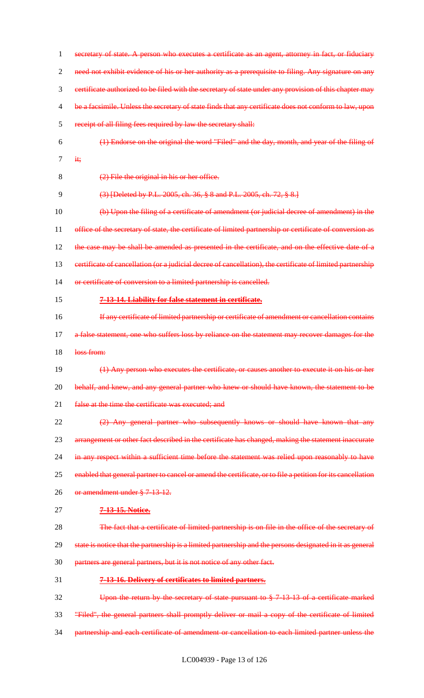1 secretary of state. A person who executes a certificate as an agent, attorney in fact, or fiduciary 2 need not exhibit evidence of his or her authority as a prerequisite to filing. Any signature on any 3 certificate authorized to be filed with the secretary of state under any provision of this chapter may 4 be a facsimile. Unless the secretary of state finds that any certificate does not conform to law, upon 5 receipt of all filing fees required by law the secretary shall: 6 (1) Endorse on the original the word "Filed" and the day, month, and year of the filing of  $7 \frac{11}{11}$ 8 (2) File the original in his or her office. 9 (3) [Deleted by P.L. 2005, ch. 36, § 8 and P.L. 2005, ch. 72, § 8.] 10 (b) Upon the filing of a certificate of amendment (or judicial decree of amendment) in the 11 office of the secretary of state, the certificate of limited partnership or certificate of conversion as 12 the case may be shall be amended as presented in the certificate, and on the effective date of a 13 certificate of cancellation (or a judicial decree of cancellation), the certificate of limited partnership 14 or certificate of conversion to a limited partnership is cancelled. 15 **7-13-14. Liability for false statement in certificate.** 16 **If any certificate of limited partnership or certificate of amendment or cancellation contains** 17 a false statement, one who suffers loss by reliance on the statement may recover damages for the 18 loss from: 19 (1) Any person who executes the certificate, or causes another to execute it on his or her 20 behalf, and knew, and any general partner who knew or should have known, the statement to be 21 false at the time the certificate was executed; and 22 (2) Any general partner who subsequently knows or should have known that any 23 arrangement or other fact described in the certificate has changed, making the statement inaccurate 24 in any respect within a sufficient time before the statement was relied upon reasonably to have 25 enabled that general partner to cancel or amend the certificate, or to file a petition for its cancellation 26 or amendment under § 7-13-12. 27 **7-13-15. Notice.** 28 The fact that a certificate of limited partnership is on file in the office of the secretary of 29 state is notice that the partnership is a limited partnership and the persons designated in it as general 30 partners are general partners, but it is not notice of any other fact. 31 **7-13-16. Delivery of certificates to limited partners.** 32 Upon the return by the secretary of state pursuant to § 7-13-13 of a certificate marked 33 "Filed", the general partners shall promptly deliver or mail a copy of the certificate of limited 34 partnership and each certificate of amendment or cancellation to each limited partner unless the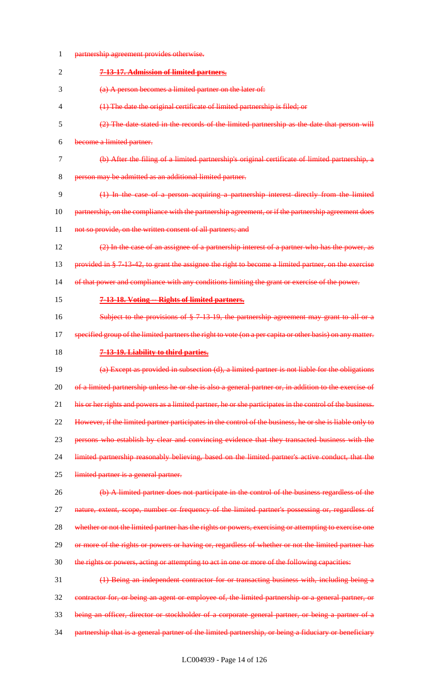1 partnership agreement provides otherwise. 2 **7-13-17. Admission of limited partners.** 3 (a) A person becomes a limited partner on the later of: 4 (1) The date the original certificate of limited partnership is filed; or 5 (2) The date stated in the records of the limited partnership as the date that person will 6 become a limited partner. 7 (b) After the filing of a limited partnership's original certificate of limited partnership, a 8 person may be admitted as an additional limited partner. 9 (1) In the case of a person acquiring a partnership interest directly from the limited 10 partnership, on the compliance with the partnership agreement, or if the partnership agreement does 11 not so provide, on the written consent of all partners; and 12 (2) In the case of an assignee of a partnership interest of a partner who has the power, as 13 provided in § 7-13-42, to grant the assignee the right to become a limited partner, on the exercise 14 of that power and compliance with any conditions limiting the grant or exercise of the power. 15 **7-13-18. Voting -- Rights of limited partners.** 16 Subject to the provisions of § 7-13-19, the partnership agreement may grant to all or a 17 specified group of the limited partners the right to vote (on a per capita or other basis) on any matter. 18 **7-13-19. Liability to third parties.** 19 (a) Except as provided in subsection (d), a limited partner is not liable for the obligations 20 of a limited partnership unless he or she is also a general partner or, in addition to the exercise of 21 his or her rights and powers as a limited partner, he or she participates in the control of the business. 22 However, if the limited partner participates in the control of the business, he or she is liable only to 23 persons who establish by clear and convincing evidence that they transacted business with the 24 limited partnership reasonably believing, based on the limited partner's active conduct, that the 25 limited partner is a general partner. 26 (b) A limited partner does not participate in the control of the business regardless of the 27 nature, extent, scope, number or frequency of the limited partner's possessing or, regardless of 28 whether or not the limited partner has the rights or powers, exercising or attempting to exercise one 29 or more of the rights or powers or having or, regardless of whether or not the limited partner has 30 the rights or powers, acting or attempting to act in one or more of the following capacities: 31 (1) Being an independent contractor for or transacting business with, including being a 32 contractor for, or being an agent or employee of, the limited partnership or a general partner, or 33 being an officer, director or stockholder of a corporate general partner, or being a partner of a 34 partnership that is a general partner of the limited partnership, or being a fiduciary or beneficiary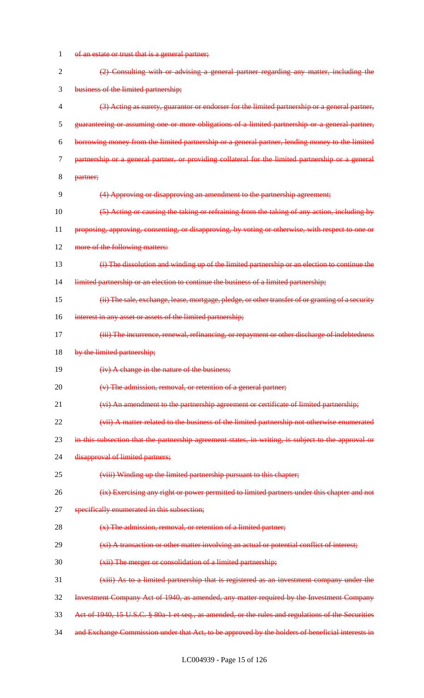of an estate or trust that is a general partner;

| $\overline{2}$ | (2) Consulting with or advising a general partner regarding any matter, including the               |
|----------------|-----------------------------------------------------------------------------------------------------|
| 3              | business of the limited partnership;                                                                |
| 4              | (3) Acting as surety, guarantor or endorser for the limited partnership or a general partner,       |
| 5              | guaranteeing or assuming one or more obligations of a limited partnership or a general partner,     |
| 6              | borrowing money from the limited partnership or a general partner, lending money to the limited     |
| 7              | partnership or a general partner, or providing collateral for the limited partnership or a general  |
| 8              | partner;                                                                                            |
| 9              | (4) Approving or disapproving an amendment to the partnership agreement;                            |
| 10             | (5) Acting or causing the taking or refraining from the taking of any action, including by          |
| 11             | proposing, approving, consenting, or disapproving, by voting or otherwise, with respect to one or   |
| 12             | more of the following matters:                                                                      |
| 13             | (i) The dissolution and winding up of the limited partnership or an election to continue the        |
| 14             | limited partnership or an election to continue the business of a limited partnership;               |
| 15             | (ii) The sale, exchange, lease, mortgage, pledge, or other transfer of or granting of a security    |
| 16             | interest in any asset or assets of the limited partnership;                                         |
| 17             | (iii) The incurrence, renewal, refinancing, or repayment or other discharge of indebtedness         |
|                |                                                                                                     |
| 18             | by the limited partnership;                                                                         |
| 19             | (iv) A change in the nature of the business;                                                        |
| 20             | (v) The admission, removal, or retention of a general partner;                                      |
| 21             | (vi) An amendment to the partnership agreement or certificate of limited partnership;               |
| 22             | (vii) A matter related to the business of the limited partnership not otherwise enumerated          |
|                | in this subsection that the partnership agreement states, in writing, is subject to the approval or |
| 23<br>24       | disapproval of limited partners;                                                                    |
| 25             | (viii) Winding up the limited partnership pursuant to this chapter;                                 |
| 26             | (ix) Exercising any right or power permitted to limited partners under this chapter and not         |
| 27             | specifically enumerated in this subsection;                                                         |
| 28             | (x) The admission, removal, or retention of a limited partner;                                      |
| 29             | (xi) A transaction or other matter involving an actual or potential conflict of interest;           |
| 30             | (xii) The merger or consolidation of a limited partnership;                                         |
| 31             | (xiii) As to a limited partnership that is registered as an investment company under the            |
| 32             | Investment Company Act of 1940, as amended, any matter required by the Investment Company           |

and Exchange Commission under that Act, to be approved by the holders of beneficial interests in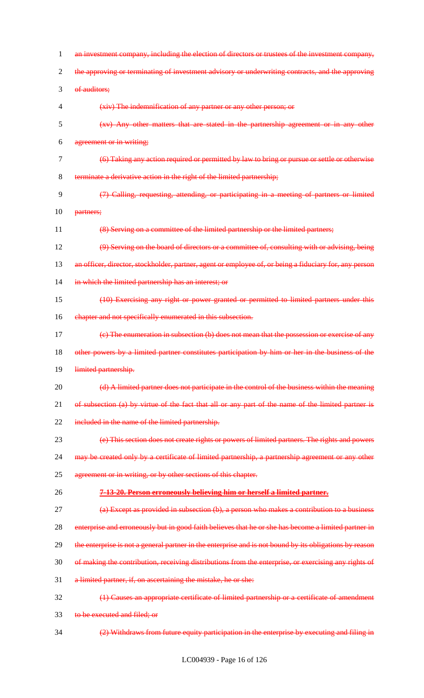| 1              | an investment company, including the election of directors or trustees of the investment company,       |
|----------------|---------------------------------------------------------------------------------------------------------|
| $\overline{2}$ | the approving or terminating of investment advisory or underwriting contracts, and the approving        |
| 3              | of auditors;                                                                                            |
| 4              | (xiv) The indemnification of any partner or any other person; or                                        |
| 5              | (xv) Any other matters that are stated in the partnership agreement or in any other                     |
| 6              | agreement or in writing;                                                                                |
| $\tau$         | (6) Taking any action required or permitted by law to bring or pursue or settle or otherwise            |
| 8              | terminate a derivative action in the right of the limited partnership;                                  |
| 9              | Calling, requesting, attending, or participating in a meeting of partners or limited                    |
| 10             | partners;                                                                                               |
| 11             | (8) Serving on a committee of the limited partnership or the limited partners;                          |
| 12             | (9) Serving on the board of directors or a committee of, consulting with or advising, being             |
| 13             | an officer, director, stockholder, partner, agent or employee of, or being a fiduciary for, any person  |
| 14             | in which the limited partnership has an interest; or                                                    |
| 15             | (10) Exercising any right or power granted or permitted to limited partners under this                  |
| 16             | chapter and not specifically enumerated in this subsection.                                             |
| 17             | (e) The enumeration in subsection (b) does not mean that the possession or exercise of any              |
| 18             | other powers by a limited partner constitutes participation by him or her in the business of the        |
| 19             | limited partnership.                                                                                    |
| 20             | (d) A limited partner does not participate in the control of the business within the meaning            |
| 21             | of subsection $(a)$ by virtue of the fact that all or any part of the name of the limited partner is    |
| 22             | included in the name of the limited partnership.                                                        |
| 23             | (e) This section does not create rights or powers of limited partners. The rights and powers            |
| 24             | may be created only by a certificate of limited partnership, a partnership agreement or any other       |
| 25             | agreement or in writing, or by other sections of this chapter.                                          |
| 26             | 7-13-20. Person erroneously believing him or herself a limited partner.                                 |
| 27             | (a) Except as provided in subsection (b), a person who makes a contribution to a business               |
| 28             | enterprise and erroneously but in good faith believes that he or she has become a limited partner in    |
| 29             | the enterprise is not a general partner in the enterprise and is not bound by its obligations by reason |
| 30             | of making the contribution, receiving distributions from the enterprise, or exercising any rights of    |
| 31             | a limited partner, if, on ascertaining the mistake, he or she:                                          |
| 32             | (1) Causes an appropriate certificate of limited partnership or a certificate of amendment              |
| 33             | to be executed and filed; or                                                                            |
| 34             | (2) Withdraws from future equity participation in the enterprise by executing and filing in             |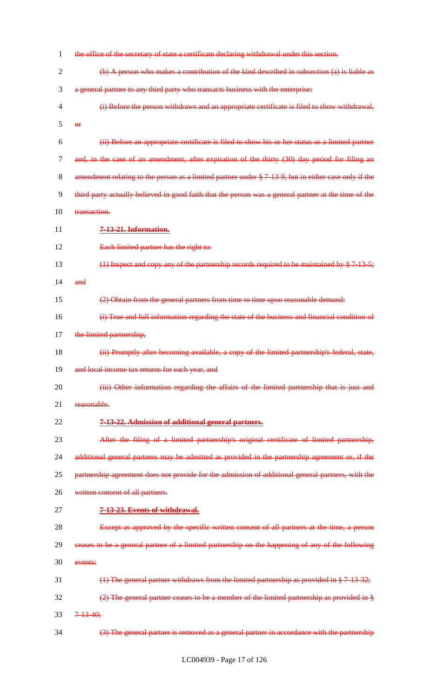| 1              | the office of the secretary of state a certificate declaring withdrawal under this section.          |
|----------------|------------------------------------------------------------------------------------------------------|
| 2              | (b) A person who makes a contribution of the kind described in subsection (a) is liable as           |
| 3              | a general partner to any third party who transacts business with the enterprise:                     |
| $\overline{4}$ | (i) Before the person withdraws and an appropriate certificate is filed to show withdrawal,          |
| 5              | $\theta$ f                                                                                           |
| 6              | (ii) Before an appropriate certificate is filed to show his or her status as a limited partner       |
| 7              | and, in the case of an amendment, after expiration of the thirty (30) day period for filing an       |
| 8              | amendment relating to the person as a limited partner under § 7-13-9, but in either case only if the |
| 9              | third party actually believed in good faith that the person was a general partner at the time of the |
| 10             | transaction.                                                                                         |
| 11             | 7-13-21. Information.                                                                                |
| 12             | Each limited partner has the right to:                                                               |
| 13             | $(1)$ Inspect and copy any of the partnership records required to be maintained by $\S 7-13-5$ ;     |
| 14             | and                                                                                                  |
| 15             | (2) Obtain from the general partners from time to time upon reasonable demand:                       |
| 16             | (i) True and full information regarding the state of the business and financial condition of         |
| 17             | the limited partnership,                                                                             |
| 18             | (ii) Promptly after becoming available, a copy of the limited partnership's federal, state,          |
| 19             | and local income tax returns for each year, and                                                      |
| 20             | (iii) Other information regarding the affairs of the limited partnership that is just and            |
| 21             | reasonable.                                                                                          |
| 22             | 7-13-22. Admission of additional general partners.                                                   |
| 23             | After the filing of a limited partnership's original certificate of limited partnership,             |
| 24             | additional general partners may be admitted as provided in the partnership agreement or, if the      |
| 25             | partnership agreement does not provide for the admission of additional general partners, with the    |
| 26             | written consent of all partners.                                                                     |
| 27             | 7-13-23. Events of withdrawal.                                                                       |
| 28             | Except as approved by the specific written consent of all partners at the time, a person             |
| 29             | ceases to be a general partner of a limited partnership on the happening of any of the following     |
| 30             | events:                                                                                              |
| 31             | $(1)$ The general partner withdraws from the limited partnership as provided in § 7-13-32;           |
| 32             | $(2)$ The general partner ceases to be a member of the limited partnership as provided in $\S$       |
| 33             | $7 - 13 - 40$ ;                                                                                      |
| 34             | (3) The general partner is removed as a general partner in accordance with the partnership           |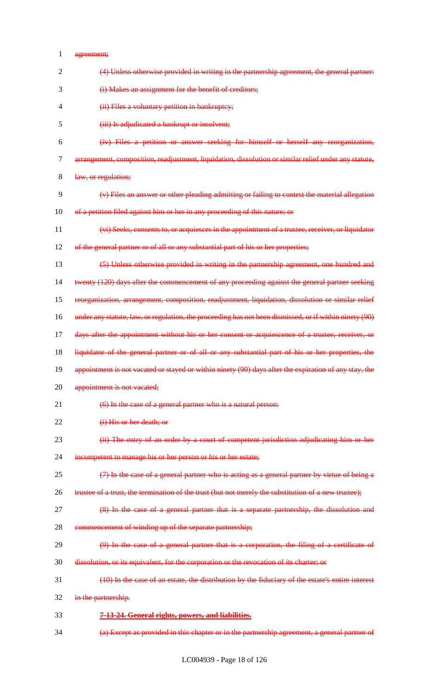| 1      | agreement;                                                                                             |
|--------|--------------------------------------------------------------------------------------------------------|
| 2      | (4) Unless otherwise provided in writing in the partnership agreement, the general partner:            |
| 3      | (i) Makes an assignment for the benefit of creditors;                                                  |
| 4      | (ii) Files a voluntary petition in bankruptcy;                                                         |
| 5      | (iii) Is adjudicated a bankrupt or insolvent;                                                          |
| 6      | (iv) Files a petition or answer seeking for himself or herself any reorganization,                     |
| $\tau$ | arrangement, composition, readjustment, liquidation, dissolution or similar relief under any statute,  |
| 8      | law, or regulation;                                                                                    |
| 9      | (v) Files an answer or other pleading admitting or failing to contest the material allegation          |
| 10     | of a petition filed against him or her in any proceeding of this nature; or                            |
| 11     | (vi) Seeks, consents to, or acquiesces in the appointment of a trustee, receiver, or liquidator        |
| 12     | of the general partner or of all or any substantial part of his or her properties;                     |
| 13     | (5) Unless otherwise provided in writing in the partnership agreement, one hundred and                 |
| 14     | twenty (120) days after the commencement of any proceeding against the general partner seeking         |
| 15     | reorganization, arrangement, composition, readjustment, liquidation, dissolution or similar relief     |
| 16     | under any statute, law, or regulation, the proceeding has not been dismissed, or if within ninety (90) |
| 17     | days after the appointment without his or her consent or acquiescence of a trustee, receiver, or       |
| 18     | liquidator of the general partner or of all or any substantial part of his or her properties, the      |
| 19     | appointment is not vacated or stayed or within ninety (90) days after the expiration of any stay, the  |
| 20     | appointment is not vacated;                                                                            |
| 21     | (6) In the case of a general partner who is a natural person:                                          |
| 22     | (i) His or her death; or                                                                               |
| 23     | (ii) The entry of an order by a court of competent jurisdiction adjudicating him or her                |
| 24     | incompetent to manage his or her person or his or her estate;                                          |
| 25     | (7) In the case of a general partner who is acting as a general partner by virtue of being a           |
| 26     | trustee of a trust, the termination of the trust (but not merely the substitution of a new trustee);   |
| 27     | (8) In the case of a general partner that is a separate partnership, the dissolution and               |
| 28     | commencement of winding up of the separate partnership;                                                |
| 29     | (9) In the case of a general partner that is a corporation, the filing of a certificate of             |
| 30     | dissolution, or its equivalent, for the corporation or the revocation of its charter; or               |
| 31     | (10) In the case of an estate, the distribution by the fiduciary of the estate's entire interest       |
| 32     | in the partnership.                                                                                    |
| 33     | 7-13-24. General rights, powers, and liabilities.                                                      |
| 34     | (a) Except as provided in this chapter or in the partnership agreement, a general partner of           |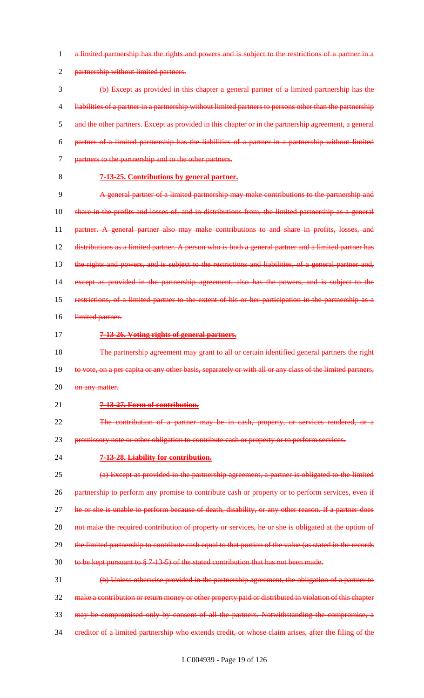a limited partnership has the rights and powers and is subject to the restrictions of a partner in a

partnership without limited partners.

 (b) Except as provided in this chapter a general partner of a limited partnership has the liabilities of a partner in a partnership without limited partners to persons other than the partnership and the other partners. Except as provided in this chapter or in the partnership agreement, a general partner of a limited partnership has the liabilities of a partner in a partnership without limited partners to the partnership and to the other partners.

## **7-13-25. Contributions by general partner.**

 A general partner of a limited partnership may make contributions to the partnership and share in the profits and losses of, and in distributions from, the limited partnership as a general 11 partner. A general partner also may make contributions to and share in profits, losses, and distributions as a limited partner. A person who is both a general partner and a limited partner has 13 the rights and powers, and is subject to the restrictions and liabilities, of a general partner and, except as provided in the partnership agreement, also has the powers, and is subject to the restrictions, of a limited partner to the extent of his or her participation in the partnership as a 16 limited partner.

**7-13-26. Voting rights of general partners.**

 The partnership agreement may grant to all or certain identified general partners the right 19 to vote, on a per capita or any other basis, separately or with all or any class of the limited partners, 20 on any matter.

- **7-13-27. Form of contribution.**
- The contribution of a partner may be in cash, property, or services rendered, or a
- 23 promissory note or other obligation to contribute cash or property or to perform services.
- **7-13-28. Liability for contribution.**

 (a) Except as provided in the partnership agreement, a partner is obligated to the limited 26 partnership to perform any promise to contribute cash or property or to perform services, even if 27 he or she is unable to perform because of death, disability, or any other reason. If a partner does 28 not make the required contribution of property or services, he or she is obligated at the option of 29 the limited partnership to contribute cash equal to that portion of the value (as stated in the records

30 to be kept pursuant to  $\frac{8}{7}$  13-5) of the stated contribution that has not been made.

 (b) Unless otherwise provided in the partnership agreement, the obligation of a partner to make a contribution or return money or other property paid or distributed in violation of this chapter may be compromised only by consent of all the partners. Notwithstanding the compromise, a creditor of a limited partnership who extends credit, or whose claim arises, after the filing of the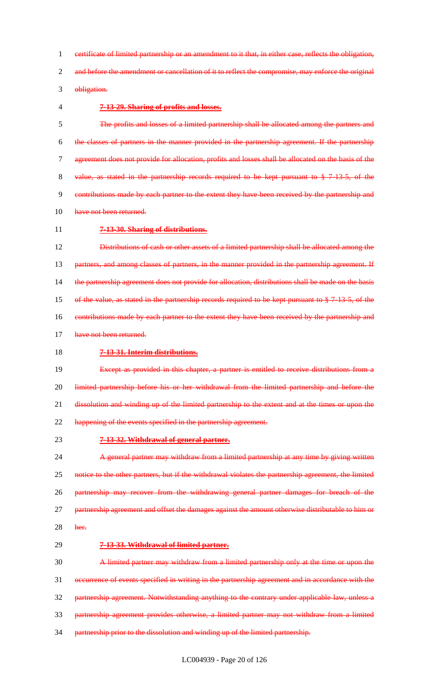1 eertificate of limited partnership or an amendment to it that, in either case, reflects the obligation, 2 and before the amendment or cancellation of it to reflect the compromise, may enforce the original obligation.

#### **7-13-29. Sharing of profits and losses.**

 The profits and losses of a limited partnership shall be allocated among the partners and the classes of partners in the manner provided in the partnership agreement. If the partnership agreement does not provide for allocation, profits and losses shall be allocated on the basis of the value, as stated in the partnership records required to be kept pursuant to § 7-13-5, of the contributions made by each partner to the extent they have been received by the partnership and 10 have not been returned.

**7-13-30. Sharing of distributions.**

 Distributions of cash or other assets of a limited partnership shall be allocated among the 13 partners, and among classes of partners, in the manner provided in the partnership agreement. If the partnership agreement does not provide for allocation, distributions shall be made on the basis of the value, as stated in the partnership records required to be kept pursuant to § 7-13-5, of the 16 contributions made by each partner to the extent they have been received by the partnership and 17 have not been returned.

## **7-13-31. Interim distributions.**

 Except as provided in this chapter, a partner is entitled to receive distributions from a 20 limited partnership before his or her withdrawal from the limited partnership and before the 21 dissolution and winding up of the limited partnership to the extent and at the times or upon the happening of the events specified in the partnership agreement.

**7-13-32. Withdrawal of general partner.**

24 A general partner may withdraw from a limited partnership at any time by giving written 25 notice to the other partners, but if the withdrawal violates the partnership agreement, the limited partnership may recover from the withdrawing general partner damages for breach of the 27 partnership agreement and offset the damages against the amount otherwise distributable to him or

her.

#### **7-13-33. Withdrawal of limited partner.**

 A limited partner may withdraw from a limited partnership only at the time or upon the occurrence of events specified in writing in the partnership agreement and in accordance with the partnership agreement. Notwithstanding anything to the contrary under applicable law, unless a partnership agreement provides otherwise, a limited partner may not withdraw from a limited 34 partnership prior to the dissolution and winding up of the limited partnership.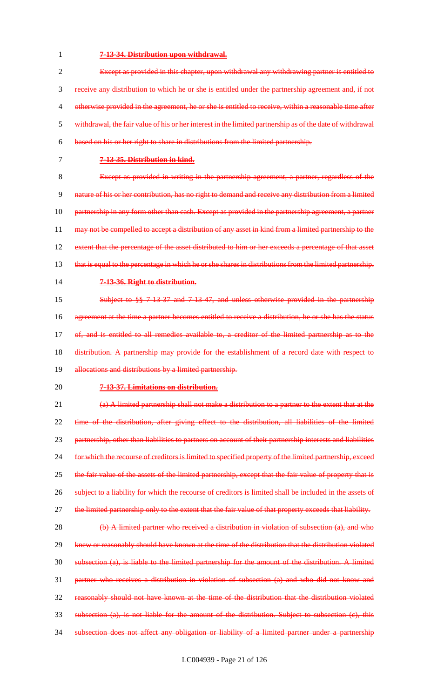# 1 **7-13-34. Distribution upon withdrawal.**

 Except as provided in this chapter, upon withdrawal any withdrawing partner is entitled to receive any distribution to which he or she is entitled under the partnership agreement and, if not otherwise provided in the agreement, he or she is entitled to receive, within a reasonable time after withdrawal, the fair value of his or her interest in the limited partnership as of the date of withdrawal based on his or her right to share in distributions from the limited partnership.

7 **7-13-35. Distribution in kind.**

8 Except as provided in writing in the partnership agreement, a partner, regardless of the 9 nature of his or her contribution, has no right to demand and receive any distribution from a limited 10 partnership in any form other than cash. Except as provided in the partnership agreement, a partner 11 may not be compelled to accept a distribution of any asset in kind from a limited partnership to the 12 extent that the percentage of the asset distributed to him or her exceeds a percentage of that asset 13 that is equal to the percentage in which he or she shares in distributions from the limited partnership.

#### 14 **7-13-36. Right to distribution.**

15 Subject to §§ 7-13-37 and 7-13-47, and unless otherwise provided in the partnership 16 agreement at the time a partner becomes entitled to receive a distribution, he or she has the status 17 of, and is entitled to all remedies available to, a creditor of the limited partnership as to the 18 distribution. A partnership may provide for the establishment of a record date with respect to 19 allocations and distributions by a limited partnership.

#### 20 **7-13-37. Limitations on distribution.**

21 (a) A limited partnership shall not make a distribution to a partner to the extent that at the 22 time of the distribution, after giving effect to the distribution, all liabilities of the limited 23 partnership, other than liabilities to partners on account of their partnership interests and liabilities 24 for which the recourse of creditors is limited to specified property of the limited partnership, exceed 25 the fair value of the assets of the limited partnership, except that the fair value of property that is 26 subject to a liability for which the recourse of creditors is limited shall be included in the assets of 27 the limited partnership only to the extent that the fair value of that property exceeds that liability.

28 (b) A limited partner who received a distribution in violation of subsection (a), and who 29 knew or reasonably should have known at the time of the distribution that the distribution violated 30 subsection (a), is liable to the limited partnership for the amount of the distribution. A limited 31 partner who receives a distribution in violation of subsection (a) and who did not know and 32 reasonably should not have known at the time of the distribution that the distribution violated 33 subsection (a), is not liable for the amount of the distribution. Subject to subsection (c), this 34 subsection does not affect any obligation or liability of a limited partner under a partnership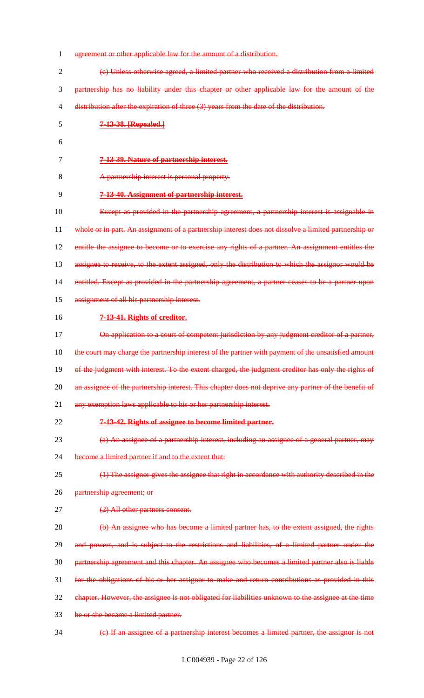agreement or other applicable law for the amount of a distribution. (c) Unless otherwise agreed, a limited partner who received a distribution from a limited partnership has no liability under this chapter or other applicable law for the amount of the 4 distribution after the expiration of three (3) years from the date of the distribution. **7-13-38. [Repealed.] 7-13-39. Nature of partnership interest.** A partnership interest is personal property. **7-13-40. Assignment of partnership interest.** Except as provided in the partnership agreement, a partnership interest is assignable in whole or in part. An assignment of a partnership interest does not dissolve a limited partnership or 12 entitle the assignee to become or to exercise any rights of a partner. An assignment entitles the assignee to receive, to the extent assigned, only the distribution to which the assignor would be 14 entitled. Except as provided in the partnership agreement, a partner ceases to be a partner upon 15 assignment of all his partnership interest. **7-13-41. Rights of creditor.** 17 On application to a court of competent jurisdiction by any judgment creditor of a partner, 18 the court may charge the partnership interest of the partner with payment of the unsatisfied amount 19 of the judgment with interest. To the extent charged, the judgment creditor has only the rights of 20 an assignee of the partnership interest. This chapter does not deprive any partner of the benefit of 21 any exemption laws applicable to his or her partnership interest. **7-13-42. Rights of assignee to become limited partner.** 23 (a) An assignee of a partnership interest, including an assignee of a general partner, may 24 become a limited partner if and to the extent that: (1) The assignor gives the assignee that right in accordance with authority described in the partnership agreement; or (2) All other partners consent. (b) An assignee who has become a limited partner has, to the extent assigned, the rights and powers, and is subject to the restrictions and liabilities, of a limited partner under the partnership agreement and this chapter. An assignee who becomes a limited partner also is liable for the obligations of his or her assignor to make and return contributions as provided in this chapter. However, the assignee is not obligated for liabilities unknown to the assignee at the time he or she became a limited partner. (c) If an assignee of a partnership interest becomes a limited partner, the assignor is not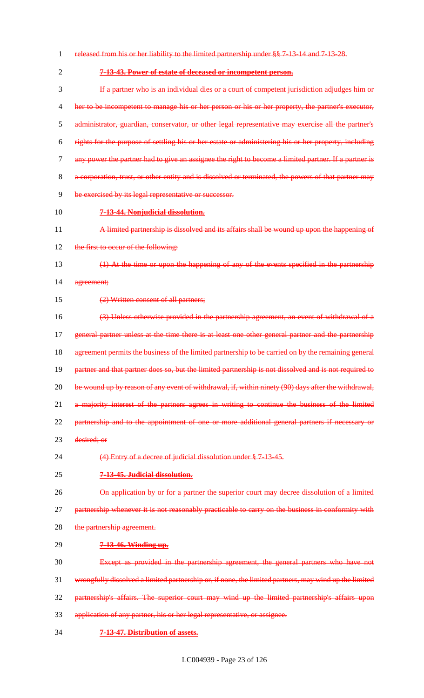- 1 released from his or her liability to the limited partnership under §§ 7-13-14 and 7-13-28.
- 
- 2 **7-13-43. Power of estate of deceased or incompetent person.**

 If a partner who is an individual dies or a court of competent jurisdiction adjudges him or 4 her to be incompetent to manage his or her person or his or her property, the partner's executor, administrator, guardian, conservator, or other legal representative may exercise all the partner's rights for the purpose of settling his or her estate or administering his or her property, including any power the partner had to give an assignee the right to become a limited partner. If a partner is 8 a corporation, trust, or other entity and is dissolved or terminated, the powers of that partner may be exercised by its legal representative or successor. **7-13-44. Nonjudicial dissolution.**

- 11 A limited partnership is dissolved and its affairs shall be wound up upon the happening of
- 12 the first to occur of the following:
- 13 (1) At the time or upon the happening of any of the events specified in the partnership 14 agreement;
- 
- 15 (2) Written consent of all partners;

16 (3) Unless otherwise provided in the partnership agreement, an event of withdrawal of a 17 general partner unless at the time there is at least one other general partner and the partnership 18 agreement permits the business of the limited partnership to be carried on by the remaining general 19 partner and that partner does so, but the limited partnership is not dissolved and is not required to 20 be wound up by reason of any event of withdrawal, if, within ninety (90) days after the withdrawal, 21 a majority interest of the partners agrees in writing to continue the business of the limited 22 partnership and to the appointment of one or more additional general partners if necessary or 23 desired; or

- 24 (4) Entry of a decree of judicial dissolution under § 7-13-45.
- 25 **7-13-45. Judicial dissolution.**

26 **On application by or for a partner the superior court may decree dissolution of a limited** 27 partnership whenever it is not reasonably practicable to carry on the business in conformity with

28 the partnership agreement.

#### 29 **7-13-46. Winding up.**

30 Except as provided in the partnership agreement, the general partners who have not

- 31 wrongfully dissolved a limited partnership or, if none, the limited partners, may wind up the limited
- 32 partnership's affairs. The superior court may wind up the limited partnership's affairs upon
- 33 application of any partner, his or her legal representative, or assignee.
- 34 **7-13-47. Distribution of assets.**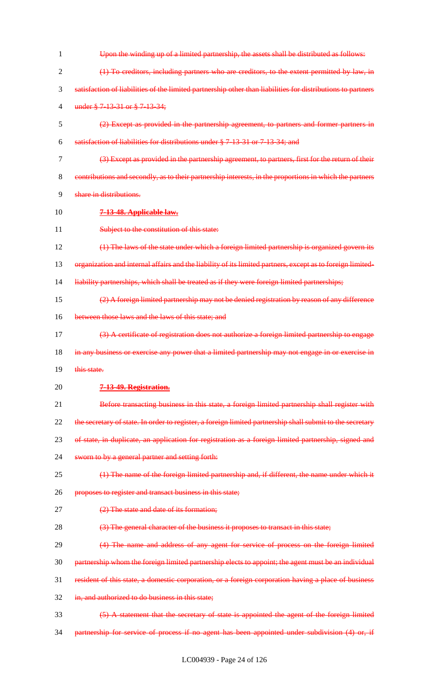| 1              | Upon the winding up of a limited partnership, the assets shall be distributed as follows:                   |
|----------------|-------------------------------------------------------------------------------------------------------------|
| $\overline{2}$ | (1) To creditors, including partners who are creditors, to the extent permitted by law, in                  |
| 3              | satisfaction of liabilities of the limited partnership other than liabilities for distributions to partners |
| 4              | under § 7-13-31 or § 7-13-34;                                                                               |
| 5              | (2) Except as provided in the partnership agreement, to partners and former partners in                     |
| 6              | satisfaction of liabilities for distributions under $\S$ 7-13-31 or 7-13-34; and                            |
| 7              | (3) Except as provided in the partnership agreement, to partners, first for the return of their             |
| 8              | contributions and secondly, as to their partnership interests, in the proportions in which the partners     |
| 9              | share in distributions.                                                                                     |
| 10             | 7-13-48. Applicable law.                                                                                    |
| 11             | Subject to the constitution of this state:                                                                  |
| 12             | (1) The laws of the state under which a foreign limited partnership is organized govern its                 |
| 13             | organization and internal affairs and the liability of its limited partners, except as to foreign limited-  |
| 14             | liability partnerships, which shall be treated as if they were foreign limited partnerships;                |
| 15             | (2) A foreign limited partnership may not be denied registration by reason of any difference                |
| 16             | between those laws and the laws of this state; and                                                          |
| 17             | (3) A certificate of registration does not authorize a foreign limited partnership to engage                |
| 18             | in any business or exercise any power that a limited partnership may not engage in or exercise in           |
| 19             | this state.                                                                                                 |
| 20             | 7-13-49. Registration.                                                                                      |
| 21             | Before transacting business in this state, a foreign limited partnership shall register with                |
| 22             | the secretary of state. In order to register, a foreign limited partnership shall submit to the secretary   |
| 23             | of state, in duplicate, an application for registration as a foreign limited partnership, signed and        |
| 24             | sworn to by a general partner and setting forth:                                                            |
| 25             | (1) The name of the foreign limited partnership and, if different, the name under which it                  |
| 26             | proposes to register and transact business in this state;                                                   |
| 27             | (2) The state and date of its formation;                                                                    |
| 28             | (3) The general character of the business it proposes to transact in this state;                            |
| 29             | (4) The name and address of any agent for service of process on the foreign limited                         |
| 30             | partnership whom the foreign limited partnership elects to appoint; the agent must be an individual         |
| 31             | resident of this state, a domestic corporation, or a foreign corporation having a place of business         |
| 32             | in, and authorized to do business in this state;                                                            |
| 33             | (5) A statement that the secretary of state is appointed the agent of the foreign limited                   |
| 34             | partnership for service of process if no agent has been appointed under subdivision (4) or, if              |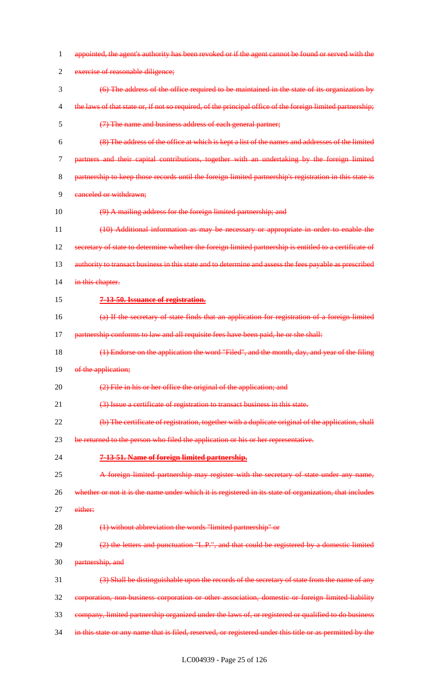| 1              | appointed, the agent's authority has been revoked or if the agent cannot be found or served with the       |
|----------------|------------------------------------------------------------------------------------------------------------|
| $\overline{2}$ | exercise of reasonable diligence;                                                                          |
| 3              | (6) The address of the office required to be maintained in the state of its organization by                |
| 4              | the laws of that state or, if not so required, of the principal office of the foreign limited partnership; |
| 5              | (7) The name and business address of each general partner;                                                 |
| 6              | (8) The address of the office at which is kept a list of the names and addresses of the limited            |
| 7              | partners and their capital contributions, together with an undertaking by the foreign limited              |
| 8              | partnership to keep those records until the foreign limited partnership's registration in this state is    |
| 9              | canceled or withdrawn;                                                                                     |
| 10             | (9) A mailing address for the foreign limited partnership; and                                             |
| 11             | (10) Additional information as may be necessary or appropriate in order to enable the                      |
| 12             | secretary of state to determine whether the foreign limited partnership is entitled to a certificate of    |
| 13             | authority to transact business in this state and to determine and assess the fees payable as prescribed    |
| 14             | in this chapter.                                                                                           |
| 15             | 7-13-50. Issuance of registration.                                                                         |
| 16             | (a) If the secretary of state finds that an application for registration of a foreign limited              |
| 17             | partnership conforms to law and all requisite fees have been paid, he or she shall:                        |
| 18             | (1) Endorse on the application the word "Filed", and the month, day, and year of the filing                |
| 19             | of the application;                                                                                        |
| 20             | (2) File in his or her office the original of the application; and                                         |
| 21             | (3) Issue a certificate of registration to transact business in this state.                                |
| 22             | (b) The certificate of registration, together with a duplicate original of the application, shall          |
| 23             | be returned to the person who filed the application or his or her representative.                          |
| 24             | 7-13-51. Name of foreign limited partnership.                                                              |
| 25             | A foreign limited partnership may register with the secretary of state under any name,                     |
| 26             | whether or not it is the name under which it is registered in its state of organization, that includes     |
| 27             | either:                                                                                                    |
| 28             | (1) without abbreviation the words "limited partnership" or                                                |
| 29             | (2) the letters and punctuation "L.P.", and that could be registered by a domestic limited                 |
| 30             | partnership, and                                                                                           |
| 31             | (3) Shall be distinguishable upon the records of the secretary of state from the name of any               |
| 32             | corporation, non business corporation or other association, domestic or foreign limited liability          |
| 33             | company, limited partnership organized under the laws of, or registered or qualified to do business        |
| 34             | in this state or any name that is filed, reserved, or registered under this title or as permitted by the   |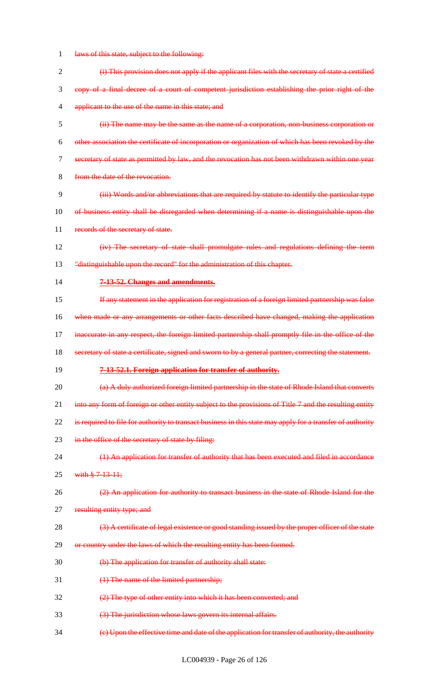1 laws of this state, subject to the following:

| $\overline{2}$ | (i) This provision does not apply if the applicant files with the secretary of state a certified           |
|----------------|------------------------------------------------------------------------------------------------------------|
| 3              | copy of a final decree of a court of competent jurisdiction establishing the prior right of the            |
| 4              | applicant to the use of the name in this state; and                                                        |
| 5              | (ii) The name may be the same as the name of a corporation, non-business corporation or                    |
| 6              | other association the certificate of incorporation or organization of which has been revoked by the        |
| $\tau$         | secretary of state as permitted by law, and the revocation has not been withdrawn within one year          |
| 8              | from the date of the revocation.                                                                           |
| 9              | (iii) Words and/or abbreviations that are required by statute to identify the particular type              |
| 10             | of business entity shall be disregarded when determining if a name is distinguishable upon the             |
| 11             | records of the secretary of state.                                                                         |
| 12             | (iv) The secretary of state shall promulgate rules and regulations defining the term                       |
| 13             | "distinguishable upon the record" for the administration of this chapter.                                  |
| 14             | 7-13-52. Changes and amendments.                                                                           |
| 15             | If any statement in the application for registration of a foreign limited partnership was false            |
| 16             | when made or any arrangements or other facts described have changed, making the application                |
| 17             | inaccurate in any respect, the foreign limited partnership shall promptly file in the office of the        |
| 18             | secretary of state a certificate, signed and sworn to by a general partner, correcting the statement.      |
| 19             | 7-13-52.1. Foreign application for transfer of authority.                                                  |
| 20             | (a) A duly authorized foreign limited partnership in the state of Rhode Island that converts               |
| 21             | into any form of foreign or other entity subject to the provisions of Title 7 and the resulting entity     |
| 22             | is required to file for authority to transact business in this state may apply for a transfer of authority |
| 23             | in the office of the secretary of state by filing:                                                         |
| 24             | (1) An application for transfer of authority that has been executed and filed in accordance                |
| 25             | with $\frac{8}{5}$ 7 - 13 - 11;                                                                            |
| 26             | (2) An application for authority to transact business in the state of Rhode Island for the                 |
| 27             | resulting entity type; and                                                                                 |
| 28             | (3) A certificate of legal existence or good standing issued by the proper officer of the state            |
| 29             | or country under the laws of which the resulting entity has been formed.                                   |
| 30             | (b) The application for transfer of authority shall state:                                                 |
| 31             | (1) The name of the limited partnership;                                                                   |
| 32             | (2) The type of other entity into which it has been converted; and                                         |
| 33             | (3) The jurisdiction whose laws govern its internal affairs.                                               |
| 34             | (e) Upon the effective time and date of the application for transfer of authority, the authority           |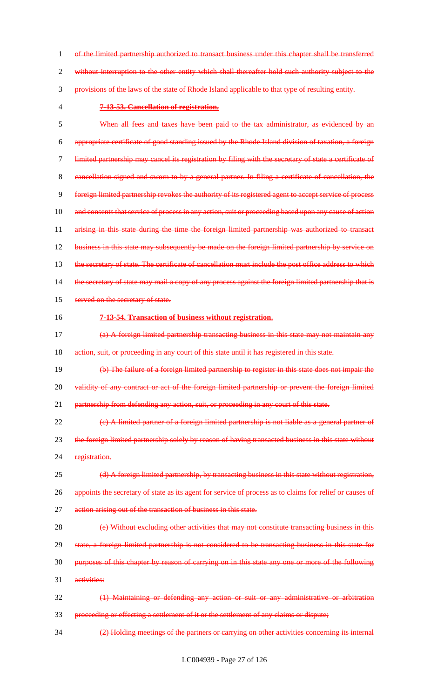1 of the limited partnership authorized to transact business under this chapter shall be transferred 2 without interruption to the other entity which shall thereafter hold such authority subject to the 3 provisions of the laws of the state of Rhode Island applicable to that type of resulting entity.

## 4 **7-13-53. Cancellation of registration.**

5 When all fees and taxes have been paid to the tax administrator, as evidenced by an 6 appropriate certificate of good standing issued by the Rhode Island division of taxation, a foreign 7 limited partnership may cancel its registration by filing with the secretary of state a certificate of 8 cancellation signed and sworn to by a general partner. In filing a certificate of cancellation, the 9 foreign limited partnership revokes the authority of its registered agent to accept service of process 10 and consents that service of process in any action, suit or proceeding based upon any cause of action 11 arising in this state during the time the foreign limited partnership was authorized to transact 12 business in this state may subsequently be made on the foreign limited partnership by service on 13 the secretary of state. The certificate of cancellation must include the post office address to which 14 the secretary of state may mail a copy of any process against the foreign limited partnership that is 15 served on the secretary of state. 16 **7-13-54. Transaction of business without registration.** 17 (a) A foreign limited partnership transacting business in this state may not maintain any 18 action, suit, or proceeding in any court of this state until it has registered in this state. 19 (b) The failure of a foreign limited partnership to register in this state does not impair the 20 validity of any contract or act of the foreign limited partnership or prevent the foreign limited 21 partnership from defending any action, suit, or proceeding in any court of this state. 22 (c) A limited partner of a foreign limited partnership is not liable as a general partner of 23 the foreign limited partnership solely by reason of having transacted business in this state without 24 registration.

25 (d) A foreign limited partnership, by transacting business in this state without registration, 26 appoints the secretary of state as its agent for service of process as to claims for relief or causes of

27 action arising out of the transaction of business in this state.

28 (e) Without excluding other activities that may not constitute transacting business in this

29 state, a foreign limited partnership is not considered to be transacting business in this state for

30 purposes of this chapter by reason of carrying on in this state any one or more of the following

31 activities:

32 (1) Maintaining or defending any action or suit or any administrative or arbitration 33 proceeding or effecting a settlement of it or the settlement of any claims or dispute;

34 (2) Holding meetings of the partners or carrying on other activities concerning its internal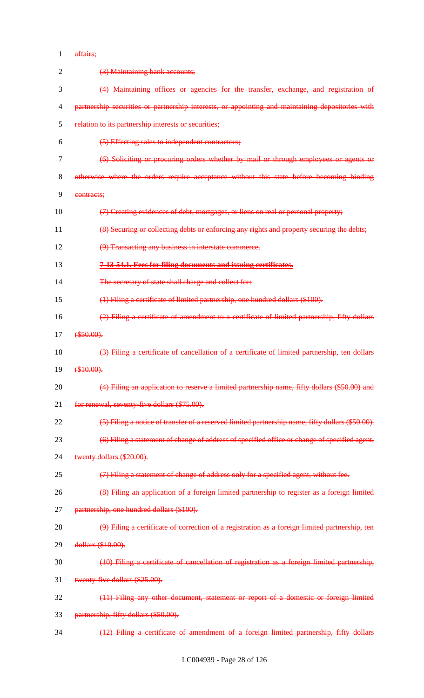# affairs;

| $\overline{2}$ | (3) Maintaining bank accounts;                                                                   |
|----------------|--------------------------------------------------------------------------------------------------|
| 3              | (4) Maintaining offices or agencies for the transfer, exchange, and registration of              |
| 4              | partnership securities or partnership interests, or appointing and maintaining depositories with |
| 5              | relation to its partnership interests or securities;                                             |
| 6              | (5) Effecting sales to independent contractors;                                                  |
| $\tau$         | (6) Soliciting or procuring orders whether by mail or through employees or agents or             |
| 8              | otherwise where the orders require acceptance without this state before becoming binding         |
| 9              | contracts;                                                                                       |
| 10             | (7) Creating evidences of debt, mortgages, or liens on real or personal property;                |
| 11             | (8) Securing or collecting debts or enforcing any rights and property securing the debts;        |
| 12             | (9) Transacting any business in interstate commerce.                                             |
| 13             | 7-13-54.1. Fees for filing documents and issuing certificates.                                   |
| 14             | The secretary of state shall charge and collect for:                                             |
| 15             | (1) Filing a certificate of limited partnership, one hundred dollars (\$100).                    |
| 16             | (2) Filing a certificate of amendment to a certificate of limited partnership, fifty dollars     |
| 17             | $$50.00$ .                                                                                       |
| 18             | (3) Filing a certificate of cancellation of a certificate of limited partnership, ten dollars    |
| 19             | $$10.00$ .                                                                                       |
| 20             | (4) Filing an application to reserve a limited partnership name, fifty dollars (\$50.00) and     |
| 21             | for renewal, seventy-five dollars (\$75.00).                                                     |
| 22             | (5) Filing a notice of transfer of a reserved limited partnership name, fifty dollars (\$50.00). |
| 23             | (6) Filing a statement of change of address of specified office or change of specified agent,    |
| 24             | twenty dollars (\$20.00).                                                                        |
| 25             | (7) Filing a statement of change of address only for a specified agent, without fee.             |
| 26             | (8) Filing an application of a foreign limited partnership to register as a foreign limited      |
| 27             | partnership, one hundred dollars (\$100).                                                        |
| 28             | (9) Filing a certificate of correction of a registration as a foreign limited partnership, ten   |
| 29             | dollars (\$10.00).                                                                               |
| 30             | (10) Filing a certificate of cancellation of registration as a foreign limited partnership,      |
| 31             | twenty-five dollars (\$25.00).                                                                   |
| 32             | (11) Filing any other document, statement or report of a domestic or foreign limited             |
| 33             | partnership, fifty dollars (\$50.00).                                                            |
| 34             | (12) Filing a certificate of amendment of a foreign limited partnership, fifty dollars           |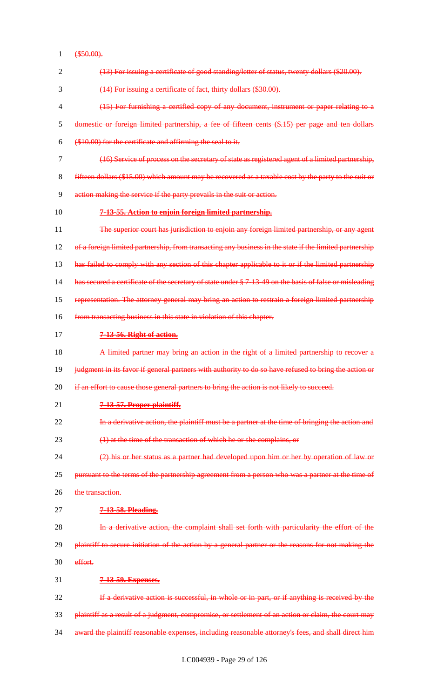- $1 \quad (\$50.00).$
- 2 (13) For issuing a certificate of good standing/letter of status, twenty dollars (\$20.00). 3 (14) For issuing a certificate of fact, thirty dollars (\$30.00). 4 (15) For furnishing a certified copy of any document, instrument or paper relating to a 5 domestic or foreign limited partnership, a fee of fifteen cents (\$.15) per page and ten dollars 6 (\$10.00) for the certificate and affirming the seal to it. 7 (16) Service of process on the secretary of state as registered agent of a limited partnership, 8 fifteen dollars (\$15.00) which amount may be recovered as a taxable cost by the party to the suit or 9 action making the service if the party prevails in the suit or action. 10 **7-13-55. Action to enjoin foreign limited partnership.** 11 The superior court has jurisdiction to enjoin any foreign limited partnership, or any agent 12 of a foreign limited partnership, from transacting any business in the state if the limited partnership 13 has failed to comply with any section of this chapter applicable to it or if the limited partnership 14 has secured a certificate of the secretary of state under § 7-13-49 on the basis of false or misleading 15 representation. The attorney general may bring an action to restrain a foreign limited partnership 16 from transacting business in this state in violation of this chapter. 17 **7-13-56. Right of action.** 18 A limited partner may bring an action in the right of a limited partnership to recover a 19 judgment in its favor if general partners with authority to do so have refused to bring the action or 20 if an effort to cause those general partners to bring the action is not likely to succeed. 21 **7-13-57. Proper plaintiff.** 22 **In a derivative action, the plaintiff must be a partner at the time of bringing the action and** 23 (1) at the time of the transaction of which he or she complains, or 24 (2) his or her status as a partner had developed upon him or her by operation of law or 25 pursuant to the terms of the partnership agreement from a person who was a partner at the time of 26 the transaction. 27 **7-13-58. Pleading.** 28 **In a derivative action, the complaint shall set forth with particularity the effort of the** 29 plaintiff to secure initiation of the action by a general partner or the reasons for not making the 30 effort. 31 **7-13-59. Expenses.** 32 If a derivative action is successful, in whole or in part, or if anything is received by the 33 plaintiff as a result of a judgment, compromise, or settlement of an action or claim, the court may
- 34 award the plaintiff reasonable expenses, including reasonable attorney's fees, and shall direct him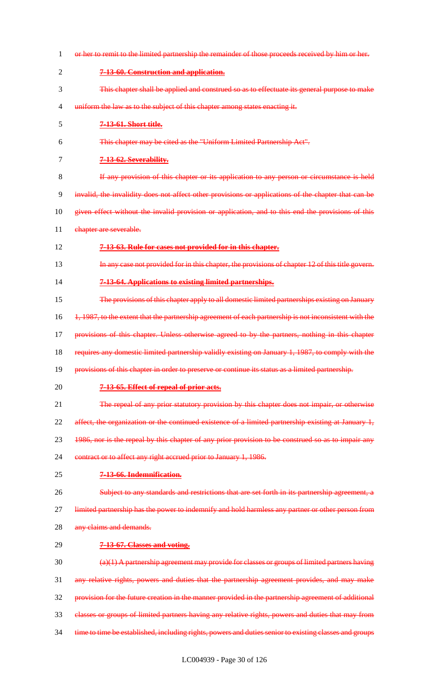1 or her to remit to the limited partnership the remainder of those proceeds received by him or her. 2 **7-13-60. Construction and application.** 3 This chapter shall be applied and construed so as to effectuate its general purpose to make 4 uniform the law as to the subject of this chapter among states enacting it. 5 **7-13-61. Short title.** 6 This chapter may be cited as the "Uniform Limited Partnership Act". 7 **7-13-62. Severability.** 8 If any provision of this chapter or its application to any person or circumstance is held 9 invalid, the invalidity does not affect other provisions or applications of the chapter that can be 10 given effect without the invalid provision or application, and to this end the provisions of this 11 chapter are severable. 12 **7-13-63. Rule for cases not provided for in this chapter.** 13 In any case not provided for in this chapter, the provisions of chapter 12 of this title govern. 14 **7-13-64. Applications to existing limited partnerships.** 15 The provisions of this chapter apply to all domestic limited partnerships existing on January 16 1, 1987, to the extent that the partnership agreement of each partnership is not inconsistent with the 17 provisions of this chapter. Unless otherwise agreed to by the partners, nothing in this chapter 18 requires any domestic limited partnership validly existing on January 1, 1987, to comply with the 19 provisions of this chapter in order to preserve or continue its status as a limited partnership. 20 **7-13-65. Effect of repeal of prior acts.** 21 The repeal of any prior statutory provision by this chapter does not impair, or otherwise 22 affect, the organization or the continued existence of a limited partnership existing at January 1, 23 1986, nor is the repeal by this chapter of any prior provision to be construed so as to impair any 24 contract or to affect any right accrued prior to January 1, 1986. 25 **7-13-66. Indemnification.** 26 Subject to any standards and restrictions that are set forth in its partnership agreement, a 27 limited partnership has the power to indemnify and hold harmless any partner or other person from 28 any claims and demands. 29 **7-13-67. Classes and voting.**  $\left(\frac{a}{1}\right)$  A partnership agreement may provide for classes or groups of limited partners having 31 any relative rights, powers and duties that the partnership agreement provides, and may make 32 provision for the future creation in the manner provided in the partnership agreement of additional 33 classes or groups of limited partners having any relative rights, powers and duties that may from 34 time to time be established, including rights, powers and duties senior to existing classes and groups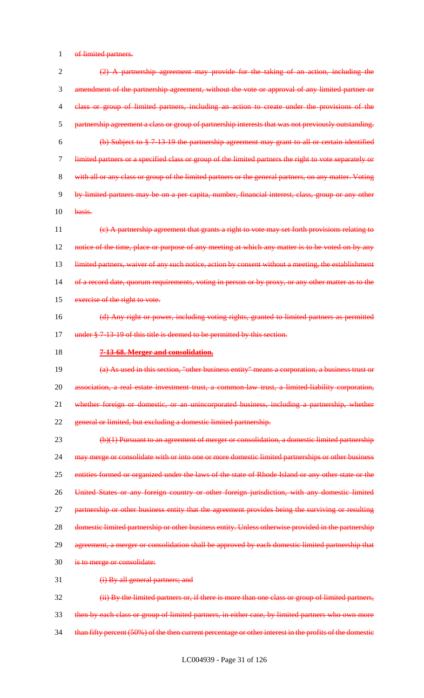1 of limited partners.

| $\overline{2}$ | (2) A partnership agreement may provide for the taking of an action, including the                       |
|----------------|----------------------------------------------------------------------------------------------------------|
| 3              | amendment of the partnership agreement, without the vote or approval of any limited partner or           |
| $\overline{4}$ | class or group of limited partners, including an action to create under the provisions of the            |
| 5              | partnership agreement a class or group of partnership interests that was not previously outstanding.     |
| 6              | (b) Subject to § 7-13-19 the partnership agreement may grant to all or certain identified                |
| $\tau$         | limited partners or a specified class or group of the limited partners the right to vote separately or   |
| 8              | with all or any class or group of the limited partners or the general partners, on any matter. Voting    |
| 9              | by limited partners may be on a per capita, number, financial interest, class, group or any other        |
| 10             | basis.                                                                                                   |
| 11             | (e) A partnership agreement that grants a right to vote may set forth provisions relating to             |
| 12             | notice of the time, place or purpose of any meeting at which any matter is to be voted on by any         |
| 13             | limited partners, waiver of any such notice, action by consent without a meeting, the establishment      |
| 14             | of a record date, quorum requirements, voting in person or by proxy, or any other matter as to the       |
| 15             | exercise of the right to vote.                                                                           |
| 16             | (d) Any right or power, including voting rights, granted to limited partners as permitted                |
| 17             | under § 7-13-19 of this title is deemed to be permitted by this section.                                 |
| 18             | 7-13-68. Merger and consolidation.                                                                       |
| 19             | (a) As used in this section, "other business entity" means a corporation, a business trust or            |
| 20             | association, a real estate investment trust, a common law trust, a limited liability corporation,        |
| 21             | whether foreign or domestic, or an unincorporated business, including a partnership, whether             |
| 22             | general or limited, but excluding a domestic limited partnership.                                        |
| 23             | (b)(1) Pursuant to an agreement of merger or consolidation, a domestic limited partnership               |
| 24             | may merge or consolidate with or into one or more domestic limited partnerships or other business        |
| 25             | entities formed or organized under the laws of the state of Rhode Island or any other state or the       |
| 26             | United States or any foreign country or other foreign jurisdiction, with any domestic limited            |
| 27             | partnership or other business entity that the agreement provides being the surviving or resulting        |
| 28             | domestic limited partnership or other business entity. Unless otherwise provided in the partnership      |
| 29             | agreement, a merger or consolidation shall be approved by each domestic limited partnership that         |
| 30             | is to merge or consolidate:                                                                              |
| 31             | (i) By all general partners; and                                                                         |
| 32             | (ii) By the limited partners or, if there is more than one class or group of limited partners,           |
| 33             | then by each class or group of limited partners, in either case, by limited partners who own more        |
| 34             | than fifty percent (50%) of the then current percentage or other interest in the profits of the domestic |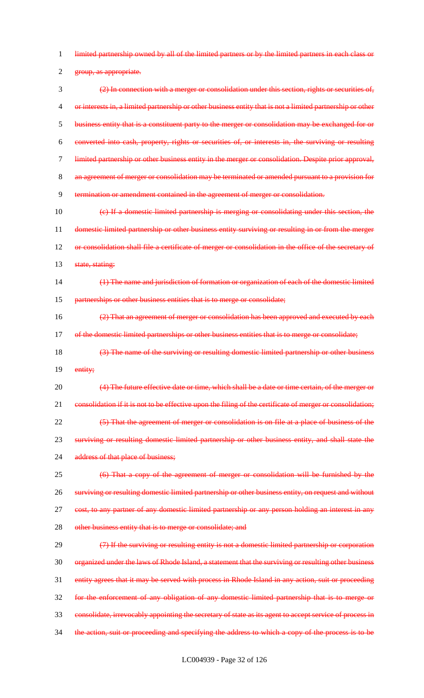1 limited partnership owned by all of the limited partners or by the limited partners in each class or

2 group, as appropriate.

 (2) In connection with a merger or consolidation under this section, rights or securities of, or interests in, a limited partnership or other business entity that is not a limited partnership or other business entity that is a constituent party to the merger or consolidation may be exchanged for or converted into cash, property, rights or securities of, or interests in, the surviving or resulting limited partnership or other business entity in the merger or consolidation. Despite prior approval, an agreement of merger or consolidation may be terminated or amended pursuant to a provision for termination or amendment contained in the agreement of merger or consolidation.

10 (c) If a domestic limited partnership is merging or consolidating under this section, the 11 domestic limited partnership or other business entity surviving or resulting in or from the merger 12 or consolidation shall file a certificate of merger or consolidation in the office of the secretary of 13 state, stating:

14 (1) The name and jurisdiction of formation or organization of each of the domestic limited 15 partnerships or other business entities that is to merge or consolidate;

16 (2) That an agreement of merger or consolidation has been approved and executed by each

17 of the domestic limited partnerships or other business entities that is to merge or consolidate;

18 (3) The name of the surviving or resulting domestic limited partnership or other business 19 entity;

20 (4) The future effective date or time, which shall be a date or time certain, of the merger or 21 consolidation if it is not to be effective upon the filing of the certificate of merger or consolidation; 22 (5) That the agreement of merger or consolidation is on file at a place of business of the 23 surviving or resulting domestic limited partnership or other business entity, and shall state the 24 address of that place of business:

25 (6) That a copy of the agreement of merger or consolidation will be furnished by the 26 surviving or resulting domestic limited partnership or other business entity, on request and without 27 cost, to any partner of any domestic limited partnership or any person holding an interest in any

28 other business entity that is to merge or consolidate; and

29 (7) If the surviving or resulting entity is not a domestic limited partnership or corporation organized under the laws of Rhode Island, a statement that the surviving or resulting other business entity agrees that it may be served with process in Rhode Island in any action, suit or proceeding for the enforcement of any obligation of any domestic limited partnership that is to merge or consolidate, irrevocably appointing the secretary of state as its agent to accept service of process in 34 the action, suit or proceeding and specifying the address to which a copy of the process is to be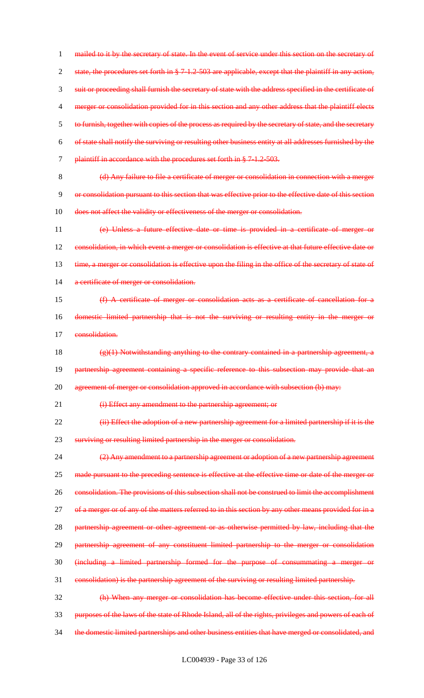1 mailed to it by the secretary of state. In the event of service under this section on the secretary of 2 state, the procedures set forth in § 7-1.2-503 are applicable, except that the plaintiff in any action, 3 suit or proceeding shall furnish the secretary of state with the address specified in the certificate of 4 merger or consolidation provided for in this section and any other address that the plaintiff elects 5 to furnish, together with copies of the process as required by the secretary of state, and the secretary 6 of state shall notify the surviving or resulting other business entity at all addresses furnished by the 7 plaintiff in accordance with the procedures set forth in § 7-1.2-503. 8 (d) Any failure to file a certificate of merger or consolidation in connection with a merger 9 or consolidation pursuant to this section that was effective prior to the effective date of this section 10 does not affect the validity or effectiveness of the merger or consolidation. 11 (e) Unless a future effective date or time is provided in a certificate of merger or 12 consolidation, in which event a merger or consolidation is effective at that future effective date or 13 time, a merger or consolidation is effective upon the filing in the office of the secretary of state of 14 a certificate of merger or consolidation. 15 (f) A certificate of merger or consolidation acts as a certificate of cancellation for a 16 domestic limited partnership that is not the surviving or resulting entity in the merger or 17 consolidation. 18  $(g)(1)$  Notwithstanding anything to the contrary contained in a partnership agreement, a 19 partnership agreement containing a specific reference to this subsection may provide that an 20 agreement of merger or consolidation approved in accordance with subsection (b) may: 21 (i) Effect any amendment to the partnership agreement; or 22 (ii) Effect the adoption of a new partnership agreement for a limited partnership if it is the 23 surviving or resulting limited partnership in the merger or consolidation. 24 (2) Any amendment to a partnership agreement or adoption of a new partnership agreement 25 made pursuant to the preceding sentence is effective at the effective time or date of the merger or 26 consolidation. The provisions of this subsection shall not be construed to limit the accomplishment 27 of a merger or of any of the matters referred to in this section by any other means provided for in a 28 partnership agreement or other agreement or as otherwise permitted by law, including that the 29 partnership agreement of any constituent limited partnership to the merger or consolidation 30 (including a limited partnership formed for the purpose of consummating a merger or 31 consolidation) is the partnership agreement of the surviving or resulting limited partnership. 32 (h) When any merger or consolidation has become effective under this section, for all 33 purposes of the laws of the state of Rhode Island, all of the rights, privileges and powers of each of 34 the domestic limited partnerships and other business entities that have merged or consolidated, and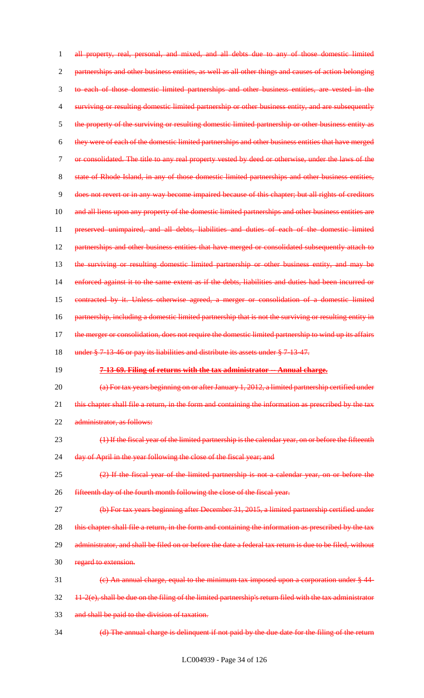all property, real, personal, and mixed, and all debts due to any of those domestic limited partnerships and other business entities, as well as all other things and causes of action belonging to each of those domestic limited partnerships and other business entities, are vested in the 4 surviving or resulting domestic limited partnership or other business entity, and are subsequently the property of the surviving or resulting domestic limited partnership or other business entity as they were of each of the domestic limited partnerships and other business entities that have merged or consolidated. The title to any real property vested by deed or otherwise, under the laws of the state of Rhode Island, in any of those domestic limited partnerships and other business entities, does not revert or in any way become impaired because of this chapter; but all rights of creditors 10 and all liens upon any property of the domestic limited partnerships and other business entities are preserved unimpaired, and all debts, liabilities and duties of each of the domestic limited 12 partnerships and other business entities that have merged or consolidated subsequently attach to 13 the surviving or resulting domestic limited partnership or other business entity, and may be enforced against it to the same extent as if the debts, liabilities and duties had been incurred or contracted by it. Unless otherwise agreed, a merger or consolidation of a domestic limited 16 partnership, including a domestic limited partnership that is not the surviving or resulting entity in the merger or consolidation, does not require the domestic limited partnership to wind up its affairs 18 under § 7-13-46 or pay its liabilities and distribute its assets under § 7-13-47. **7-13-69. Filing of returns with the tax administrator -- Annual charge.**

- 20 (a) For tax years beginning on or after January 1, 2012, a limited partnership certified under 21 this chapter shall file a return, in the form and containing the information as prescribed by the tax
- 22 administrator, as follows:
- 23 (1) If the fiscal year of the limited partnership is the calendar year, on or before the fifteenth
- 24 day of April in the year following the close of the fiscal year; and
- 25 (2) If the fiscal year of the limited partnership is not a calendar year, on or before the 26 fifteenth day of the fourth month following the close of the fiscal year.
- 27 (b) For tax years beginning after December 31, 2015, a limited partnership certified under
- 28 this chapter shall file a return, in the form and containing the information as prescribed by the tax
- 29 administrator, and shall be filed on or before the date a federal tax return is due to be filed, without
- 30 regard to extension.
- 31 (c) An annual charge, equal to the minimum tax imposed upon a corporation under § 44-
- $32$  11-2(e), shall be due on the filing of the limited partnership's return filed with the tax administrator
- 33 and shall be paid to the division of taxation.
- 34 (d) The annual charge is delinquent if not paid by the due date for the filing of the return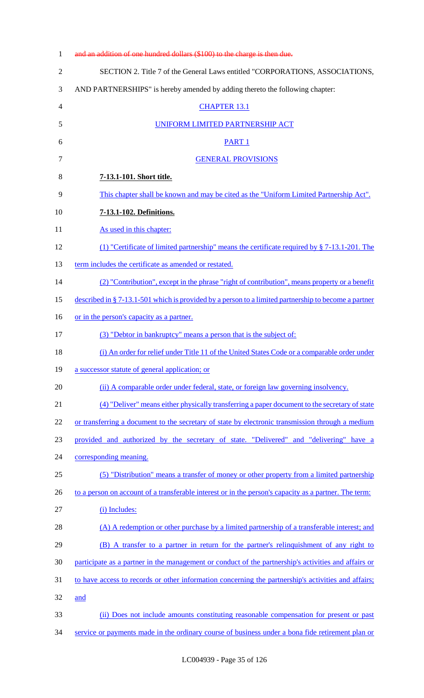| $\mathbf{1}$   | and an addition of one hundred dollars (\$100) to the charge is then due.                             |
|----------------|-------------------------------------------------------------------------------------------------------|
| $\overline{c}$ | SECTION 2. Title 7 of the General Laws entitled "CORPORATIONS, ASSOCIATIONS,                          |
| 3              | AND PARTNERSHIPS" is hereby amended by adding thereto the following chapter:                          |
| 4              | <b>CHAPTER 13.1</b>                                                                                   |
| 5              | UNIFORM LIMITED PARTNERSHIP ACT                                                                       |
| 6              | <b>PART 1</b>                                                                                         |
| 7              | <b>GENERAL PROVISIONS</b>                                                                             |
| 8              | 7-13.1-101. Short title.                                                                              |
| 9              | This chapter shall be known and may be cited as the "Uniform Limited Partnership Act".                |
| 10             | 7-13.1-102. Definitions.                                                                              |
| 11             | As used in this chapter:                                                                              |
| 12             | (1) "Certificate of limited partnership" means the certificate required by $\S$ 7-13.1-201. The       |
| 13             | term includes the certificate as amended or restated.                                                 |
| 14             | (2) "Contribution", except in the phrase "right of contribution", means property or a benefit         |
| 15             | described in § 7-13.1-501 which is provided by a person to a limited partnership to become a partner  |
| 16             | or in the person's capacity as a partner.                                                             |
| 17             | (3) "Debtor in bankruptcy" means a person that is the subject of:                                     |
| 18             | (i) An order for relief under Title 11 of the United States Code or a comparable order under          |
| 19             | a successor statute of general application; or                                                        |
| 20             | (ii) A comparable order under federal, state, or foreign law governing insolvency.                    |
| 21             | (4) "Deliver" means either physically transferring a paper document to the secretary of state         |
| 22             | or transferring a document to the secretary of state by electronic transmission through a medium      |
| 23             | provided and authorized by the secretary of state. "Delivered" and "delivering" have a                |
| 24             | corresponding meaning.                                                                                |
| 25             | (5) "Distribution" means a transfer of money or other property from a limited partnership             |
| 26             | to a person on account of a transferable interest or in the person's capacity as a partner. The term: |
| 27             | (i) Includes:                                                                                         |
| 28             | (A) A redemption or other purchase by a limited partnership of a transferable interest; and           |
| 29             | (B) A transfer to a partner in return for the partner's relinquishment of any right to                |
| 30             | participate as a partner in the management or conduct of the partnership's activities and affairs or  |
| 31             | to have access to records or other information concerning the partnership's activities and affairs;   |
| 32             | and                                                                                                   |
| 33             | (ii) Does not include amounts constituting reasonable compensation for present or past                |
| 34             | service or payments made in the ordinary course of business under a bona fide retirement plan or      |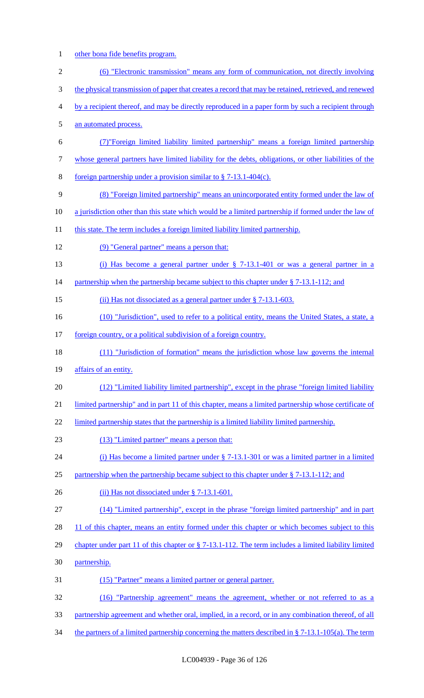1 other bona fide benefits program.

| $\sqrt{2}$       | (6) "Electronic transmission" means any form of communication, not directly involving                   |
|------------------|---------------------------------------------------------------------------------------------------------|
| 3                | the physical transmission of paper that creates a record that may be retained, retrieved, and renewed   |
| 4                | by a recipient thereof, and may be directly reproduced in a paper form by such a recipient through      |
| 5                | an automated process.                                                                                   |
| 6                | (7) "Foreign limited liability limited partnership" means a foreign limited partnership                 |
| $\boldsymbol{7}$ | whose general partners have limited liability for the debts, obligations, or other liabilities of the   |
| $\, 8$           | foreign partnership under a provision similar to $\S$ 7-13.1-404(c).                                    |
| 9                | (8) "Foreign limited partnership" means an unincorporated entity formed under the law of                |
| 10               | a jurisdiction other than this state which would be a limited partnership if formed under the law of    |
| 11               | this state. The term includes a foreign limited liability limited partnership.                          |
| 12               | (9) "General partner" means a person that:                                                              |
| 13               | (i) Has become a general partner under $\S$ 7-13.1-401 or was a general partner in a                    |
| 14               | partnership when the partnership became subject to this chapter under § 7-13.1-112; and                 |
| 15               | (ii) Has not dissociated as a general partner under § 7-13.1-603.                                       |
| 16               | (10) "Jurisdiction", used to refer to a political entity, means the United States, a state, a           |
| 17               | foreign country, or a political subdivision of a foreign country.                                       |
| 18               | (11) "Jurisdiction of formation" means the jurisdiction whose law governs the internal                  |
| 19               | affairs of an entity.                                                                                   |
| 20               | (12) "Limited liability limited partnership", except in the phrase "foreign limited liability           |
| 21               | limited partnership" and in part 11 of this chapter, means a limited partnership whose certificate of   |
| 22               | limited partnership states that the partnership is a limited liability limited partnership.             |
| 23               | (13) "Limited partner" means a person that:                                                             |
| 24               | (i) Has become a limited partner under $\S$ 7-13.1-301 or was a limited partner in a limited            |
| 25               | partnership when the partnership became subject to this chapter under § 7-13.1-112; and                 |
| 26               | (ii) Has not dissociated under $\S$ 7-13.1-601.                                                         |
| 27               | (14) "Limited partnership", except in the phrase "foreign limited partnership" and in part              |
| 28               | 11 of this chapter, means an entity formed under this chapter or which becomes subject to this          |
| 29               | chapter under part 11 of this chapter or $\S$ 7-13.1-112. The term includes a limited liability limited |
| 30               | partnership.                                                                                            |
| 31               | (15) "Partner" means a limited partner or general partner.                                              |
| 32               | (16) "Partnership agreement" means the agreement, whether or not referred to as a                       |
| 33               | partnership agreement and whether oral, implied, in a record, or in any combination thereof, of all     |
| 34               | the partners of a limited partnership concerning the matters described in $\S$ 7-13.1-105(a). The term  |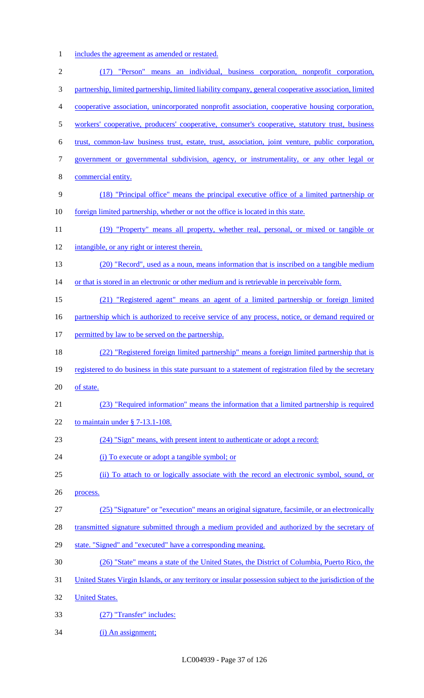1 includes the agreement as amended or restated.

| $\sqrt{2}$       | (17) "Person" means an individual, business corporation, nonprofit corporation,                         |
|------------------|---------------------------------------------------------------------------------------------------------|
| 3                | partnership, limited partnership, limited liability company, general cooperative association, limited   |
| 4                | cooperative association, unincorporated nonprofit association, cooperative housing corporation,         |
| 5                | workers' cooperative, producers' cooperative, consumer's cooperative, statutory trust, business         |
| 6                | trust, common-law business trust, estate, trust, association, joint venture, public corporation,        |
| $\boldsymbol{7}$ | government or governmental subdivision, agency, or instrumentality, or any other legal or               |
| $8\,$            | commercial entity.                                                                                      |
| 9                | (18) "Principal office" means the principal executive office of a limited partnership or                |
| 10               | foreign limited partnership, whether or not the office is located in this state.                        |
| 11               | (19) "Property" means all property, whether real, personal, or mixed or tangible or                     |
| 12               | intangible, or any right or interest therein.                                                           |
| 13               | (20) "Record", used as a noun, means information that is inscribed on a tangible medium                 |
| 14               | or that is stored in an electronic or other medium and is retrievable in perceivable form.              |
| 15               | (21) "Registered agent" means an agent of a limited partnership or foreign limited                      |
| 16               | partnership which is authorized to receive service of any process, notice, or demand required or        |
| 17               | permitted by law to be served on the partnership.                                                       |
| 18               | (22) "Registered foreign limited partnership" means a foreign limited partnership that is               |
| 19               | registered to do business in this state pursuant to a statement of registration filed by the secretary  |
| 20               | of state.                                                                                               |
| 21               | (23) "Required information" means the information that a limited partnership is required                |
| 22               | to maintain under $\S$ 7-13.1-108.                                                                      |
| 23               | (24) "Sign" means, with present intent to authenticate or adopt a record:                               |
| 24               | (i) To execute or adopt a tangible symbol; or                                                           |
| 25               | (ii) To attach to or logically associate with the record an electronic symbol, sound, or                |
| 26               | process.                                                                                                |
| 27               | (25) "Signature" or "execution" means an original signature, facsimile, or an electronically            |
| 28               | transmitted signature submitted through a medium provided and authorized by the secretary of            |
| 29               | state. "Signed" and "executed" have a corresponding meaning.                                            |
| 30               | (26) "State" means a state of the United States, the District of Columbia, Puerto Rico, the             |
| 31               | United States Virgin Islands, or any territory or insular possession subject to the jurisdiction of the |
| 32               | <b>United States.</b>                                                                                   |
| 33               | (27) "Transfer" includes:                                                                               |
| 34               | (i) An assignment;                                                                                      |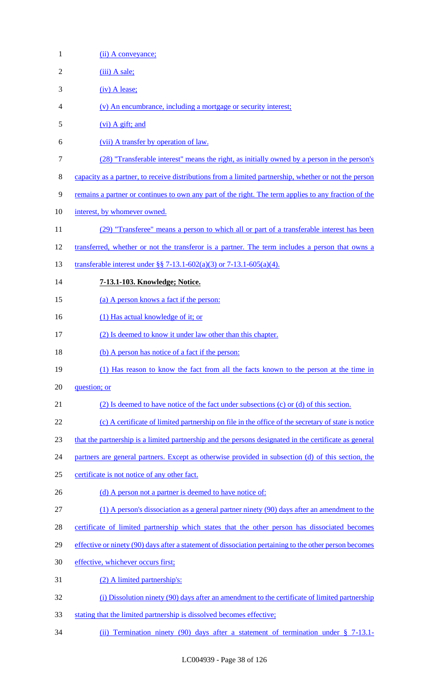| $\mathbf{1}$   | (ii) A conveyance;                                                                                     |
|----------------|--------------------------------------------------------------------------------------------------------|
| $\overline{2}$ | (iii) A sale;                                                                                          |
| 3              | $(iv)$ A lease;                                                                                        |
| $\overline{4}$ | (v) An encumbrance, including a mortgage or security interest;                                         |
| 5              | $(vi)$ A gift; and                                                                                     |
| 6              | (vii) A transfer by operation of law.                                                                  |
| $\overline{7}$ | (28) "Transferable interest" means the right, as initially owned by a person in the person's           |
| 8              | capacity as a partner, to receive distributions from a limited partnership, whether or not the person  |
| 9              | remains a partner or continues to own any part of the right. The term applies to any fraction of the   |
| 10             | interest, by whomever owned.                                                                           |
| 11             | (29) "Transferee" means a person to which all or part of a transferable interest has been              |
| 12             | transferred, whether or not the transferor is a partner. The term includes a person that owns a        |
| 13             | transferable interest under §§ 7-13.1-602(a)(3) or 7-13.1-605(a)(4).                                   |
| 14             | 7-13.1-103. Knowledge; Notice.                                                                         |
| 15             | (a) A person knows a fact if the person:                                                               |
| 16             | (1) Has actual knowledge of it; or                                                                     |
| 17             | (2) Is deemed to know it under law other than this chapter.                                            |
| 18             | (b) A person has notice of a fact if the person:                                                       |
| 19             | (1) Has reason to know the fact from all the facts known to the person at the time in                  |
| 20             | question; or                                                                                           |
| 21             | (2) Is deemed to have notice of the fact under subsections (c) or (d) of this section.                 |
| 22             | (c) A certificate of limited partnership on file in the office of the secretary of state is notice     |
| 23             | that the partnership is a limited partnership and the persons designated in the certificate as general |
| 24             | partners are general partners. Except as otherwise provided in subsection (d) of this section, the     |
| 25             | certificate is not notice of any other fact.                                                           |
| 26             | (d) A person not a partner is deemed to have notice of:                                                |
| 27             | $(1)$ A person's dissociation as a general partner ninety (90) days after an amendment to the          |
| 28             | certificate of limited partnership which states that the other person has dissociated becomes          |
| 29             | effective or ninety (90) days after a statement of dissociation pertaining to the other person becomes |
| 30             | effective, whichever occurs first;                                                                     |
| 31             | (2) A limited partnership's:                                                                           |
| 32             | (i) Dissolution ninety (90) days after an amendment to the certificate of limited partnership          |
| 33             | stating that the limited partnership is dissolved becomes effective;                                   |
| 34             | (ii) Termination ninety (90) days after a statement of termination under $\S$ 7-13.1-                  |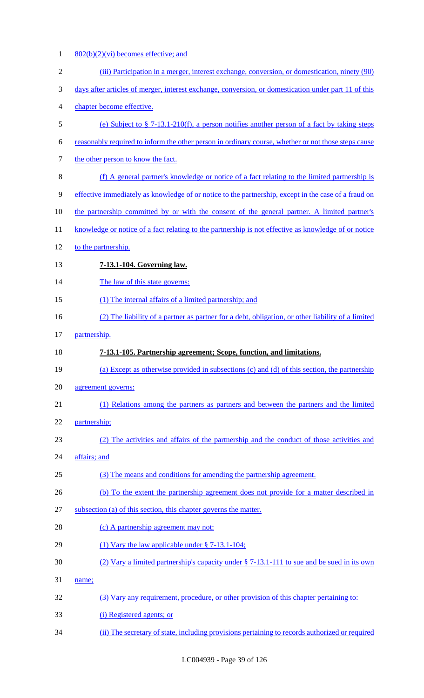1  $802(b)(2)(vi)$  becomes effective; and

| $\mathfrak{2}$ | (iii) Participation in a merger, interest exchange, conversion, or domestication, ninety (90)        |
|----------------|------------------------------------------------------------------------------------------------------|
| 3              | days after articles of merger, interest exchange, conversion, or domestication under part 11 of this |
| 4              | chapter become effective.                                                                            |
| 5              | (e) Subject to § 7-13.1-210(f), a person notifies another person of a fact by taking steps           |
| 6              | reasonably required to inform the other person in ordinary course, whether or not those steps cause  |
| 7              | the other person to know the fact.                                                                   |
| 8              | (f) A general partner's knowledge or notice of a fact relating to the limited partnership is         |
| 9              | effective immediately as knowledge of or notice to the partnership, except in the case of a fraud on |
| 10             | the partnership committed by or with the consent of the general partner. A limited partner's         |
| 11             | knowledge or notice of a fact relating to the partnership is not effective as knowledge of or notice |
| 12             | to the partnership.                                                                                  |
| 13             | 7-13.1-104. Governing law.                                                                           |
| 14             | The law of this state governs:                                                                       |
| 15             | (1) The internal affairs of a limited partnership; and                                               |
| 16             | (2) The liability of a partner as partner for a debt, obligation, or other liability of a limited    |
| 17             | partnership.                                                                                         |
|                |                                                                                                      |
| 18             | 7-13.1-105. Partnership agreement; Scope, function, and limitations.                                 |
| 19             | (a) Except as otherwise provided in subsections (c) and (d) of this section, the partnership         |
| 20             | agreement governs:                                                                                   |
| 21             | (1) Relations among the partners as partners and between the partners and the limited                |
| 22             | partnership;                                                                                         |
| 23             | (2) The activities and affairs of the partnership and the conduct of those activities and            |
| 24             | affairs; and                                                                                         |
| 25             | (3) The means and conditions for amending the partnership agreement.                                 |
| 26             | (b) To the extent the partnership agreement does not provide for a matter described in               |
| 27             | subsection (a) of this section, this chapter governs the matter.                                     |
| 28             | (c) A partnership agreement may not:                                                                 |
| 29             | (1) Vary the law applicable under $\S$ 7-13.1-104;                                                   |
| 30             | (2) Vary a limited partnership's capacity under § 7-13.1-111 to sue and be sued in its own           |
| 31             | name;                                                                                                |
| 32             | (3) Vary any requirement, procedure, or other provision of this chapter pertaining to:               |

(ii) The secretary of state, including provisions pertaining to records authorized or required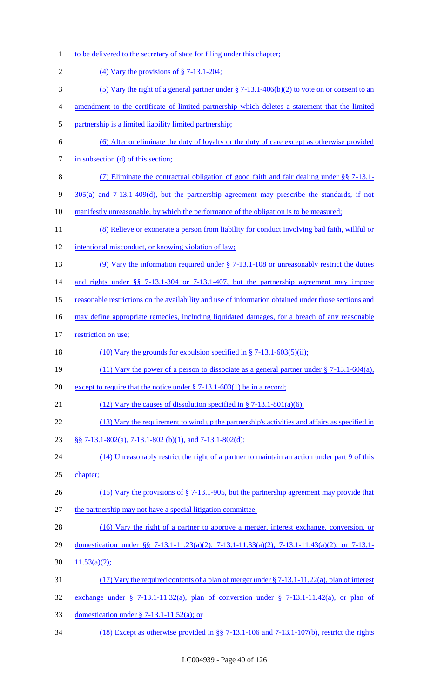1 to be delivered to the secretary of state for filing under this chapter; 2 (4) Vary the provisions of  $\S$  7-13.1-204; (5) Vary the right of a general partner under § 7-13.1-406(b)(2) to vote on or consent to an amendment to the certificate of limited partnership which deletes a statement that the limited partnership is a limited liability limited partnership; (6) Alter or eliminate the duty of loyalty or the duty of care except as otherwise provided 7 in subsection (d) of this section; (7) Eliminate the contractual obligation of good faith and fair dealing under §§ 7-13.1- 305(a) and 7-13.1-409(d), but the partnership agreement may prescribe the standards, if not 10 manifestly unreasonable, by which the performance of the obligation is to be measured; (8) Relieve or exonerate a person from liability for conduct involving bad faith, willful or intentional misconduct, or knowing violation of law; (9) Vary the information required under § 7-13.1-108 or unreasonably restrict the duties and rights under §§ 7-13.1-304 or 7-13.1-407, but the partnership agreement may impose reasonable restrictions on the availability and use of information obtained under those sections and 16 may define appropriate remedies, including liquidated damages, for a breach of any reasonable 17 restriction on use; 18 (10) Vary the grounds for expulsion specified in § 7-13.1-603(5)(ii); (11) Vary the power of a person to dissociate as a general partner under § 7-13.1-604(a), 20 except to require that the notice under  $\S$  7-13.1-603(1) be in a record; 21 (12) Vary the causes of dissolution specified in  $\S$  7-13.1-801(a)(6); (13) Vary the requirement to wind up the partnership's activities and affairs as specified in §§ 7-13.1-802(a), 7-13.1-802 (b)(1), and 7-13.1-802(d); (14) Unreasonably restrict the right of a partner to maintain an action under part 9 of this chapter; (15) Vary the provisions of § 7-13.1-905, but the partnership agreement may provide that the partnership may not have a special litigation committee; 28 (16) Vary the right of a partner to approve a merger, interest exchange, conversion, or domestication under §§ 7-13.1-11.23(a)(2), 7-13.1-11.33(a)(2), 7-13.1-11.43(a)(2), or 7-13.1-  $11.53(a)(2)$ ; (17) Vary the required contents of a plan of merger under § 7-13.1-11.22(a), plan of interest exchange under § 7-13.1-11.32(a), plan of conversion under § 7-13.1-11.42(a), or plan of domestication under § 7-13.1-11.52(a); or (18) Except as otherwise provided in §§ 7-13.1-106 and 7-13.1-107(b), restrict the rights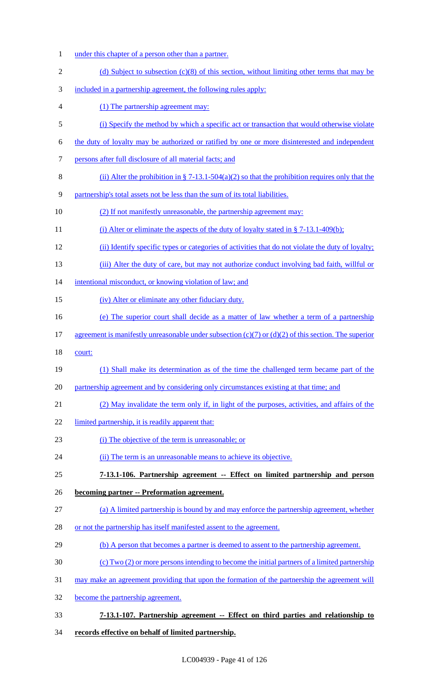- 1 under this chapter of a person other than a partner.
- 2 (d) Subject to subsection (c)(8) of this section, without limiting other terms that may be
- 3 included in a partnership agreement, the following rules apply:
- 4 (1) The partnership agreement may:
- 5 (i) Specify the method by which a specific act or transaction that would otherwise violate
- 6 the duty of loyalty may be authorized or ratified by one or more disinterested and independent
- 7 persons after full disclosure of all material facts; and
- 8 (ii) Alter the prohibition in  $\S 7-13.1-504(a)(2)$  so that the prohibition requires only that the
- 9 partnership's total assets not be less than the sum of its total liabilities.
- 10 (2) If not manifestly unreasonable, the partnership agreement may:
- 11 (i) Alter or eliminate the aspects of the duty of loyalty stated in § 7-13.1-409(b);
- 12 (ii) Identify specific types or categories of activities that do not violate the duty of loyalty;
- 13 (iii) Alter the duty of care, but may not authorize conduct involving bad faith, willful or
- 14 intentional misconduct, or knowing violation of law; and
- 15 (iv) Alter or eliminate any other fiduciary duty.
- 16 (e) The superior court shall decide as a matter of law whether a term of a partnership
- 17 agreement is manifestly unreasonable under subsection  $(c)(7)$  or  $(d)(2)$  of this section. The superior
- 18 court:
- 19 (1) Shall make its determination as of the time the challenged term became part of the
- 20 partnership agreement and by considering only circumstances existing at that time; and
- 21 (2) May invalidate the term only if, in light of the purposes, activities, and affairs of the
- 22 limited partnership, it is readily apparent that:
- 23 (i) The objective of the term is unreasonable; or
- 24 (ii) The term is an unreasonable means to achieve its objective.

## 25 **7-13.1-106. Partnership agreement -- Effect on limited partnership and person**

- 26 **becoming partner -- Preformation agreement.**
- 27 (a) A limited partnership is bound by and may enforce the partnership agreement, whether
- 28 or not the partnership has itself manifested assent to the agreement.
- 29 (b) A person that becomes a partner is deemed to assent to the partnership agreement.
- 30 (c) Two (2) or more persons intending to become the initial partners of a limited partnership
- 31 may make an agreement providing that upon the formation of the partnership the agreement will
- 32 become the partnership agreement.
- 33 **7-13.1-107. Partnership agreement -- Effect on third parties and relationship to**
- 34 **records effective on behalf of limited partnership.**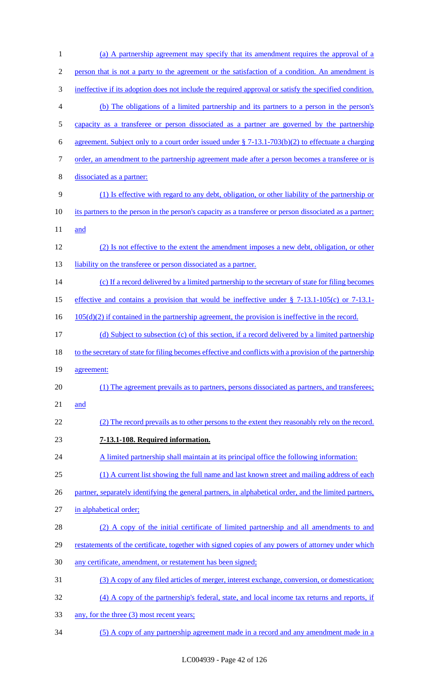| $\mathbf{1}$   | (a) A partnership agreement may specify that its amendment requires the approval of a                    |
|----------------|----------------------------------------------------------------------------------------------------------|
| $\overline{c}$ | person that is not a party to the agreement or the satisfaction of a condition. An amendment is          |
| 3              | ineffective if its adoption does not include the required approval or satisfy the specified condition.   |
| 4              | (b) The obligations of a limited partnership and its partners to a person in the person's                |
| 5              | capacity as a transferee or person dissociated as a partner are governed by the partnership              |
| 6              | agreement. Subject only to a court order issued under $\S$ 7-13.1-703(b)(2) to effectuate a charging     |
| 7              | order, an amendment to the partnership agreement made after a person becomes a transferee or is          |
| 8              | dissociated as a partner:                                                                                |
| 9              | (1) Is effective with regard to any debt, obligation, or other liability of the partnership or           |
| 10             | its partners to the person in the person's capacity as a transferee or person dissociated as a partner;  |
| 11             | and                                                                                                      |
| 12             | (2) Is not effective to the extent the amendment imposes a new debt, obligation, or other                |
| 13             | liability on the transferee or person dissociated as a partner.                                          |
| 14             | (c) If a record delivered by a limited partnership to the secretary of state for filing becomes          |
| 15             | effective and contains a provision that would be ineffective under $\S$ 7-13.1-105(c) or 7-13.1-         |
| 16             | $105(d)(2)$ if contained in the partnership agreement, the provision is ineffective in the record.       |
| 17             | (d) Subject to subsection (c) of this section, if a record delivered by a limited partnership            |
| 18             | to the secretary of state for filing becomes effective and conflicts with a provision of the partnership |
| 19             | agreement:                                                                                               |
| 20             | (1) The agreement prevails as to partners, persons dissociated as partners, and transferees;             |
| 21             | and                                                                                                      |
| 22             | (2) The record prevails as to other persons to the extent they reasonably rely on the record.            |
| 23             | 7-13.1-108. Required information.                                                                        |
| 24             | A limited partnership shall maintain at its principal office the following information:                  |
| 25             | (1) A current list showing the full name and last known street and mailing address of each               |
| 26             | partner, separately identifying the general partners, in alphabetical order, and the limited partners,   |
| 27             | in alphabetical order;                                                                                   |
| 28             | (2) A copy of the initial certificate of limited partnership and all amendments to and                   |
| 29             | restatements of the certificate, together with signed copies of any powers of attorney under which       |
| 30             | any certificate, amendment, or restatement has been signed;                                              |
| 31             | (3) A copy of any filed articles of merger, interest exchange, conversion, or domestication;             |
| 32             | (4) A copy of the partnership's federal, state, and local income tax returns and reports, if             |
| 33             | any, for the three (3) most recent years;                                                                |
| 34             | (5) A copy of any partnership agreement made in a record and any amendment made in a                     |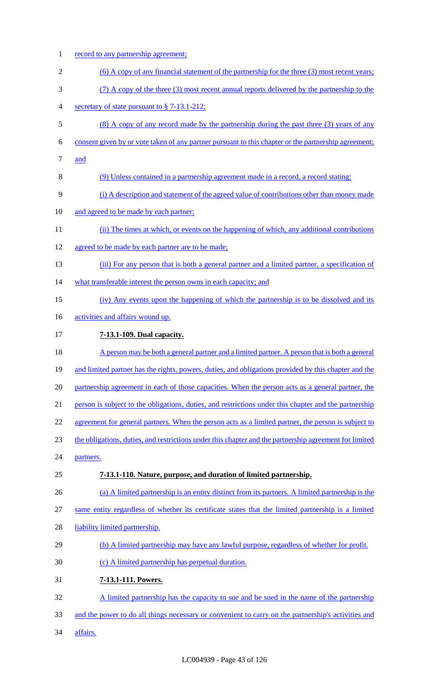- 1 record to any partnership agreement; 2 (6) A copy of any financial statement of the partnership for the three (3) most recent years; 3 (7) A copy of the three (3) most recent annual reports delivered by the partnership to the 4 secretary of state pursuant to § 7-13.1-212; 5 (8) A copy of any record made by the partnership during the past three (3) years of any 6 consent given by or vote taken of any partner pursuant to this chapter or the partnership agreement; 7 and 8 (9) Unless contained in a partnership agreement made in a record, a record stating: 9 (i) A description and statement of the agreed value of contributions other than money made 10 and agreed to be made by each partner; 11 (ii) The times at which, or events on the happening of which, any additional contributions 12 agreed to be made by each partner are to be made; 13 (iii) For any person that is both a general partner and a limited partner, a specification of 14 what transferable interest the person owns in each capacity; and 15 (iv) Any events upon the happening of which the partnership is to be dissolved and its 16 activities and affairs wound up. 17 **7-13.1-109. Dual capacity.** 18 A person may be both a general partner and a limited partner. A person that is both a general 19 and limited partner has the rights, powers, duties, and obligations provided by this chapter and the 20 partnership agreement in each of those capacities. When the person acts as a general partner, the 21 person is subject to the obligations, duties, and restrictions under this chapter and the partnership 22 agreement for general partners. When the person acts as a limited partner, the person is subject to 23 the obligations, duties, and restrictions under this chapter and the partnership agreement for limited 24 partners. 25 **7-13.1-110. Nature, purpose, and duration of limited partnership.** 26 (a) A limited partnership is an entity distinct from its partners. A limited partnership is the 27 same entity regardless of whether its certificate states that the limited partnership is a limited 28 liability limited partnership. 29 (b) A limited partnership may have any lawful purpose, regardless of whether for profit. 30 (c) A limited partnership has perpetual duration. 31 **7-13.1-111. Powers.** 32 A limited partnership has the capacity to sue and be sued in the name of the partnership 33 and the power to do all things necessary or convenient to carry on the partnership's activities and
- 34 **affairs.**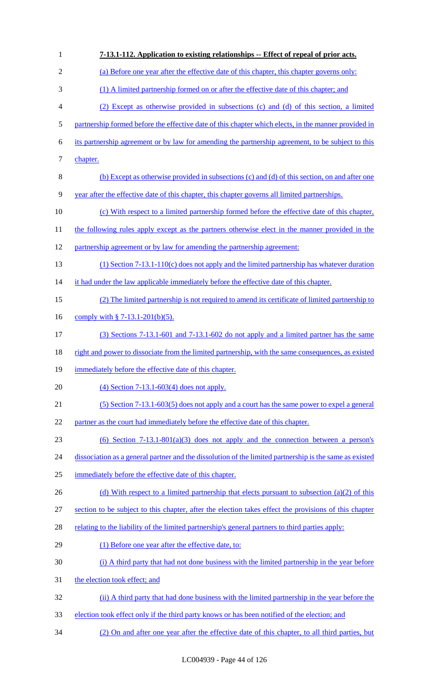| $\mathbf{1}$   | 7-13.1-112. Application to existing relationships -- Effect of repeal of prior acts.                    |
|----------------|---------------------------------------------------------------------------------------------------------|
| $\overline{2}$ | (a) Before one year after the effective date of this chapter, this chapter governs only:                |
| 3              | (1) A limited partnership formed on or after the effective date of this chapter; and                    |
| $\overline{4}$ | (2) Except as otherwise provided in subsections (c) and (d) of this section, a limited                  |
| 5              | partnership formed before the effective date of this chapter which elects, in the manner provided in    |
| 6              | its partnership agreement or by law for amending the partnership agreement, to be subject to this       |
| 7              | chapter.                                                                                                |
| 8              | (b) Except as otherwise provided in subsections (c) and (d) of this section, on and after one           |
| 9              | year after the effective date of this chapter, this chapter governs all limited partnerships.           |
| 10             | (c) With respect to a limited partnership formed before the effective date of this chapter,             |
| 11             | the following rules apply except as the partners otherwise elect in the manner provided in the          |
| 12             | partnership agreement or by law for amending the partnership agreement:                                 |
| 13             | $(1)$ Section 7-13.1-110(c) does not apply and the limited partnership has whatever duration            |
| 14             | it had under the law applicable immediately before the effective date of this chapter.                  |
| 15             | (2) The limited partnership is not required to amend its certificate of limited partnership to          |
| 16             | comply with $\S$ 7-13.1-201(b)(5).                                                                      |
| 17             | $(3)$ Sections 7-13.1-601 and 7-13.1-602 do not apply and a limited partner has the same                |
| 18             | right and power to dissociate from the limited partnership, with the same consequences, as existed      |
| 19             | immediately before the effective date of this chapter.                                                  |
| 20             | $(4)$ Section 7-13.1-603 $(4)$ does not apply.                                                          |
| 21             | $(5)$ Section 7-13.1-603(5) does not apply and a court has the same power to expel a general            |
| 22             | partner as the court had immediately before the effective date of this chapter.                         |
| 23             | $(6)$ Section 7-13.1-801(a)(3) does not apply and the connection between a person's                     |
| 24             | dissociation as a general partner and the dissolution of the limited partnership is the same as existed |
| 25             | immediately before the effective date of this chapter.                                                  |
| 26             | (d) With respect to a limited partnership that elects pursuant to subsection $(a)(2)$ of this           |
| 27             | section to be subject to this chapter, after the election takes effect the provisions of this chapter   |
| 28             | relating to the liability of the limited partnership's general partners to third parties apply:         |
| 29             | (1) Before one year after the effective date, to:                                                       |
| 30             | (i) A third party that had not done business with the limited partnership in the year before            |
| 31             | the election took effect; and                                                                           |
| 32             | (ii) A third party that had done business with the limited partnership in the year before the           |
| 33             | election took effect only if the third party knows or has been notified of the election; and            |
| 34             | (2) On and after one year after the effective date of this chapter, to all third parties, but           |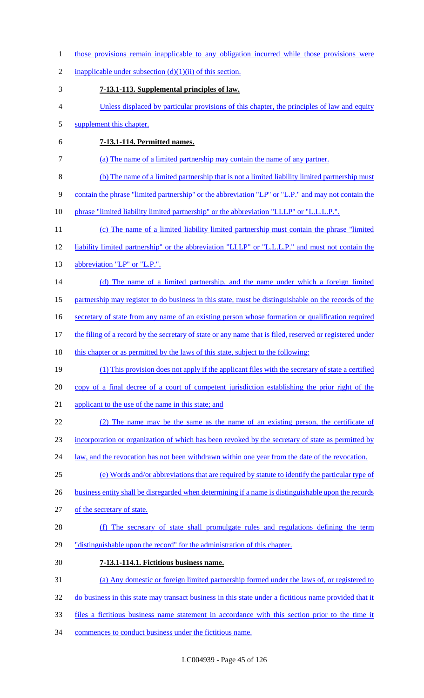1 those provisions remain inapplicable to any obligation incurred while those provisions were 2 inapplicable under subsection  $(d)(1)(ii)$  of this section. 3 **7-13.1-113. Supplemental principles of law.** 4 Unless displaced by particular provisions of this chapter, the principles of law and equity 5 supplement this chapter. 6 **7-13.1-114. Permitted names.** 7 (a) The name of a limited partnership may contain the name of any partner. 8 (b) The name of a limited partnership that is not a limited liability limited partnership must 9 contain the phrase "limited partnership" or the abbreviation "LP" or "L.P." and may not contain the 10 phrase "limited liability limited partnership" or the abbreviation "LLLP" or "L.L.L.P.". 11 (c) The name of a limited liability limited partnership must contain the phrase "limited 12 liability limited partnership" or the abbreviation "LLLP" or "L.L.L.P." and must not contain the 13 abbreviation "LP" or "L.P.". 14 (d) The name of a limited partnership, and the name under which a foreign limited 15 partnership may register to do business in this state, must be distinguishable on the records of the 16 secretary of state from any name of an existing person whose formation or qualification required 17 the filing of a record by the secretary of state or any name that is filed, reserved or registered under 18 this chapter or as permitted by the laws of this state, subject to the following: 19 (1) This provision does not apply if the applicant files with the secretary of state a certified 20 copy of a final decree of a court of competent jurisdiction establishing the prior right of the 21 applicant to the use of the name in this state; and 22 (2) The name may be the same as the name of an existing person, the certificate of 23 incorporation or organization of which has been revoked by the secretary of state as permitted by 24 law, and the revocation has not been withdrawn within one year from the date of the revocation. 25 (e) Words and/or abbreviations that are required by statute to identify the particular type of 26 business entity shall be disregarded when determining if a name is distinguishable upon the records 27 of the secretary of state. 28 (f) The secretary of state shall promulgate rules and regulations defining the term 29 "distinguishable upon the record" for the administration of this chapter. 30 **7-13.1-114.1. Fictitious business name.** 31 (a) Any domestic or foreign limited partnership formed under the laws of, or registered to 32 do business in this state may transact business in this state under a fictitious name provided that it 33 files a fictitious business name statement in accordance with this section prior to the time it 34 commences to conduct business under the fictitious name.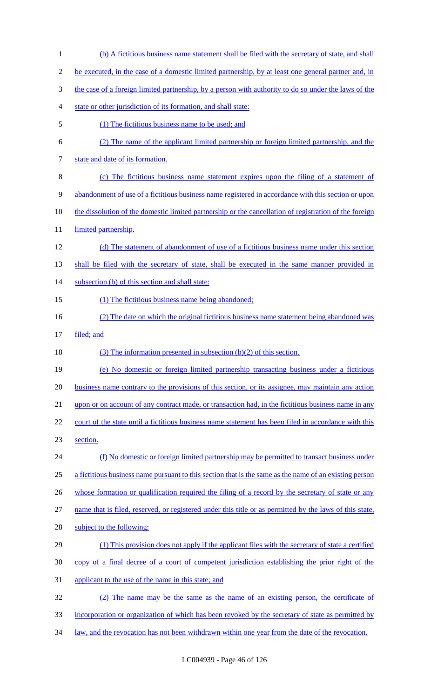(b) A fictitious business name statement shall be filed with the secretary of state, and shall be executed, in the case of a domestic limited partnership, by at least one general partner and, in the case of a foreign limited partnership, by a person with authority to do so under the laws of the state or other jurisdiction of its formation, and shall state: (1) The fictitious business name to be used; and (2) The name of the applicant limited partnership or foreign limited partnership, and the 7 state and date of its formation. (c) The fictitious business name statement expires upon the filing of a statement of abandonment of use of a fictitious business name registered in accordance with this section or upon 10 the dissolution of the domestic limited partnership or the cancellation of registration of the foreign 11 limited partnership. (d) The statement of abandonment of use of a fictitious business name under this section 13 shall be filed with the secretary of state, shall be executed in the same manner provided in 14 subsection (b) of this section and shall state: 15 (1) The fictitious business name being abandoned; (2) The date on which the original fictitious business name statement being abandoned was filed; and (3) The information presented in subsection (b)(2) of this section. (e) No domestic or foreign limited partnership transacting business under a fictitious 20 business name contrary to the provisions of this section, or its assignee, may maintain any action upon or on account of any contract made, or transaction had, in the fictitious business name in any 22 court of the state until a fictitious business name statement has been filed in accordance with this section. (f) No domestic or foreign limited partnership may be permitted to transact business under a fictitious business name pursuant to this section that is the same as the name of an existing person 26 whose formation or qualification required the filing of a record by the secretary of state or any name that is filed, reserved, or registered under this title or as permitted by the laws of this state, 28 subject to the following: (1) This provision does not apply if the applicant files with the secretary of state a certified copy of a final decree of a court of competent jurisdiction establishing the prior right of the applicant to the use of the name in this state; and (2) The name may be the same as the name of an existing person, the certificate of incorporation or organization of which has been revoked by the secretary of state as permitted by 34 law, and the revocation has not been withdrawn within one year from the date of the revocation.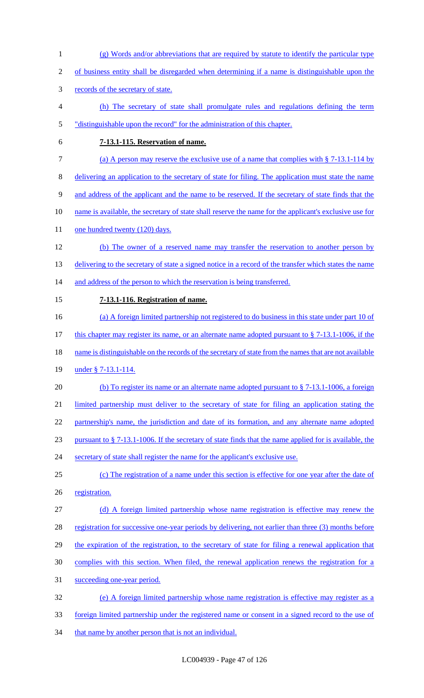- (g) Words and/or abbreviations that are required by statute to identify the particular type of business entity shall be disregarded when determining if a name is distinguishable upon the records of the secretary of state. (h) The secretary of state shall promulgate rules and regulations defining the term 5 "distinguishable upon the record" for the administration of this chapter. **7-13.1-115. Reservation of name.** (a) A person may reserve the exclusive use of a name that complies with § 7-13.1-114 by delivering an application to the secretary of state for filing. The application must state the name and address of the applicant and the name to be reserved. If the secretary of state finds that the 10 name is available, the secretary of state shall reserve the name for the applicant's exclusive use for 11 one hundred twenty (120) days. (b) The owner of a reserved name may transfer the reservation to another person by 13 delivering to the secretary of state a signed notice in a record of the transfer which states the name 14 and address of the person to which the reservation is being transferred. **7-13.1-116. Registration of name.** (a) A foreign limited partnership not registered to do business in this state under part 10 of 17 this chapter may register its name, or an alternate name adopted pursuant to § 7-13.1-1006, if the 18 name is distinguishable on the records of the secretary of state from the names that are not available under § 7-13.1-114. (b) To register its name or an alternate name adopted pursuant to § 7-13.1-1006, a foreign limited partnership must deliver to the secretary of state for filing an application stating the partnership's name, the jurisdiction and date of its formation, and any alternate name adopted pursuant to § 7-13.1-1006. If the secretary of state finds that the name applied for is available, the secretary of state shall register the name for the applicant's exclusive use. (c) The registration of a name under this section is effective for one year after the date of 26 registration. (d) A foreign limited partnership whose name registration is effective may renew the 28 registration for successive one-year periods by delivering, not earlier than three (3) months before the expiration of the registration, to the secretary of state for filing a renewal application that complies with this section. When filed, the renewal application renews the registration for a succeeding one-year period. (e) A foreign limited partnership whose name registration is effective may register as a foreign limited partnership under the registered name or consent in a signed record to the use of
- 34 that name by another person that is not an individual.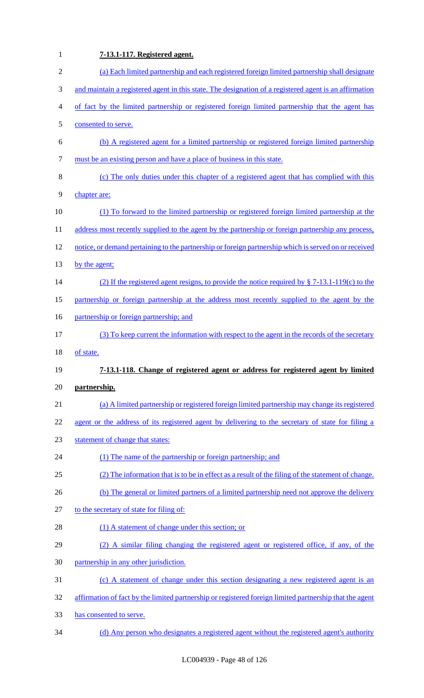**7-13.1-117. Registered agent.** (a) Each limited partnership and each registered foreign limited partnership shall designate and maintain a registered agent in this state. The designation of a registered agent is an affirmation of fact by the limited partnership or registered foreign limited partnership that the agent has consented to serve. (b) A registered agent for a limited partnership or registered foreign limited partnership must be an existing person and have a place of business in this state. (c) The only duties under this chapter of a registered agent that has complied with this chapter are: (1) To forward to the limited partnership or registered foreign limited partnership at the 11 address most recently supplied to the agent by the partnership or foreign partnership any process, notice, or demand pertaining to the partnership or foreign partnership which is served on or received 13 by the agent; (2) If the registered agent resigns, to provide the notice required by § 7-13.1-119(c) to the partnership or foreign partnership at the address most recently supplied to the agent by the 16 partnership or foreign partnership; and (3) To keep current the information with respect to the agent in the records of the secretary of state. **7-13.1-118. Change of registered agent or address for registered agent by limited partnership.** (a) A limited partnership or registered foreign limited partnership may change its registered 22 agent or the address of its registered agent by delivering to the secretary of state for filing a statement of change that states: 24 (1) The name of the partnership or foreign partnership; and (2) The information that is to be in effect as a result of the filing of the statement of change. 26 (b) The general or limited partners of a limited partnership need not approve the delivery to the secretary of state for filing of: 28 (1) A statement of change under this section; or (2) A similar filing changing the registered agent or registered office, if any, of the partnership in any other jurisdiction. (c) A statement of change under this section designating a new registered agent is an 32 affirmation of fact by the limited partnership or registered foreign limited partnership that the agent has consented to serve. (d) Any person who designates a registered agent without the registered agent's authority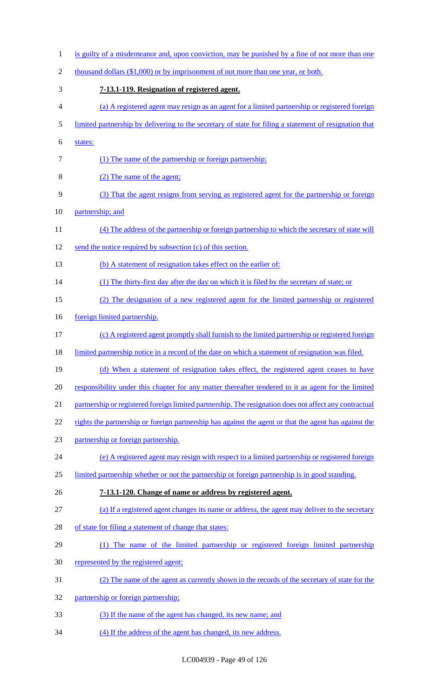1 is guilty of a misdemeanor and, upon conviction, may be punished by a fine of not more than one 2 thousand dollars (\$1,000) or by imprisonment of not more than one year, or both. **7-13.1-119. Resignation of registered agent.** (a) A registered agent may resign as an agent for a limited partnership or registered foreign limited partnership by delivering to the secretary of state for filing a statement of resignation that states: 7 (1) The name of the partnership or foreign partnership; (2) The name of the agent; (3) That the agent resigns from serving as registered agent for the partnership or foreign partnership; and (4) The address of the partnership or foreign partnership to which the secretary of state will 12 send the notice required by subsection (c) of this section. 13 (b) A statement of resignation takes effect on the earlier of: 14 (1) The thirty-first day after the day on which it is filed by the secretary of state; or (2) The designation of a new registered agent for the limited partnership or registered foreign limited partnership. (c) A registered agent promptly shall furnish to the limited partnership or registered foreign 18 limited partnership notice in a record of the date on which a statement of resignation was filed. (d) When a statement of resignation takes effect, the registered agent ceases to have responsibility under this chapter for any matter thereafter tendered to it as agent for the limited 21 partnership or registered foreign limited partnership. The resignation does not affect any contractual 22 rights the partnership or foreign partnership has against the agent or that the agent has against the partnership or foreign partnership. (e) A registered agent may resign with respect to a limited partnership or registered foreign limited partnership whether or not the partnership or foreign partnership is in good standing. **7-13.1-120. Change of name or address by registered agent.** (a) If a registered agent changes its name or address, the agent may deliver to the secretary of state for filing a statement of change that states: (1) The name of the limited partnership or registered foreign limited partnership represented by the registered agent; (2) The name of the agent as currently shown in the records of the secretary of state for the partnership or foreign partnership; (3) If the name of the agent has changed, its new name; and (4) If the address of the agent has changed, its new address.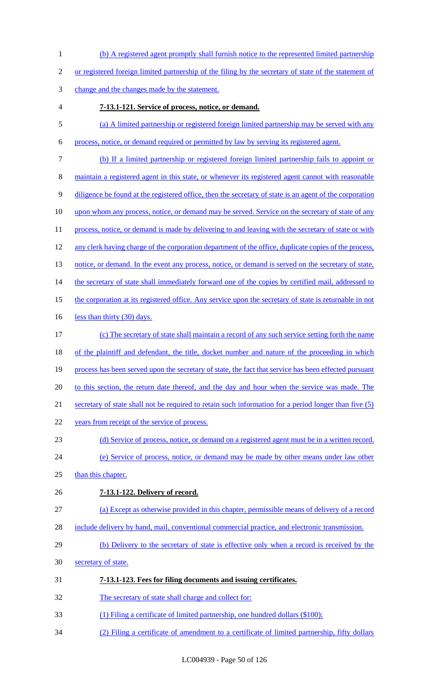(b) A registered agent promptly shall furnish notice to the represented limited partnership or registered foreign limited partnership of the filing by the secretary of state of the statement of change and the changes made by the statement. **7-13.1-121. Service of process, notice, or demand.** (a) A limited partnership or registered foreign limited partnership may be served with any process, notice, or demand required or permitted by law by serving its registered agent. (b) If a limited partnership or registered foreign limited partnership fails to appoint or maintain a registered agent in this state, or whenever its registered agent cannot with reasonable diligence be found at the registered office, then the secretary of state is an agent of the corporation 10 upon whom any process, notice, or demand may be served. Service on the secretary of state of any 11 process, notice, or demand is made by delivering to and leaving with the secretary of state or with any clerk having charge of the corporation department of the office, duplicate copies of the process, 13 notice, or demand. In the event any process, notice, or demand is served on the secretary of state, 14 the secretary of state shall immediately forward one of the copies by certified mail, addressed to 15 the corporation at its registered office. Any service upon the secretary of state is returnable in not 16 less than thirty (30) days. (c) The secretary of state shall maintain a record of any such service setting forth the name of the plaintiff and defendant, the title, docket number and nature of the proceeding in which process has been served upon the secretary of state, the fact that service has been effected pursuant 20 to this section, the return date thereof, and the day and hour when the service was made. The secretary of state shall not be required to retain such information for a period longer than five (5) 22 years from receipt of the service of process. (d) Service of process, notice, or demand on a registered agent must be in a written record. (e) Service of process, notice, or demand may be made by other means under law other than this chapter. **7-13.1-122. Delivery of record.** (a) Except as otherwise provided in this chapter, permissible means of delivery of a record include delivery by hand, mail, conventional commercial practice, and electronic transmission. 29 (b) Delivery to the secretary of state is effective only when a record is received by the secretary of state. **7-13.1-123. Fees for filing documents and issuing certificates.**  The secretary of state shall charge and collect for: (1) Filing a certificate of limited partnership, one hundred dollars (\$100); (2) Filing a certificate of amendment to a certificate of limited partnership, fifty dollars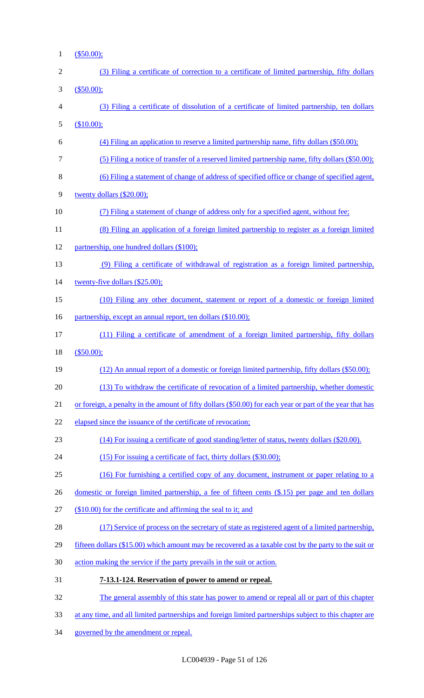1 (\$50.00);

| $\mathbf{2}$   | (3) Filing a certificate of correction to a certificate of limited partnership, fifty dollars             |
|----------------|-----------------------------------------------------------------------------------------------------------|
| 3              | $($50.00)$ ;                                                                                              |
| $\overline{4}$ | (3) Filing a certificate of dissolution of a certificate of limited partnership, ten dollars              |
| 5              | \$10.00);                                                                                                 |
| 6              | (4) Filing an application to reserve a limited partnership name, fifty dollars (\$50.00);                 |
| $\overline{7}$ | (5) Filing a notice of transfer of a reserved limited partnership name, fifty dollars (\$50.00);          |
| 8              | (6) Filing a statement of change of address of specified office or change of specified agent,             |
| 9              | twenty dollars $(\$20.00)$ ;                                                                              |
| 10             | (7) Filing a statement of change of address only for a specified agent, without fee;                      |
| 11             | (8) Filing an application of a foreign limited partnership to register as a foreign limited               |
| 12             | partnership, one hundred dollars (\$100);                                                                 |
| 13             | (9) Filing a certificate of withdrawal of registration as a foreign limited partnership,                  |
| 14             | twenty-five dollars $(\$25.00)$ ;                                                                         |
| 15             | (10) Filing any other document, statement or report of a domestic or foreign limited                      |
| 16             | partnership, except an annual report, ten dollars (\$10.00);                                              |
| 17             | (11) Filing a certificate of amendment of a foreign limited partnership, fifty dollars                    |
| 18             | $($50.00)$ ;                                                                                              |
| 19             | $(12)$ An annual report of a domestic or foreign limited partnership, fifty dollars (\$50.00);            |
| 20             | (13) To withdraw the certificate of revocation of a limited partnership, whether domestic                 |
| 21             | or foreign, a penalty in the amount of fifty dollars (\$50.00) for each year or part of the year that has |
| 22             | elapsed since the issuance of the certificate of revocation;                                              |
| 23             | (14) For issuing a certificate of good standing/letter of status, twenty dollars (\$20.00).               |
| 24             | $(15)$ For issuing a certificate of fact, thirty dollars $(\$30.00)$ ;                                    |
| 25             | (16) For furnishing a certified copy of any document, instrument or paper relating to a                   |
| 26             | domestic or foreign limited partnership, a fee of fifteen cents $(\$.15)$ per page and ten dollars        |
| 27             | $($10.00)$ for the certificate and affirming the seal to it; and                                          |
| 28             | (17) Service of process on the secretary of state as registered agent of a limited partnership,           |
| 29             | fifteen dollars (\$15.00) which amount may be recovered as a taxable cost by the party to the suit or     |
| 30             | action making the service if the party prevails in the suit or action.                                    |
| 31             | 7-13.1-124. Reservation of power to amend or repeal.                                                      |
| 32             | The general assembly of this state has power to amend or repeal all or part of this chapter               |
| 33             | at any time, and all limited partnerships and foreign limited partnerships subject to this chapter are    |
| 34             | governed by the amendment or repeal.                                                                      |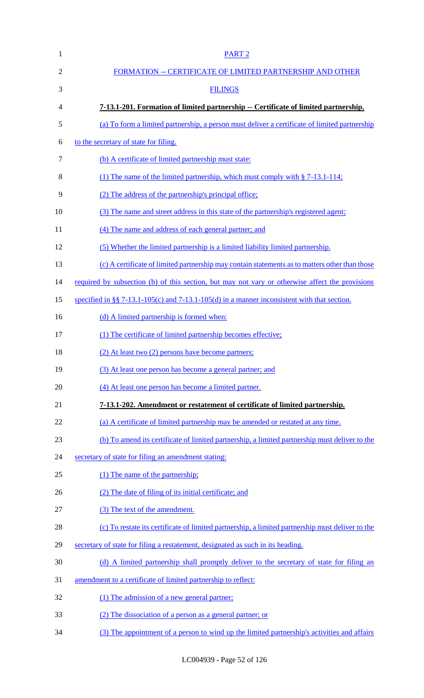| $\mathbf{1}$   | PART <sub>2</sub>                                                                                |
|----------------|--------------------------------------------------------------------------------------------------|
| $\overline{2}$ | FORMATION -- CERTIFICATE OF LIMITED PARTNERSHIP AND OTHER                                        |
| 3              | <b>FILINGS</b>                                                                                   |
| 4              | 7-13.1-201. Formation of limited partnership -- Certificate of limited partnership.              |
| 5              | (a) To form a limited partnership, a person must deliver a certificate of limited partnership    |
| 6              | to the secretary of state for filing.                                                            |
| $\tau$         | (b) A certificate of limited partnership must state:                                             |
| 8              | (1) The name of the limited partnership, which must comply with $\S$ 7-13.1-114;                 |
| 9              | (2) The address of the partnership's principal office;                                           |
| 10             | (3) The name and street address in this state of the partnership's registered agent;             |
| 11             | (4) The name and address of each general partner; and                                            |
| 12             | (5) Whether the limited partnership is a limited liability limited partnership.                  |
| 13             | (c) A certificate of limited partnership may contain statements as to matters other than those   |
| 14             | required by subsection (b) of this section, but may not vary or otherwise affect the provisions  |
| 15             | specified in §§ 7-13.1-105(c) and 7-13.1-105(d) in a manner inconsistent with that section.      |
| 16             | (d) A limited partnership is formed when:                                                        |
| 17             | (1) The certificate of limited partnership becomes effective;                                    |
| 18             | (2) At least two (2) persons have become partners;                                               |
| 19             | (3) At least one person has become a general partner; and                                        |
| 20             | (4) At least one person has become a limited partner.                                            |
| 21             | 7-13.1-202. Amendment or restatement of certificate of limited partnership.                      |
| 22             | (a) A certificate of limited partnership may be amended or restated at any time.                 |
| 23             | (b) To amend its certificate of limited partnership, a limited partnership must deliver to the   |
| 24             | secretary of state for filing an amendment stating:                                              |
| 25             | $(1)$ The name of the partnership;                                                               |
| 26             | (2) The date of filing of its initial certificate; and                                           |
| 27             | (3) The text of the amendment.                                                                   |
| 28             | (c) To restate its certificate of limited partnership, a limited partnership must deliver to the |
| 29             | secretary of state for filing a restatement, designated as such in its heading.                  |
| 30             | (d) A limited partnership shall promptly deliver to the secretary of state for filing an         |
| 31             | amendment to a certificate of limited partnership to reflect:                                    |
| 32             | (1) The admission of a new general partner;                                                      |
| 33             | (2) The dissociation of a person as a general partner; or                                        |
| 34             | (3) The appointment of a person to wind up the limited partnership's activities and affairs      |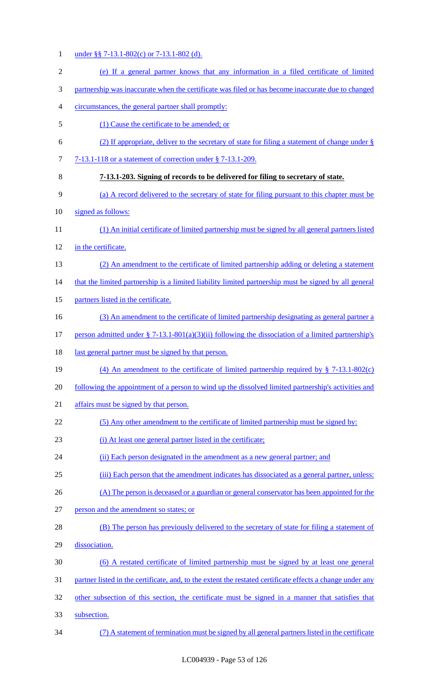1 under §§ 7-13.1-802(c) or 7-13.1-802 (d). (e) If a general partner knows that any information in a filed certificate of limited partnership was inaccurate when the certificate was filed or has become inaccurate due to changed circumstances, the general partner shall promptly: (1) Cause the certificate to be amended; or (2) If appropriate, deliver to the secretary of state for filing a statement of change under § 7 7-13.1-118 or a statement of correction under § 7-13.1-209. **7-13.1-203. Signing of records to be delivered for filing to secretary of state.** (a) A record delivered to the secretary of state for filing pursuant to this chapter must be signed as follows: (1) An initial certificate of limited partnership must be signed by all general partners listed in the certificate. (2) An amendment to the certificate of limited partnership adding or deleting a statement 14 that the limited partnership is a limited liability limited partnership must be signed by all general 15 partners listed in the certificate. (3) An amendment to the certificate of limited partnership designating as general partner a 17 person admitted under § 7-13.1-801(a)(3)(ii) following the dissociation of a limited partnership's 18 last general partner must be signed by that person. (4) An amendment to the certificate of limited partnership required by § 7-13.1-802(c) following the appointment of a person to wind up the dissolved limited partnership's activities and affairs must be signed by that person. (5) Any other amendment to the certificate of limited partnership must be signed by: 23 (i) At least one general partner listed in the certificate; 24 (ii) Each person designated in the amendment as a new general partner; and (iii) Each person that the amendment indicates has dissociated as a general partner, unless: 26 (A) The person is deceased or a guardian or general conservator has been appointed for the 27 person and the amendment so states; or (B) The person has previously delivered to the secretary of state for filing a statement of dissociation. (6) A restated certificate of limited partnership must be signed by at least one general partner listed in the certificate, and, to the extent the restated certificate effects a change under any other subsection of this section, the certificate must be signed in a manner that satisfies that subsection. (7) A statement of termination must be signed by all general partners listed in the certificate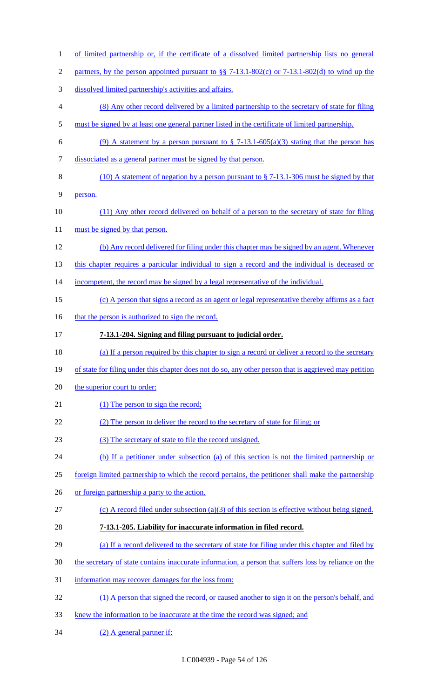- of limited partnership or, if the certificate of a dissolved limited partnership lists no general 2 partners, by the person appointed pursuant to §§ 7-13.1-802(c) or 7-13.1-802(d) to wind up the dissolved limited partnership's activities and affairs. (8) Any other record delivered by a limited partnership to the secretary of state for filing 5 must be signed by at least one general partner listed in the certificate of limited partnership. 6 (9) A statement by a person pursuant to  $\S$  7-13.1-605(a)(3) stating that the person has dissociated as a general partner must be signed by that person. (10) A statement of negation by a person pursuant to § 7-13.1-306 must be signed by that person. (11) Any other record delivered on behalf of a person to the secretary of state for filing 11 must be signed by that person. (b) Any record delivered for filing under this chapter may be signed by an agent. Whenever 13 this chapter requires a particular individual to sign a record and the individual is deceased or 14 incompetent, the record may be signed by a legal representative of the individual. (c) A person that signs a record as an agent or legal representative thereby affirms as a fact 16 that the person is authorized to sign the record. **7-13.1-204. Signing and filing pursuant to judicial order.** (a) If a person required by this chapter to sign a record or deliver a record to the secretary 19 of state for filing under this chapter does not do so, any other person that is aggrieved may petition 20 the superior court to order: 21 (1) The person to sign the record; (2) The person to deliver the record to the secretary of state for filing; or (3) The secretary of state to file the record unsigned. (b) If a petitioner under subsection (a) of this section is not the limited partnership or foreign limited partnership to which the record pertains, the petitioner shall make the partnership 26 or foreign partnership a party to the action. (c) A record filed under subsection (a)(3) of this section is effective without being signed. **7-13.1-205. Liability for inaccurate information in filed record.** (a) If a record delivered to the secretary of state for filing under this chapter and filed by the secretary of state contains inaccurate information, a person that suffers loss by reliance on the information may recover damages for the loss from: (1) A person that signed the record, or caused another to sign it on the person's behalf, and knew the information to be inaccurate at the time the record was signed; and
- (2) A general partner if: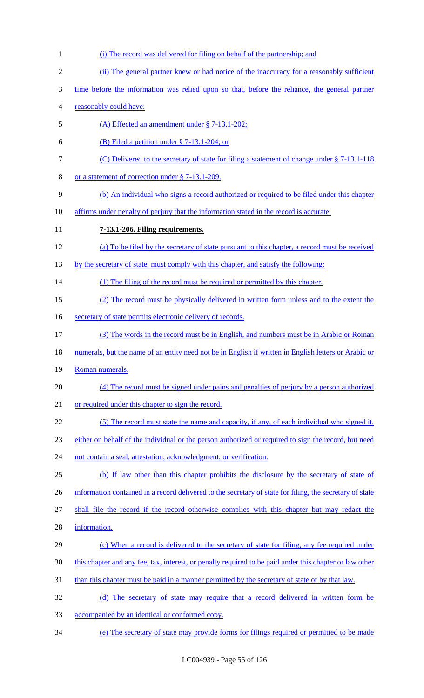- (i) The record was delivered for filing on behalf of the partnership; and (ii) The general partner knew or had notice of the inaccuracy for a reasonably sufficient time before the information was relied upon so that, before the reliance, the general partner reasonably could have: (A) Effected an amendment under § 7-13.1-202; (B) Filed a petition under § 7-13.1-204; or (C) Delivered to the secretary of state for filing a statement of change under § 7-13.1-118 or a statement of correction under § 7-13.1-209. (b) An individual who signs a record authorized or required to be filed under this chapter affirms under penalty of perjury that the information stated in the record is accurate. **7-13.1-206. Filing requirements.** (a) To be filed by the secretary of state pursuant to this chapter, a record must be received 13 by the secretary of state, must comply with this chapter, and satisfy the following: 14 (1) The filing of the record must be required or permitted by this chapter. (2) The record must be physically delivered in written form unless and to the extent the 16 secretary of state permits electronic delivery of records. (3) The words in the record must be in English, and numbers must be in Arabic or Roman 18 numerals, but the name of an entity need not be in English if written in English letters or Arabic or Roman numerals. (4) The record must be signed under pains and penalties of perjury by a person authorized or required under this chapter to sign the record. (5) The record must state the name and capacity, if any, of each individual who signed it, either on behalf of the individual or the person authorized or required to sign the record, but need 24 not contain a seal, attestation, acknowledgment, or verification. (b) If law other than this chapter prohibits the disclosure by the secretary of state of 26 information contained in a record delivered to the secretary of state for filing, the secretary of state shall file the record if the record otherwise complies with this chapter but may redact the information. 29 (c) When a record is delivered to the secretary of state for filing, any fee required under this chapter and any fee, tax, interest, or penalty required to be paid under this chapter or law other than this chapter must be paid in a manner permitted by the secretary of state or by that law. (d) The secretary of state may require that a record delivered in written form be accompanied by an identical or conformed copy. (e) The secretary of state may provide forms for filings required or permitted to be made
	- LC004939 Page 55 of 126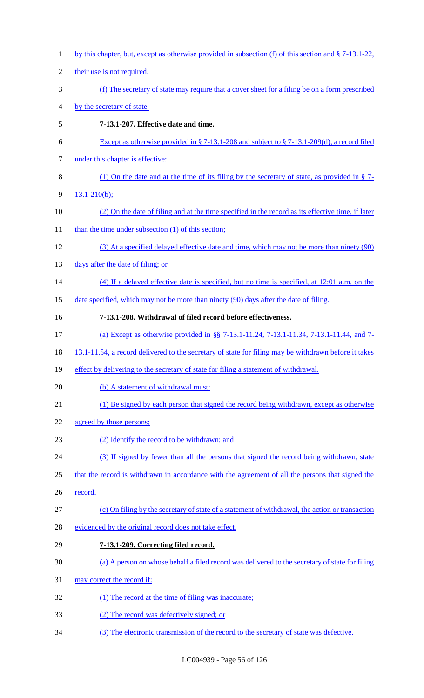by this chapter, but, except as otherwise provided in subsection (f) of this section and § 7-13.1-22, 2 their use is not required. (f) The secretary of state may require that a cover sheet for a filing be on a form prescribed by the secretary of state. **7-13.1-207. Effective date and time.** Except as otherwise provided in § 7-13.1-208 and subject to § 7-13.1-209(d), a record filed 7 under this chapter is effective: (1) On the date and at the time of its filing by the secretary of state, as provided in § 7-  $13.1 - 210(b)$ ; (2) On the date of filing and at the time specified in the record as its effective time, if later 11 than the time under subsection (1) of this section; (3) At a specified delayed effective date and time, which may not be more than ninety (90) days after the date of filing; or (4) If a delayed effective date is specified, but no time is specified, at 12:01 a.m. on the 15 date specified, which may not be more than ninety (90) days after the date of filing. **7-13.1-208. Withdrawal of filed record before effectiveness.** (a) Except as otherwise provided in §§ 7-13.1-11.24, 7-13.1-11.34, 7-13.1-11.44, and 7- 18 13.1-11.54, a record delivered to the secretary of state for filing may be withdrawn before it takes 19 effect by delivering to the secretary of state for filing a statement of withdrawal. 20 (b) A statement of withdrawal must: (1) Be signed by each person that signed the record being withdrawn, except as otherwise 22 agreed by those persons; (2) Identify the record to be withdrawn; and 24 (3) If signed by fewer than all the persons that signed the record being withdrawn, state 25 that the record is withdrawn in accordance with the agreement of all the persons that signed the 26 record. (c) On filing by the secretary of state of a statement of withdrawal, the action or transaction evidenced by the original record does not take effect. **7-13.1-209. Correcting filed record.** (a) A person on whose behalf a filed record was delivered to the secretary of state for filing may correct the record if: (1) The record at the time of filing was inaccurate; (2) The record was defectively signed; or (3) The electronic transmission of the record to the secretary of state was defective.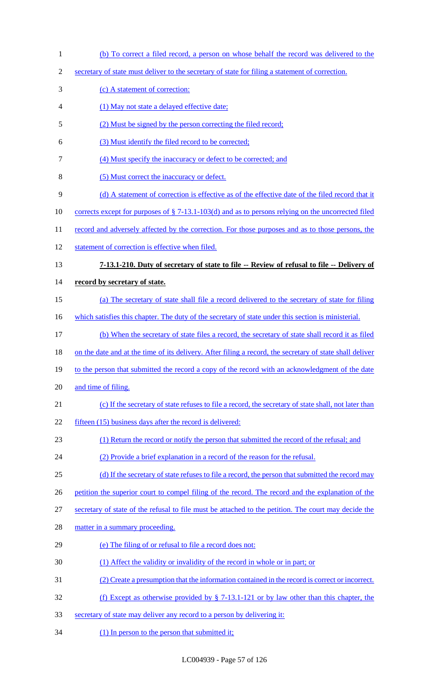(b) To correct a filed record, a person on whose behalf the record was delivered to the secretary of state must deliver to the secretary of state for filing a statement of correction. (c) A statement of correction: (1) May not state a delayed effective date; (2) Must be signed by the person correcting the filed record; (3) Must identify the filed record to be corrected; (4) Must specify the inaccuracy or defect to be corrected; and (5) Must correct the inaccuracy or defect. (d) A statement of correction is effective as of the effective date of the filed record that it corrects except for purposes of § 7-13.1-103(d) and as to persons relying on the uncorrected filed 11 record and adversely affected by the correction. For those purposes and as to those persons, the statement of correction is effective when filed. **7-13.1-210. Duty of secretary of state to file -- Review of refusal to file -- Delivery of record by secretary of state.** (a) The secretary of state shall file a record delivered to the secretary of state for filing 16 which satisfies this chapter. The duty of the secretary of state under this section is ministerial. (b) When the secretary of state files a record, the secretary of state shall record it as filed 18 on the date and at the time of its delivery. After filing a record, the secretary of state shall deliver 19 to the person that submitted the record a copy of the record with an acknowledgment of the date and time of filing. (c) If the secretary of state refuses to file a record, the secretary of state shall, not later than 22 fifteen (15) business days after the record is delivered: (1) Return the record or notify the person that submitted the record of the refusal; and (2) Provide a brief explanation in a record of the reason for the refusal. (d) If the secretary of state refuses to file a record, the person that submitted the record may 26 petition the superior court to compel filing of the record. The record and the explanation of the secretary of state of the refusal to file must be attached to the petition. The court may decide the 28 matter in a summary proceeding. (e) The filing of or refusal to file a record does not: (1) Affect the validity or invalidity of the record in whole or in part; or (2) Create a presumption that the information contained in the record is correct or incorrect. (f) Except as otherwise provided by § 7-13.1-121 or by law other than this chapter, the secretary of state may deliver any record to a person by delivering it: (1) In person to the person that submitted it;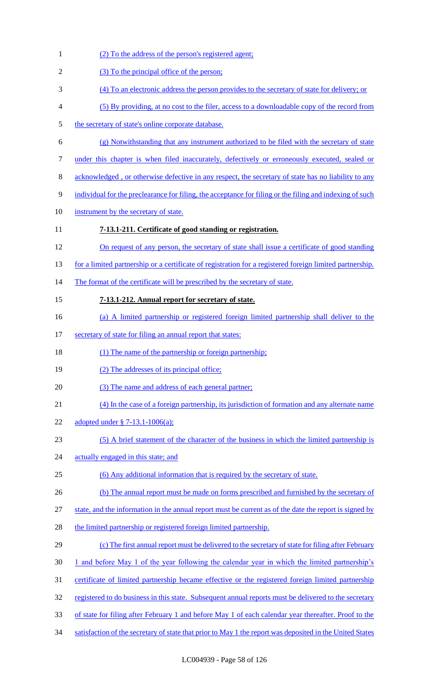| $\mathbf{1}$   | (2) To the address of the person's registered agent;                                                     |
|----------------|----------------------------------------------------------------------------------------------------------|
| $\overline{c}$ | (3) To the principal office of the person;                                                               |
| 3              | (4) To an electronic address the person provides to the secretary of state for delivery; or              |
| 4              | (5) By providing, at no cost to the filer, access to a downloadable copy of the record from              |
| 5              | the secretary of state's online corporate database.                                                      |
| 6              | (g) Notwithstanding that any instrument authorized to be filed with the secretary of state               |
| $\tau$         | under this chapter is when filed inaccurately, defectively or erroneously executed, sealed or            |
| 8              | acknowledged, or otherwise defective in any respect, the secretary of state has no liability to any      |
| 9              | individual for the preclearance for filing, the acceptance for filing or the filing and indexing of such |
| 10             | instrument by the secretary of state.                                                                    |
| 11             | 7-13.1-211. Certificate of good standing or registration.                                                |
| 12             | On request of any person, the secretary of state shall issue a certificate of good standing              |
| 13             | for a limited partnership or a certificate of registration for a registered foreign limited partnership. |
| 14             | The format of the certificate will be prescribed by the secretary of state.                              |
| 15             | 7-13.1-212. Annual report for secretary of state.                                                        |
| 16             | (a) A limited partnership or registered foreign limited partnership shall deliver to the                 |
| 17             | secretary of state for filing an annual report that states:                                              |
| 18             | (1) The name of the partnership or foreign partnership;                                                  |
| 19             | (2) The addresses of its principal office;                                                               |
| 20             | (3) The name and address of each general partner;                                                        |
| 21             | (4) In the case of a foreign partnership, its jurisdiction of formation and any alternate name           |
| 22             | adopted under $\S$ 7-13.1-1006(a);                                                                       |
| 23             | (5) A brief statement of the character of the business in which the limited partnership is               |
| 24             | actually engaged in this state; and                                                                      |
| 25             | (6) Any additional information that is required by the secretary of state.                               |
| 26             | (b) The annual report must be made on forms prescribed and furnished by the secretary of                 |
| 27             | state, and the information in the annual report must be current as of the date the report is signed by   |
| 28             | the limited partnership or registered foreign limited partnership.                                       |
| 29             | (c) The first annual report must be delivered to the secretary of state for filing after February        |
| 30             | 1 and before May 1 of the year following the calendar year in which the limited partnership's            |
| 31             | certificate of limited partnership became effective or the registered foreign limited partnership        |
| 32             | registered to do business in this state. Subsequent annual reports must be delivered to the secretary    |
| 33             | of state for filing after February 1 and before May 1 of each calendar year thereafter. Proof to the     |
| 34             | satisfaction of the secretary of state that prior to May 1 the report was deposited in the United States |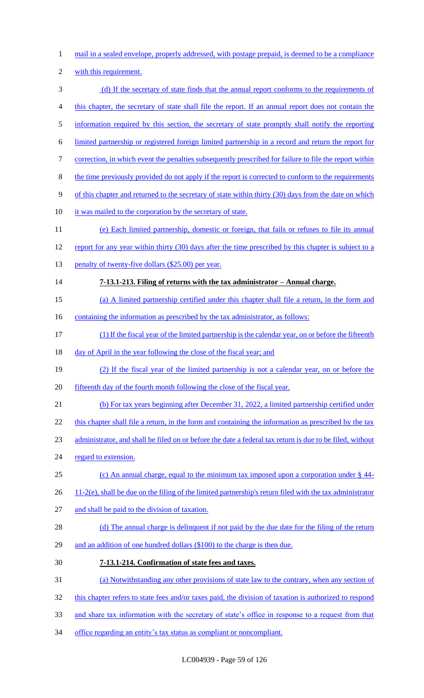- mail in a sealed envelope, properly addressed, with postage prepaid, is deemed to be a compliance
- with this requirement.
- (d) If the secretary of state finds that the annual report conforms to the requirements of this chapter, the secretary of state shall file the report. If an annual report does not contain the 5 information required by this section, the secretary of state promptly shall notify the reporting limited partnership or registered foreign limited partnership in a record and return the report for correction, in which event the penalties subsequently prescribed for failure to file the report within the time previously provided do not apply if the report is corrected to conform to the requirements of this chapter and returned to the secretary of state within thirty (30) days from the date on which 10 it was mailed to the corporation by the secretary of state. (e) Each limited partnership, domestic or foreign, that fails or refuses to file its annual report for any year within thirty (30) days after the time prescribed by this chapter is subject to a 13 penalty of twenty-five dollars (\$25.00) per year. **7-13.1-213. Filing of returns with the tax administrator – Annual charge.** (a) A limited partnership certified under this chapter shall file a return, in the form and 16 containing the information as prescribed by the tax administrator, as follows: (1) If the fiscal year of the limited partnership is the calendar year, on or before the fifteenth 18 day of April in the year following the close of the fiscal year; and (2) If the fiscal year of the limited partnership is not a calendar year, on or before the 20 fifteenth day of the fourth month following the close of the fiscal year. (b) For tax years beginning after December 31, 2022, a limited partnership certified under 22 this chapter shall file a return, in the form and containing the information as prescribed by the tax administrator, and shall be filed on or before the date a federal tax return is due to be filed, without 24 regard to extension. (c) An annual charge, equal to the minimum tax imposed upon a corporation under § 44- 26 11-2(e), shall be due on the filing of the limited partnership's return filed with the tax administrator and shall be paid to the division of taxation. 28 (d) The annual charge is delinquent if not paid by the due date for the filing of the return and an addition of one hundred dollars (\$100) to the charge is then due. **7-13.1-214. Confirmation of state fees and taxes.** (a) Notwithstanding any other provisions of state law to the contrary, when any section of 32 this chapter refers to state fees and/or taxes paid, the division of taxation is authorized to respond and share tax information with the secretary of state's office in response to a request from that office regarding an entity's tax status as compliant or noncompliant.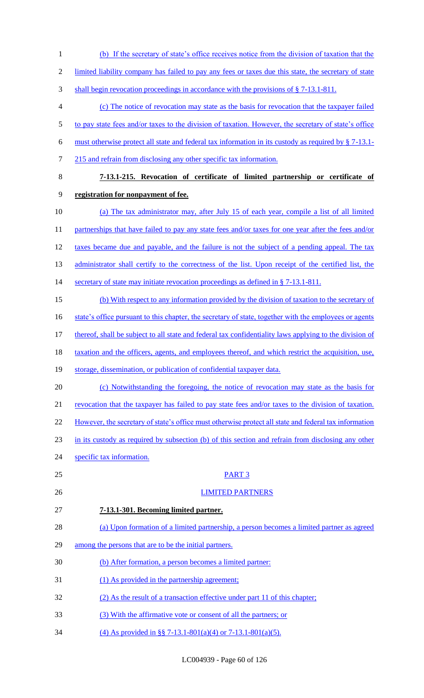(b) If the secretary of state's office receives notice from the division of taxation that the limited liability company has failed to pay any fees or taxes due this state, the secretary of state shall begin revocation proceedings in accordance with the provisions of § 7-13.1-811. (c) The notice of revocation may state as the basis for revocation that the taxpayer failed 5 to pay state fees and/or taxes to the division of taxation. However, the secretary of state's office must otherwise protect all state and federal tax information in its custody as required by § 7-13.1- 7 215 and refrain from disclosing any other specific tax information. **7-13.1-215. Revocation of certificate of limited partnership or certificate of registration for nonpayment of fee.**  (a) The tax administrator may, after July 15 of each year, compile a list of all limited 11 partnerships that have failed to pay any state fees and/or taxes for one year after the fees and/or 12 taxes became due and payable, and the failure is not the subject of a pending appeal. The tax 13 administrator shall certify to the correctness of the list. Upon receipt of the certified list, the 14 secretary of state may initiate revocation proceedings as defined in § 7-13.1-811. (b) With respect to any information provided by the division of taxation to the secretary of 16 state's office pursuant to this chapter, the secretary of state, together with the employees or agents thereof, shall be subject to all state and federal tax confidentiality laws applying to the division of 18 taxation and the officers, agents, and employees thereof, and which restrict the acquisition, use, storage, dissemination, or publication of confidential taxpayer data. 20 (c) Notwithstanding the foregoing, the notice of revocation may state as the basis for revocation that the taxpayer has failed to pay state fees and/or taxes to the division of taxation. 22 However, the secretary of state's office must otherwise protect all state and federal tax information in its custody as required by subsection (b) of this section and refrain from disclosing any other specific tax information. PART 3 LIMITED PARTNERS **7-13.1-301. Becoming limited partner.** (a) Upon formation of a limited partnership, a person becomes a limited partner as agreed among the persons that are to be the initial partners. (b) After formation, a person becomes a limited partner: (1) As provided in the partnership agreement; (2) As the result of a transaction effective under part 11 of this chapter; (3) With the affirmative vote or consent of all the partners; or (4) As provided in §§ 7-13.1-801(a)(4) or 7-13.1-801(a)(5).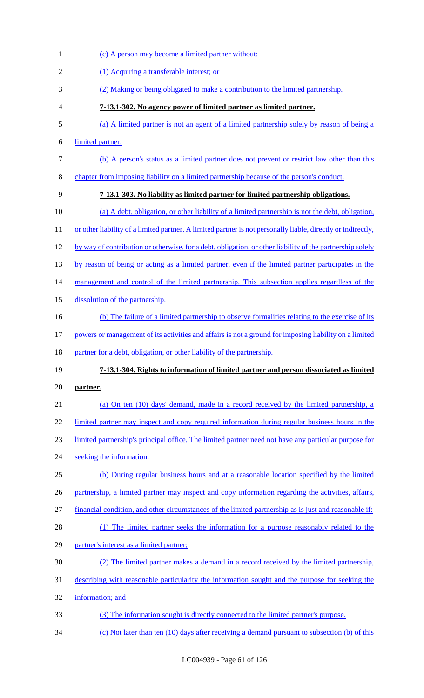| $\mathbf{1}$   | (c) A person may become a limited partner without:                                                           |
|----------------|--------------------------------------------------------------------------------------------------------------|
| $\overline{2}$ | (1) Acquiring a transferable interest; or                                                                    |
| 3              | (2) Making or being obligated to make a contribution to the limited partnership.                             |
| 4              | 7-13.1-302. No agency power of limited partner as limited partner.                                           |
| 5              | (a) A limited partner is not an agent of a limited partnership solely by reason of being a                   |
| 6              | limited partner.                                                                                             |
| 7              | (b) A person's status as a limited partner does not prevent or restrict law other than this                  |
| 8              | chapter from imposing liability on a limited partnership because of the person's conduct.                    |
| 9              | 7-13.1-303. No liability as limited partner for limited partnership obligations.                             |
| 10             | (a) A debt, obligation, or other liability of a limited partnership is not the debt, obligation,             |
| 11             | or other liability of a limited partner. A limited partner is not personally liable, directly or indirectly, |
| 12             | by way of contribution or otherwise, for a debt, obligation, or other liability of the partnership solely    |
| 13             | by reason of being or acting as a limited partner, even if the limited partner participates in the           |
| 14             | management and control of the limited partnership. This subsection applies regardless of the                 |
| 15             | dissolution of the partnership.                                                                              |
| 16             | (b) The failure of a limited partnership to observe formalities relating to the exercise of its              |
| 17             | powers or management of its activities and affairs is not a ground for imposing liability on a limited       |
|                |                                                                                                              |
| 18             | partner for a debt, obligation, or other liability of the partnership.                                       |
| 19             | 7-13.1-304. Rights to information of limited partner and person dissociated as limited                       |
| 20             | partner.                                                                                                     |
| 21             | (a) On ten (10) days' demand, made in a record received by the limited partnership, a                        |
| 22             | limited partner may inspect and copy required information during regular business hours in the               |
| 23             | limited partnership's principal office. The limited partner need not have any particular purpose for         |
| 24             | seeking the information.                                                                                     |
| 25             | (b) During regular business hours and at a reasonable location specified by the limited                      |
| 26             | partnership, a limited partner may inspect and copy information regarding the activities, affairs,           |
| 27             | financial condition, and other circumstances of the limited partnership as is just and reasonable if:        |
| 28             | (1) The limited partner seeks the information for a purpose reasonably related to the                        |
| 29             | partner's interest as a limited partner;                                                                     |
| 30             | (2) The limited partner makes a demand in a record received by the limited partnership,                      |
| 31             | describing with reasonable particularity the information sought and the purpose for seeking the              |
| 32             | information; and                                                                                             |
| 33             | (3) The information sought is directly connected to the limited partner's purpose.                           |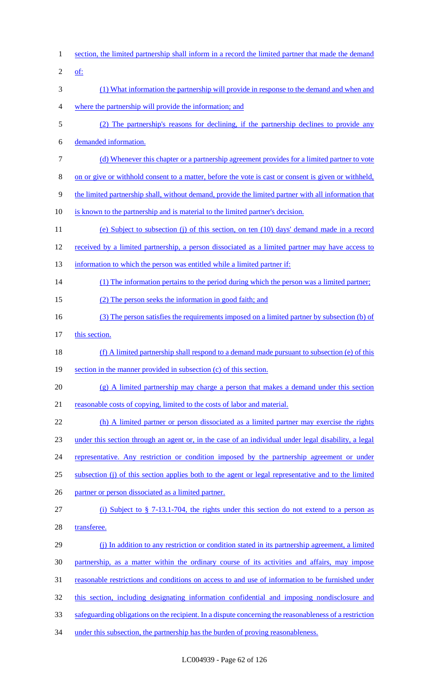| $\mathbf{1}$   | section, the limited partnership shall inform in a record the limited partner that made the demand     |
|----------------|--------------------------------------------------------------------------------------------------------|
| $\overline{2}$ | $of$ :                                                                                                 |
| 3              | (1) What information the partnership will provide in response to the demand and when and               |
| 4              | where the partnership will provide the information; and                                                |
| 5              | (2) The partnership's reasons for declining, if the partnership declines to provide any                |
| 6              | demanded information.                                                                                  |
| $\tau$         | (d) Whenever this chapter or a partnership agreement provides for a limited partner to vote            |
| 8              | on or give or withhold consent to a matter, before the vote is cast or consent is given or withheld,   |
| 9              | the limited partnership shall, without demand, provide the limited partner with all information that   |
| 10             | is known to the partnership and is material to the limited partner's decision.                         |
| 11             | (e) Subject to subsection (j) of this section, on ten (10) days' demand made in a record               |
| 12             | received by a limited partnership, a person dissociated as a limited partner may have access to        |
| 13             | information to which the person was entitled while a limited partner if:                               |
| 14             | (1) The information pertains to the period during which the person was a limited partner;              |
| 15             | (2) The person seeks the information in good faith; and                                                |
| 16             | (3) The person satisfies the requirements imposed on a limited partner by subsection (b) of            |
| 17             | this section.                                                                                          |
| 18             | (f) A limited partnership shall respond to a demand made pursuant to subsection (e) of this            |
| 19             | section in the manner provided in subsection (c) of this section.                                      |
| 20             | $(g)$ A limited partnership may charge a person that makes a demand under this section                 |
| 21             | reasonable costs of copying, limited to the costs of labor and material.                               |
| 22             | (h) A limited partner or person dissociated as a limited partner may exercise the rights               |
| 23             | under this section through an agent or, in the case of an individual under legal disability, a legal   |
| 24             | representative. Any restriction or condition imposed by the partnership agreement or under             |
| 25             | subsection (j) of this section applies both to the agent or legal representative and to the limited    |
| 26             | partner or person dissociated as a limited partner.                                                    |
| 27             | (i) Subject to $\S$ 7-13.1-704, the rights under this section do not extend to a person as             |
| 28             | transferee.                                                                                            |
| 29             | (j) In addition to any restriction or condition stated in its partnership agreement, a limited         |
| 30             | partnership, as a matter within the ordinary course of its activities and affairs, may impose          |
| 31             | reasonable restrictions and conditions on access to and use of information to be furnished under       |
| 32             | this section, including designating information confidential and imposing nondisclosure and            |
| 33             | safeguarding obligations on the recipient. In a dispute concerning the reasonableness of a restriction |
| 34             | under this subsection, the partnership has the burden of proving reasonableness.                       |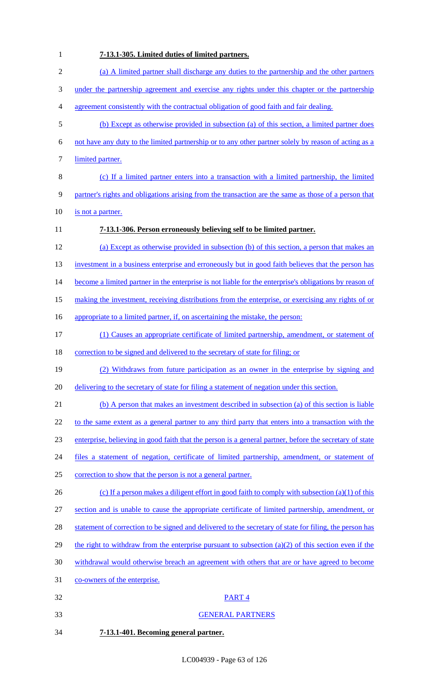| $\mathbf{1}$   | 7-13.1-305. Limited duties of limited partners.                                                         |
|----------------|---------------------------------------------------------------------------------------------------------|
| $\overline{2}$ | (a) A limited partner shall discharge any duties to the partnership and the other partners              |
| 3              | <u>under the partnership agreement and exercise any rights under this chapter or the partnership</u>    |
| 4              | agreement consistently with the contractual obligation of good faith and fair dealing.                  |
| 5              | (b) Except as otherwise provided in subsection (a) of this section, a limited partner does              |
| 6              | not have any duty to the limited partnership or to any other partner solely by reason of acting as a    |
| 7              | limited partner.                                                                                        |
| 8              | (c) If a limited partner enters into a transaction with a limited partnership, the limited              |
| 9              | partner's rights and obligations arising from the transaction are the same as those of a person that    |
| 10             | is not a partner.                                                                                       |
| 11             | 7-13.1-306. Person erroneously believing self to be limited partner.                                    |
| 12             | (a) Except as otherwise provided in subsection (b) of this section, a person that makes an              |
| 13             | investment in a business enterprise and erroneously but in good faith believes that the person has      |
| 14             | become a limited partner in the enterprise is not liable for the enterprise's obligations by reason of  |
| 15             | making the investment, receiving distributions from the enterprise, or exercising any rights of or      |
| 16             | appropriate to a limited partner, if, on ascertaining the mistake, the person:                          |
| 17             | (1) Causes an appropriate certificate of limited partnership, amendment, or statement of                |
| 18             | correction to be signed and delivered to the secretary of state for filing; or                          |
| 19             | (2) Withdraws from future participation as an owner in the enterprise by signing and                    |
| 20             | delivering to the secretary of state for filing a statement of negation under this section.             |
| 21             | (b) A person that makes an investment described in subsection (a) of this section is liable             |
| 22             | to the same extent as a general partner to any third party that enters into a transaction with the      |
| 23             | enterprise, believing in good faith that the person is a general partner, before the secretary of state |
| 24             | files a statement of negation, certificate of limited partnership, amendment, or statement of           |
| 25             | correction to show that the person is not a general partner.                                            |
| 26             | (c) If a person makes a diligent effort in good faith to comply with subsection $(a)(1)$ of this        |
| 27             | section and is unable to cause the appropriate certificate of limited partnership, amendment, or        |
| 28             | statement of correction to be signed and delivered to the secretary of state for filing, the person has |
| 29             | the right to withdraw from the enterprise pursuant to subsection $(a)(2)$ of this section even if the   |
| 30             | withdrawal would otherwise breach an agreement with others that are or have agreed to become            |
| 31             | co-owners of the enterprise.                                                                            |
| 32             | PART <sub>4</sub>                                                                                       |
| 33             | <b>GENERAL PARTNERS</b>                                                                                 |
| 34             | 7-13.1-401. Becoming general partner.                                                                   |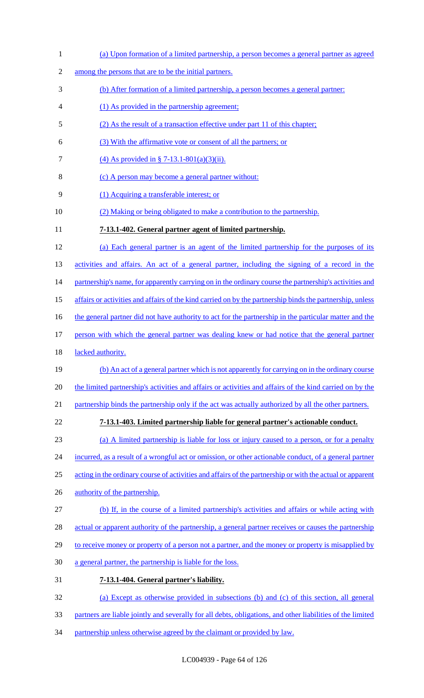(a) Upon formation of a limited partnership, a person becomes a general partner as agreed among the persons that are to be the initial partners. (b) After formation of a limited partnership, a person becomes a general partner: (1) As provided in the partnership agreement; (2) As the result of a transaction effective under part 11 of this chapter; (3) With the affirmative vote or consent of all the partners; or 7 (4) As provided in § 7-13.1-801(a)(3)(ii). (c) A person may become a general partner without: (1) Acquiring a transferable interest; or 10 (2) Making or being obligated to make a contribution to the partnership. **7-13.1-402. General partner agent of limited partnership.** (a) Each general partner is an agent of the limited partnership for the purposes of its 13 activities and affairs. An act of a general partner, including the signing of a record in the 14 partnership's name, for apparently carrying on in the ordinary course the partnership's activities and affairs or activities and affairs of the kind carried on by the partnership binds the partnership, unless 16 the general partner did not have authority to act for the partnership in the particular matter and the person with which the general partner was dealing knew or had notice that the general partner lacked authority. (b) An act of a general partner which is not apparently for carrying on in the ordinary course 20 the limited partnership's activities and affairs or activities and affairs of the kind carried on by the partnership binds the partnership only if the act was actually authorized by all the other partners. **7-13.1-403. Limited partnership liable for general partner's actionable conduct.** (a) A limited partnership is liable for loss or injury caused to a person, or for a penalty 24 incurred, as a result of a wrongful act or omission, or other actionable conduct, of a general partner acting in the ordinary course of activities and affairs of the partnership or with the actual or apparent 26 authority of the partnership. (b) If, in the course of a limited partnership's activities and affairs or while acting with 28 actual or apparent authority of the partnership, a general partner receives or causes the partnership 29 to receive money or property of a person not a partner, and the money or property is misapplied by a general partner, the partnership is liable for the loss. **7-13.1-404. General partner's liability.** (a) Except as otherwise provided in subsections (b) and (c) of this section, all general partners are liable jointly and severally for all debts, obligations, and other liabilities of the limited 34 partnership unless otherwise agreed by the claimant or provided by law.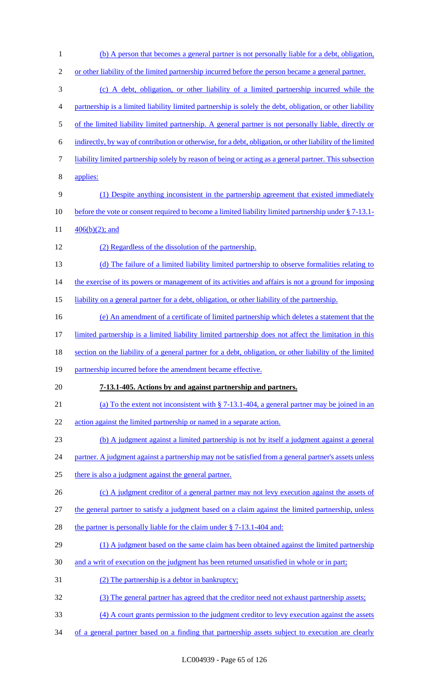(b) A person that becomes a general partner is not personally liable for a debt, obligation, or other liability of the limited partnership incurred before the person became a general partner. (c) A debt, obligation, or other liability of a limited partnership incurred while the partnership is a limited liability limited partnership is solely the debt, obligation, or other liability of the limited liability limited partnership. A general partner is not personally liable, directly or indirectly, by way of contribution or otherwise, for a debt, obligation, or other liability of the limited liability limited partnership solely by reason of being or acting as a general partner. This subsection applies: (1) Despite anything inconsistent in the partnership agreement that existed immediately before the vote or consent required to become a limited liability limited partnership under § 7-13.1-  $406(b)(2)$ ; and (2) Regardless of the dissolution of the partnership. (d) The failure of a limited liability limited partnership to observe formalities relating to 14 the exercise of its powers or management of its activities and affairs is not a ground for imposing liability on a general partner for a debt, obligation, or other liability of the partnership. (e) An amendment of a certificate of limited partnership which deletes a statement that the limited partnership is a limited liability limited partnership does not affect the limitation in this section on the liability of a general partner for a debt, obligation, or other liability of the limited 19 partnership incurred before the amendment became effective. **7-13.1-405. Actions by and against partnership and partners.** (a) To the extent not inconsistent with § 7-13.1-404, a general partner may be joined in an 22 action against the limited partnership or named in a separate action. (b) A judgment against a limited partnership is not by itself a judgment against a general 24 partner. A judgment against a partnership may not be satisfied from a general partner's assets unless there is also a judgment against the general partner. 26 (c) A judgment creditor of a general partner may not levy execution against the assets of the general partner to satisfy a judgment based on a claim against the limited partnership, unless 28 the partner is personally liable for the claim under § 7-13.1-404 and: 29 (1) A judgment based on the same claim has been obtained against the limited partnership and a writ of execution on the judgment has been returned unsatisfied in whole or in part; (2) The partnership is a debtor in bankruptcy; (3) The general partner has agreed that the creditor need not exhaust partnership assets; (4) A court grants permission to the judgment creditor to levy execution against the assets 34 of a general partner based on a finding that partnership assets subject to execution are clearly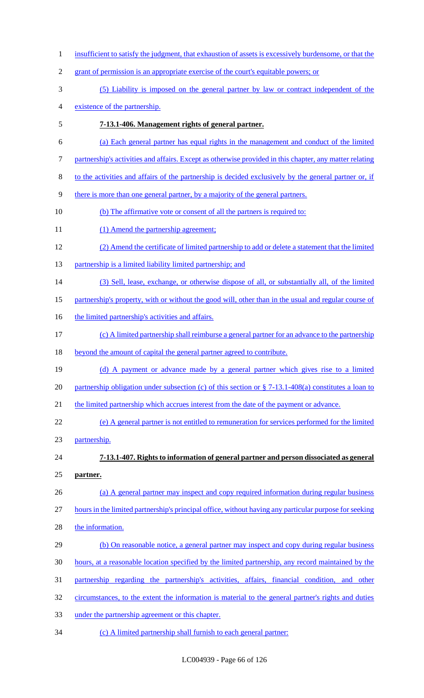- 1 insufficient to satisfy the judgment, that exhaustion of assets is excessively burdensome, or that the grant of permission is an appropriate exercise of the court's equitable powers; or (5) Liability is imposed on the general partner by law or contract independent of the existence of the partnership. **7-13.1-406. Management rights of general partner.** (a) Each general partner has equal rights in the management and conduct of the limited partnership's activities and affairs. Except as otherwise provided in this chapter, any matter relating to the activities and affairs of the partnership is decided exclusively by the general partner or, if there is more than one general partner, by a majority of the general partners. (b) The affirmative vote or consent of all the partners is required to: 11 (1) Amend the partnership agreement; (2) Amend the certificate of limited partnership to add or delete a statement that the limited 13 partnership is a limited liability limited partnership; and (3) Sell, lease, exchange, or otherwise dispose of all, or substantially all, of the limited partnership's property, with or without the good will, other than in the usual and regular course of 16 the limited partnership's activities and affairs. (c) A limited partnership shall reimburse a general partner for an advance to the partnership beyond the amount of capital the general partner agreed to contribute. (d) A payment or advance made by a general partner which gives rise to a limited partnership obligation under subsection (c) of this section or § 7-13.1-408(a) constitutes a loan to 21 the limited partnership which accrues interest from the date of the payment or advance. (e) A general partner is not entitled to remuneration for services performed for the limited partnership. **7-13.1-407. Rights to information of general partner and person dissociated as general partner.** 26 (a) A general partner may inspect and copy required information during regular business hours in the limited partnership's principal office, without having any particular purpose for seeking 28 the information. 29 (b) On reasonable notice, a general partner may inspect and copy during regular business hours, at a reasonable location specified by the limited partnership, any record maintained by the partnership regarding the partnership's activities, affairs, financial condition, and other circumstances, to the extent the information is material to the general partner's rights and duties under the partnership agreement or this chapter.
- (c) A limited partnership shall furnish to each general partner: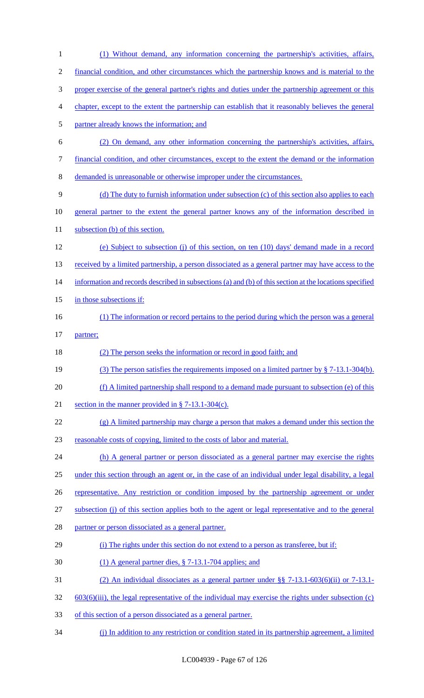(1) Without demand, any information concerning the partnership's activities, affairs, financial condition, and other circumstances which the partnership knows and is material to the proper exercise of the general partner's rights and duties under the partnership agreement or this chapter, except to the extent the partnership can establish that it reasonably believes the general partner already knows the information; and (2) On demand, any other information concerning the partnership's activities, affairs, financial condition, and other circumstances, except to the extent the demand or the information demanded is unreasonable or otherwise improper under the circumstances. (d) The duty to furnish information under subsection (c) of this section also applies to each general partner to the extent the general partner knows any of the information described in 11 subsection (b) of this section. (e) Subject to subsection (j) of this section, on ten (10) days' demand made in a record 13 received by a limited partnership, a person dissociated as a general partner may have access to the 14 information and records described in subsections (a) and (b) of this section at the locations specified 15 in those subsections if: (1) The information or record pertains to the period during which the person was a general partner; 18 (2) The person seeks the information or record in good faith; and (3) The person satisfies the requirements imposed on a limited partner by § 7-13.1-304(b). (f) A limited partnership shall respond to a demand made pursuant to subsection (e) of this section in the manner provided in § 7-13.1-304(c). (g) A limited partnership may charge a person that makes a demand under this section the reasonable costs of copying, limited to the costs of labor and material. 24 (h) A general partner or person dissociated as a general partner may exercise the rights under this section through an agent or, in the case of an individual under legal disability, a legal 26 representative. Any restriction or condition imposed by the partnership agreement or under 27 subsection (j) of this section applies both to the agent or legal representative and to the general 28 partner or person dissociated as a general partner. 29 (i) The rights under this section do not extend to a person as transferee, but if: (1) A general partner dies, § 7-13.1-704 applies; and (2) An individual dissociates as a general partner under §§ 7-13.1-603(6)(ii) or 7-13.1- 603(6)(iii), the legal representative of the individual may exercise the rights under subsection (c) of this section of a person dissociated as a general partner. (j) In addition to any restriction or condition stated in its partnership agreement, a limited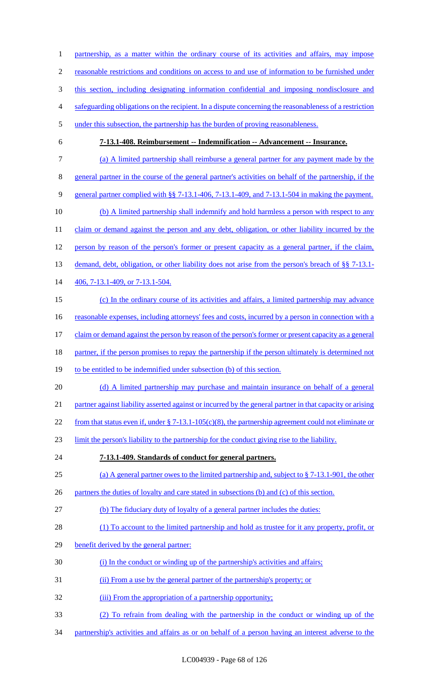1 partnership, as a matter within the ordinary course of its activities and affairs, may impose 2 reasonable restrictions and conditions on access to and use of information to be furnished under 3 this section, including designating information confidential and imposing nondisclosure and 4 safeguarding obligations on the recipient. In a dispute concerning the reasonableness of a restriction 5 under this subsection, the partnership has the burden of proving reasonableness. 6 **7-13.1-408. Reimbursement -- Indemnification -- Advancement -- Insurance.** 7 (a) A limited partnership shall reimburse a general partner for any payment made by the 8 general partner in the course of the general partner's activities on behalf of the partnership, if the 9 general partner complied with §§ 7-13.1-406, 7-13.1-409, and 7-13.1-504 in making the payment. 10 (b) A limited partnership shall indemnify and hold harmless a person with respect to any 11 claim or demand against the person and any debt, obligation, or other liability incurred by the 12 person by reason of the person's former or present capacity as a general partner, if the claim, 13 demand, debt, obligation, or other liability does not arise from the person's breach of §§ 7-13.1-14 406, 7-13.1-409, or 7-13.1-504. 15 (c) In the ordinary course of its activities and affairs, a limited partnership may advance 16 reasonable expenses, including attorneys' fees and costs, incurred by a person in connection with a 17 claim or demand against the person by reason of the person's former or present capacity as a general 18 partner, if the person promises to repay the partnership if the person ultimately is determined not 19 to be entitled to be indemnified under subsection (b) of this section. 20 (d) A limited partnership may purchase and maintain insurance on behalf of a general 21 partner against liability asserted against or incurred by the general partner in that capacity or arising 22 from that status even if, under  $\S$  7-13.1-105(c)(8), the partnership agreement could not eliminate or 23 limit the person's liability to the partnership for the conduct giving rise to the liability. 24 **7-13.1-409. Standards of conduct for general partners.** 25 (a) A general partner owes to the limited partnership and, subject to § 7-13.1-901, the other 26 partners the duties of loyalty and care stated in subsections (b) and (c) of this section. 27 (b) The fiduciary duty of loyalty of a general partner includes the duties: 28 (1) To account to the limited partnership and hold as trustee for it any property, profit, or 29 benefit derived by the general partner: 30 (i) In the conduct or winding up of the partnership's activities and affairs; 31 (ii) From a use by the general partner of the partnership's property; or 32 (iii) From the appropriation of a partnership opportunity; 33 (2) To refrain from dealing with the partnership in the conduct or winding up of the 34 partnership's activities and affairs as or on behalf of a person having an interest adverse to the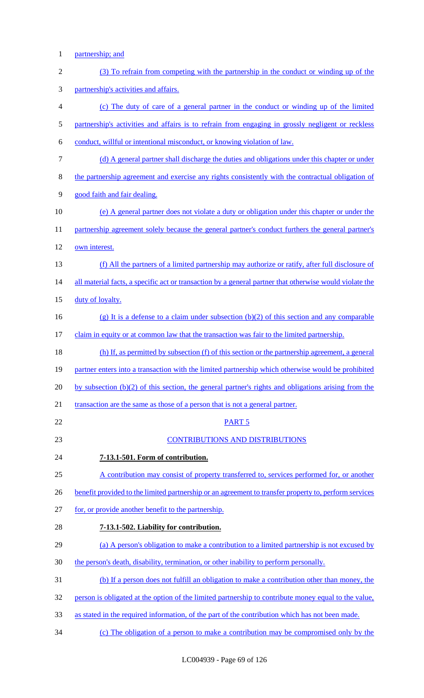1 partnership; and

| $\mathfrak{2}$ | (3) To refrain from competing with the partnership in the conduct or winding up of the                  |
|----------------|---------------------------------------------------------------------------------------------------------|
| 3              | partnership's activities and affairs.                                                                   |
| 4              | (c) The duty of care of a general partner in the conduct or winding up of the limited                   |
| 5              | partnership's activities and affairs is to refrain from engaging in grossly negligent or reckless       |
| 6              | conduct, willful or intentional misconduct, or knowing violation of law.                                |
| $\tau$         | (d) A general partner shall discharge the duties and obligations under this chapter or under            |
| 8              | the partnership agreement and exercise any rights consistently with the contractual obligation of       |
| 9              | good faith and fair dealing.                                                                            |
| 10             | (e) A general partner does not violate a duty or obligation under this chapter or under the             |
| 11             | partnership agreement solely because the general partner's conduct furthers the general partner's       |
| 12             | own interest.                                                                                           |
| 13             | (f) All the partners of a limited partnership may authorize or ratify, after full disclosure of         |
| 14             | all material facts, a specific act or transaction by a general partner that otherwise would violate the |
| 15             | duty of loyalty.                                                                                        |
| 16             | $(g)$ It is a defense to a claim under subsection (b)(2) of this section and any comparable             |
| 17             | claim in equity or at common law that the transaction was fair to the limited partnership.              |
| 18             | (h) If, as permitted by subsection (f) of this section or the partnership agreement, a general          |
| 19             | partner enters into a transaction with the limited partnership which otherwise would be prohibited      |
| 20             | by subsection $(b)(2)$ of this section, the general partner's rights and obligations arising from the   |
| 21             | transaction are the same as those of a person that is not a general partner.                            |
| 22             | PART <sub>5</sub>                                                                                       |
| 23             | <b>CONTRIBUTIONS AND DISTRIBUTIONS</b>                                                                  |
| 24             | 7-13.1-501. Form of contribution.                                                                       |
| 25             | A contribution may consist of property transferred to, services performed for, or another               |
| 26             | benefit provided to the limited partnership or an agreement to transfer property to, perform services   |
| 27             | for, or provide another benefit to the partnership.                                                     |
| 28             | 7-13.1-502. Liability for contribution.                                                                 |
| 29             | (a) A person's obligation to make a contribution to a limited partnership is not excused by             |
| 30             | the person's death, disability, termination, or other inability to perform personally.                  |
| 31             | (b) If a person does not fulfill an obligation to make a contribution other than money, the             |
| 32             | person is obligated at the option of the limited partnership to contribute money equal to the value,    |
| 33             | as stated in the required information, of the part of the contribution which has not been made.         |
| 34             | (c) The obligation of a person to make a contribution may be compromised only by the                    |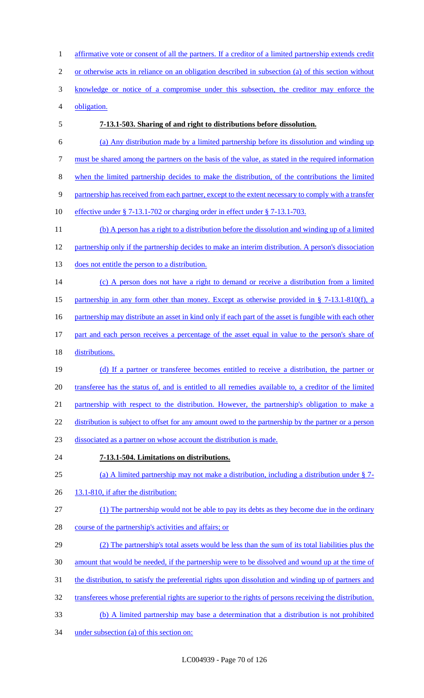1 affirmative vote or consent of all the partners. If a creditor of a limited partnership extends credit or otherwise acts in reliance on an obligation described in subsection (a) of this section without knowledge or notice of a compromise under this subsection, the creditor may enforce the obligation.

- **7-13.1-503. Sharing of and right to distributions before dissolution.**
- (a) Any distribution made by a limited partnership before its dissolution and winding up 7 must be shared among the partners on the basis of the value, as stated in the required information when the limited partnership decides to make the distribution, of the contributions the limited partnership has received from each partner, except to the extent necessary to comply with a transfer
- effective under § 7-13.1-702 or charging order in effect under § 7-13.1-703.
- (b) A person has a right to a distribution before the dissolution and winding up of a limited 12 partnership only if the partnership decides to make an interim distribution. A person's dissociation 13 does not entitle the person to a distribution.
- 14 (c) A person does not have a right to demand or receive a distribution from a limited
- partnership in any form other than money. Except as otherwise provided in § 7-13.1-810(f), a
- 16 partnership may distribute an asset in kind only if each part of the asset is fungible with each other
- 17 part and each person receives a percentage of the asset equal in value to the person's share of
- distributions.
- (d) If a partner or transferee becomes entitled to receive a distribution, the partner or transferee has the status of, and is entitled to all remedies available to, a creditor of the limited partnership with respect to the distribution. However, the partnership's obligation to make a 22 distribution is subject to offset for any amount owed to the partnership by the partner or a person
- dissociated as a partner on whose account the distribution is made.
- 

## **7-13.1-504. Limitations on distributions.**

- (a) A limited partnership may not make a distribution, including a distribution under § 7-
- 26 13.1-810, if after the distribution:
- (1) The partnership would not be able to pay its debts as they become due in the ordinary
- course of the partnership's activities and affairs; or
- (2) The partnership's total assets would be less than the sum of its total liabilities plus the amount that would be needed, if the partnership were to be dissolved and wound up at the time of
- 31 the distribution, to satisfy the preferential rights upon dissolution and winding up of partners and
- 32 transferees whose preferential rights are superior to the rights of persons receiving the distribution.
- (b) A limited partnership may base a determination that a distribution is not prohibited
- under subsection (a) of this section on: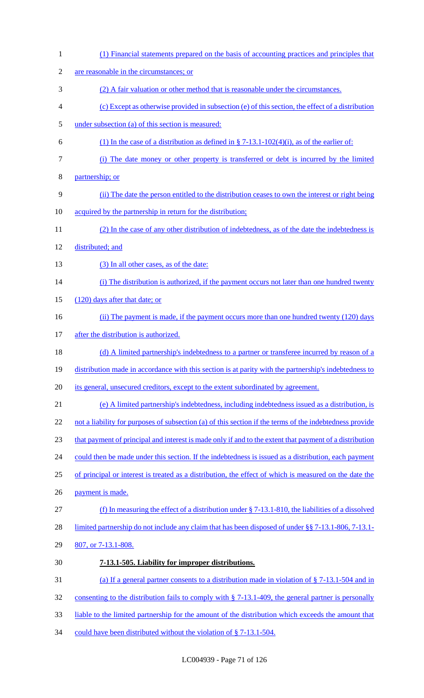| $\mathbf{1}$   | (1) Financial statements prepared on the basis of accounting practices and principles that              |
|----------------|---------------------------------------------------------------------------------------------------------|
| $\overline{2}$ | are reasonable in the circumstances; or                                                                 |
| 3              | (2) A fair valuation or other method that is reasonable under the circumstances.                        |
| 4              | (c) Except as otherwise provided in subsection (e) of this section, the effect of a distribution        |
| 5              | under subsection (a) of this section is measured:                                                       |
| 6              | (1) In the case of a distribution as defined in $\S 7-13.1-102(4)(i)$ , as of the earlier of:           |
| 7              | (i) The date money or other property is transferred or debt is incurred by the limited                  |
| 8              | partnership; or                                                                                         |
| 9              | (ii) The date the person entitled to the distribution ceases to own the interest or right being         |
| 10             | acquired by the partnership in return for the distribution;                                             |
| 11             | (2) In the case of any other distribution of indebtedness, as of the date the indebtedness is           |
| 12             | distributed; and                                                                                        |
| 13             | (3) In all other cases, as of the date:                                                                 |
| 14             | (i) The distribution is authorized, if the payment occurs not later than one hundred twenty             |
| 15             | (120) days after that date; or                                                                          |
| 16             | (ii) The payment is made, if the payment occurs more than one hundred twenty (120) days                 |
| 17             | after the distribution is authorized.                                                                   |
| 18             | (d) A limited partnership's indebtedness to a partner or transferee incurred by reason of a             |
| 19             | distribution made in accordance with this section is at parity with the partnership's indebtedness to   |
| 20             | its general, unsecured creditors, except to the extent subordinated by agreement.                       |
| 21             | (e) A limited partnership's indebtedness, including indebtedness issued as a distribution, is           |
| 22             | not a liability for purposes of subsection (a) of this section if the terms of the indebtedness provide |
| 23             | that payment of principal and interest is made only if and to the extent that payment of a distribution |
| 24             | could then be made under this section. If the indebtedness is issued as a distribution, each payment    |
| 25             | of principal or interest is treated as a distribution, the effect of which is measured on the date the  |
| 26             | payment is made.                                                                                        |
| 27             | (f) In measuring the effect of a distribution under $\S$ 7-13.1-810, the liabilities of a dissolved     |
| 28             | limited partnership do not include any claim that has been disposed of under $\S$ § 7-13.1-806, 7-13.1- |
| 29             | 807, or 7-13.1-808.                                                                                     |
| 30             | 7-13.1-505. Liability for improper distributions.                                                       |
| 31             | (a) If a general partner consents to a distribution made in violation of § 7-13.1-504 and in            |
| 32             | consenting to the distribution fails to comply with $\S$ 7-13.1-409, the general partner is personally  |
| 33             | liable to the limited partnership for the amount of the distribution which exceeds the amount that      |
| 34             | could have been distributed without the violation of § 7-13.1-504.                                      |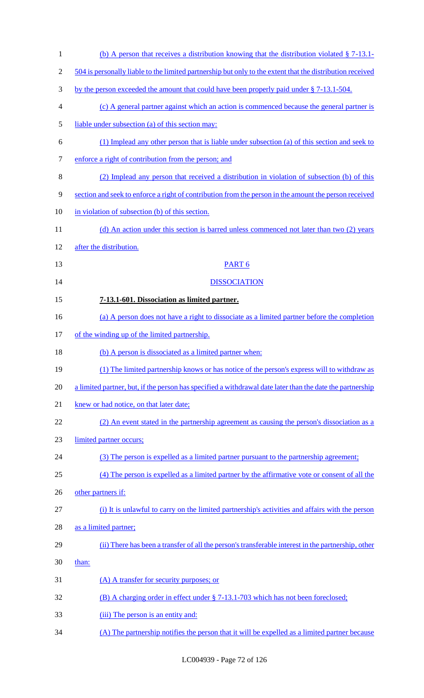| $\mathbf{1}$   | (b) A person that receives a distribution knowing that the distribution violated $\S$ 7-13.1-             |
|----------------|-----------------------------------------------------------------------------------------------------------|
| $\overline{2}$ | 504 is personally liable to the limited partnership but only to the extent that the distribution received |
| $\mathfrak{Z}$ | by the person exceeded the amount that could have been properly paid under $\S$ 7-13.1-504.               |
| $\overline{4}$ | (c) A general partner against which an action is commenced because the general partner is                 |
| $\mathfrak{S}$ | liable under subsection (a) of this section may:                                                          |
| 6              | (1) Implead any other person that is liable under subsection (a) of this section and seek to              |
| $\overline{7}$ | enforce a right of contribution from the person; and                                                      |
| 8              | (2) Implead any person that received a distribution in violation of subsection (b) of this                |
| 9              | section and seek to enforce a right of contribution from the person in the amount the person received     |
| 10             | in violation of subsection (b) of this section.                                                           |
| 11             | (d) An action under this section is barred unless commenced not later than two (2) years                  |
| 12             | after the distribution.                                                                                   |
| 13             | PART <sub>6</sub>                                                                                         |
| 14             | <b>DISSOCIATION</b>                                                                                       |
| 15             | 7-13.1-601. Dissociation as limited partner.                                                              |
| 16             | (a) A person does not have a right to dissociate as a limited partner before the completion               |
| 17             | of the winding up of the limited partnership.                                                             |
| 18             | (b) A person is dissociated as a limited partner when:                                                    |
| 19             | (1) The limited partnership knows or has notice of the person's express will to withdraw as               |
| 20             | a limited partner, but, if the person has specified a withdrawal date later than the date the partnership |
| 21             | knew or had notice, on that later date;                                                                   |
| 22             | (2) An event stated in the partnership agreement as causing the person's dissociation as a                |
| 23             | limited partner occurs;                                                                                   |
| 24             | (3) The person is expelled as a limited partner pursuant to the partnership agreement;                    |
| 25             | (4) The person is expelled as a limited partner by the affirmative vote or consent of all the             |
| 26             | other partners if:                                                                                        |
| 27             | (i) It is unlawful to carry on the limited partnership's activities and affairs with the person           |
| 28             | as a limited partner;                                                                                     |
| 29             | (ii) There has been a transfer of all the person's transferable interest in the partnership, other        |
| 30             | than:                                                                                                     |
| 31             | (A) A transfer for security purposes; or                                                                  |
| 32             | (B) A charging order in effect under § 7-13.1-703 which has not been foreclosed;                          |
| 33             | (iii) The person is an entity and:                                                                        |
| 34             | (A) The partnership notifies the person that it will be expelled as a limited partner because             |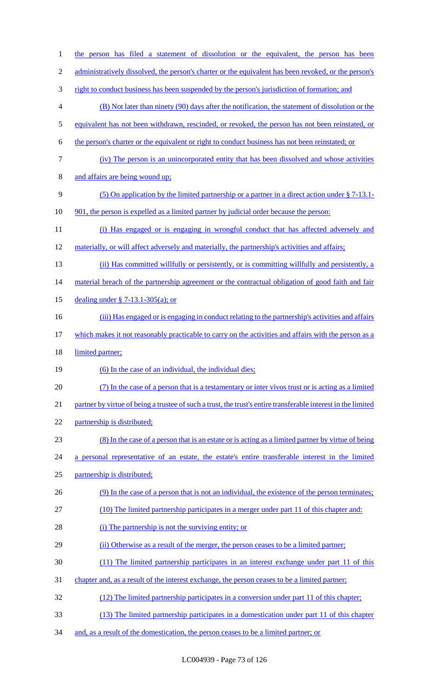| $\mathbf{1}$   | the person has filed a statement of dissolution or the equivalent, the person has been                        |
|----------------|---------------------------------------------------------------------------------------------------------------|
| $\mathbf{2}$   | administratively dissolved, the person's charter or the equivalent has been revoked, or the person's          |
| 3              | right to conduct business has been suspended by the person's jurisdiction of formation; and                   |
| $\overline{4}$ | (B) Not later than ninety (90) days after the notification, the statement of dissolution or the               |
| 5              | equivalent has not been withdrawn, rescinded, or revoked, the person has not been reinstated, or              |
| 6              | the person's charter or the equivalent or right to conduct business has not been reinstated; or               |
| $\tau$         | (iv) The person is an unincorporated entity that has been dissolved and whose activities                      |
| $8\,$          | and affairs are being wound up;                                                                               |
| 9              | (5) On application by the limited partnership or a partner in a direct action under $\S$ 7-13.1-              |
| 10             | 901, the person is expelled as a limited partner by judicial order because the person:                        |
| 11             | (i) Has engaged or is engaging in wrongful conduct that has affected adversely and                            |
| 12             | materially, or will affect adversely and materially, the partnership's activities and affairs;                |
| 13             | (ii) Has committed willfully or persistently, or is committing willfully and persistently, a                  |
| 14             | material breach of the partnership agreement or the contractual obligation of good faith and fair             |
| 15             | dealing under $\S$ 7-13.1-305(a); or                                                                          |
| 16             | (iii) Has engaged or is engaging in conduct relating to the partnership's activities and affairs              |
| 17             | which makes it not reasonably practicable to carry on the activities and affairs with the person as a         |
| 18             | limited partner;                                                                                              |
| 19             | (6) In the case of an individual, the individual dies;                                                        |
| 20             | (7) In the case of a person that is a testamentary or intervivos trust or is acting as a limited              |
| 21             | partner by virtue of being a trustee of such a trust, the trust's entire transferable interest in the limited |
| 22             |                                                                                                               |
|                | partnership is distributed;                                                                                   |
| 23             | (8) In the case of a person that is an estate or is acting as a limited partner by virtue of being            |
| 24             | a personal representative of an estate, the estate's entire transferable interest in the limited              |
| 25             | partnership is distributed;                                                                                   |
| 26             | (9) In the case of a person that is not an individual, the existence of the person terminates;                |
| 27             | (10) The limited partnership participates in a merger under part 11 of this chapter and:                      |
| 28             | (i) The partnership is not the surviving entity; or                                                           |
| 29             | (ii) Otherwise as a result of the merger, the person ceases to be a limited partner;                          |
| 30             | (11) The limited partnership participates in an interest exchange under part 11 of this                       |
| 31             | chapter and, as a result of the interest exchange, the person ceases to be a limited partner;                 |
| 32             | (12) The limited partnership participates in a conversion under part 11 of this chapter;                      |
| 33             | (13) The limited partnership participates in a domestication under part 11 of this chapter                    |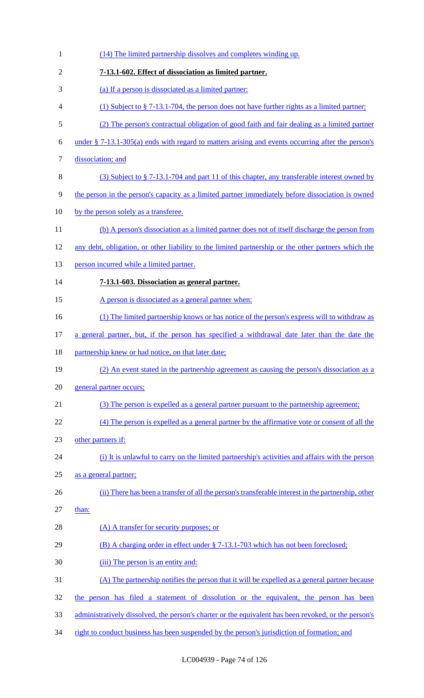| 1              | (14) The limited partnership dissolves and completes winding up.                                     |
|----------------|------------------------------------------------------------------------------------------------------|
| $\overline{2}$ | 7-13.1-602. Effect of dissociation as limited partner.                                               |
| 3              | (a) If a person is dissociated as a limited partner:                                                 |
| 4              | $(1)$ Subject to § 7-13.1-704, the person does not have further rights as a limited partner;         |
| 5              | (2) The person's contractual obligation of good faith and fair dealing as a limited partner          |
| 6              | under $\S$ 7-13.1-305(a) ends with regard to matters arising and events occurring after the person's |
| 7              | dissociation; and                                                                                    |
| $8\,$          | (3) Subject to $\S$ 7-13.1-704 and part 11 of this chapter, any transferable interest owned by       |
| $\mathbf{9}$   | the person in the person's capacity as a limited partner immediately before dissociation is owned    |
| 10             | by the person solely as a transferee.                                                                |
| 11             | (b) A person's dissociation as a limited partner does not of itself discharge the person from        |
| 12             | any debt, obligation, or other liability to the limited partnership or the other partners which the  |
| 13             | person incurred while a limited partner.                                                             |
| 14             | 7-13.1-603. Dissociation as general partner.                                                         |
| 15             | A person is dissociated as a general partner when:                                                   |
| 16             | (1) The limited partnership knows or has notice of the person's express will to withdraw as          |
| 17             | a general partner, but, if the person has specified a withdrawal date later than the date the        |
| 18             | partnership knew or had notice, on that later date;                                                  |
| 19             | (2) An event stated in the partnership agreement as causing the person's dissociation as a           |
| 20             | general partner occurs;                                                                              |
| 21             | (3) The person is expelled as a general partner pursuant to the partnership agreement;               |
| 22             | (4) The person is expelled as a general partner by the affirmative vote or consent of all the        |
| 23             | other partners if:                                                                                   |
| 24             | (i) It is unlawful to carry on the limited partnership's activities and affairs with the person      |
| 25             | as a general partner;                                                                                |
| 26             | (ii) There has been a transfer of all the person's transferable interest in the partnership, other   |
| 27             | than:                                                                                                |
| 28             | (A) A transfer for security purposes; or                                                             |
| 29             | (B) A charging order in effect under § 7-13.1-703 which has not been foreclosed;                     |
| 30             | (iii) The person is an entity and:                                                                   |
| 31             | (A) The partnership notifies the person that it will be expelled as a general partner because        |
| 32             | the person has filed a statement of dissolution or the equivalent, the person has been               |
| 33             | administratively dissolved, the person's charter or the equivalent has been revoked, or the person's |
| 34             | right to conduct business has been suspended by the person's jurisdiction of formation; and          |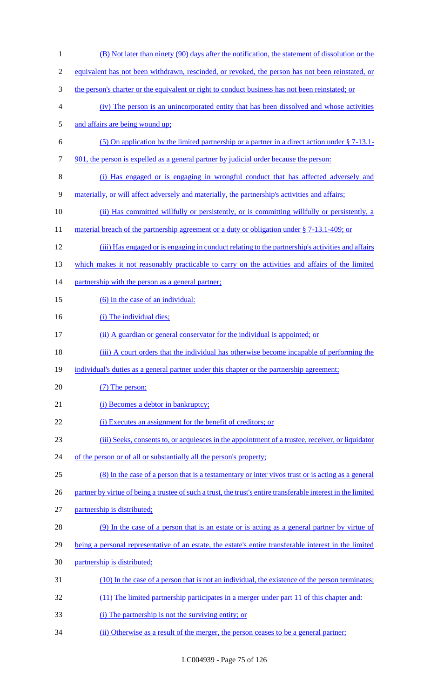(B) Not later than ninety (90) days after the notification, the statement of dissolution or the equivalent has not been withdrawn, rescinded, or revoked, the person has not been reinstated, or 3 the person's charter or the equivalent or right to conduct business has not been reinstated; or (iv) The person is an unincorporated entity that has been dissolved and whose activities and affairs are being wound up; (5) On application by the limited partnership or a partner in a direct action under § 7-13.1- 901, the person is expelled as a general partner by judicial order because the person: (i) Has engaged or is engaging in wrongful conduct that has affected adversely and materially, or will affect adversely and materially, the partnership's activities and affairs; (ii) Has committed willfully or persistently, or is committing willfully or persistently, a 11 material breach of the partnership agreement or a duty or obligation under § 7-13.1-409; or (iii) Has engaged or is engaging in conduct relating to the partnership's activities and affairs 13 which makes it not reasonably practicable to carry on the activities and affairs of the limited 14 partnership with the person as a general partner; 15 (6) In the case of an individual: 16 (i) The individual dies; (ii) A guardian or general conservator for the individual is appointed; or 18 (iii) A court orders that the individual has otherwise become incapable of performing the individual's duties as a general partner under this chapter or the partnership agreement; (7) The person: 21 (i) Becomes a debtor in bankruptcy; 22 (i) Executes an assignment for the benefit of creditors; or (iii) Seeks, consents to, or acquiesces in the appointment of a trustee, receiver, or liquidator 24 of the person or of all or substantially all the person's property; (8) In the case of a person that is a testamentary or inter vivos trust or is acting as a general 26 partner by virtue of being a trustee of such a trust, the trust's entire transferable interest in the limited partnership is distributed; (9) In the case of a person that is an estate or is acting as a general partner by virtue of 29 being a personal representative of an estate, the estate's entire transferable interest in the limited partnership is distributed; (10) In the case of a person that is not an individual, the existence of the person terminates; (11) The limited partnership participates in a merger under part 11 of this chapter and: (i) The partnership is not the surviving entity; or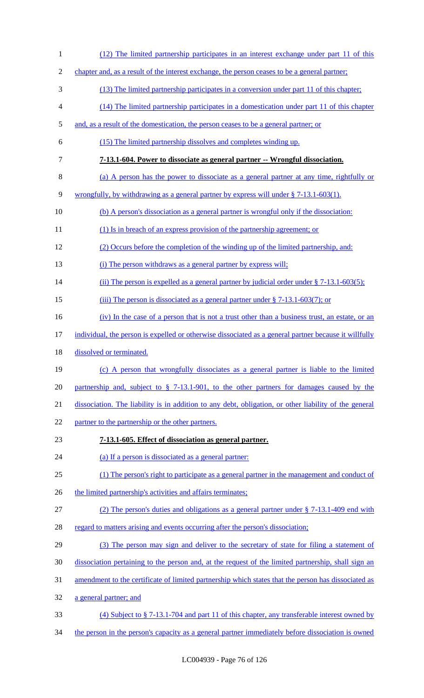| $\mathbf{1}$   | (12) The limited partnership participates in an interest exchange under part 11 of this               |
|----------------|-------------------------------------------------------------------------------------------------------|
| $\mathfrak{2}$ | chapter and, as a result of the interest exchange, the person ceases to be a general partner;         |
| 3              | (13) The limited partnership participates in a conversion under part 11 of this chapter;              |
| $\overline{4}$ | (14) The limited partnership participates in a domestication under part 11 of this chapter            |
| 5              | and, as a result of the domestication, the person ceases to be a general partner; or                  |
| 6              | (15) The limited partnership dissolves and completes winding up.                                      |
| $\tau$         | 7-13.1-604. Power to dissociate as general partner -- Wrongful dissociation.                          |
| $8\,$          | (a) A person has the power to dissociate as a general partner at any time, rightfully or              |
| 9              | wrongfully, by withdrawing as a general partner by express will under $\S$ 7-13.1-603(1).             |
| 10             | (b) A person's dissociation as a general partner is wrongful only if the dissociation:                |
| 11             | (1) Is in breach of an express provision of the partnership agreement; or                             |
| 12             | (2) Occurs before the completion of the winding up of the limited partnership, and:                   |
| 13             | (i) The person withdraws as a general partner by express will;                                        |
| 14             | (ii) The person is expelled as a general partner by judicial order under $\S$ 7-13.1-603(5);          |
| 15             | (iii) The person is dissociated as a general partner under $\S$ 7-13.1-603(7); or                     |
| 16             | (iv) In the case of a person that is not a trust other than a business trust, an estate, or an        |
| 17             | individual, the person is expelled or otherwise dissociated as a general partner because it willfully |
| 18             | dissolved or terminated.                                                                              |
| 19             | (c) A person that wrongfully dissociates as a general partner is liable to the limited                |
| 20             | partnership and, subject to $\S$ 7-13.1-901, to the other partners for damages caused by the          |
| 21             | dissociation. The liability is in addition to any debt, obligation, or other liability of the general |
| 22             | partner to the partnership or the other partners.                                                     |
| 23             | 7-13.1-605. Effect of dissociation as general partner.                                                |
| 24             | (a) If a person is dissociated as a general partner:                                                  |
| 25             | (1) The person's right to participate as a general partner in the management and conduct of           |
| 26             | the limited partnership's activities and affairs terminates;                                          |
| 27             | (2) The person's duties and obligations as a general partner under $\S$ 7-13.1-409 end with           |
| 28             | regard to matters arising and events occurring after the person's dissociation;                       |
| 29             | (3) The person may sign and deliver to the secretary of state for filing a statement of               |
| 30             | dissociation pertaining to the person and, at the request of the limited partnership, shall sign an   |
| 31             | amendment to the certificate of limited partnership which states that the person has dissociated as   |
| 32             | a general partner; and                                                                                |
| 33             | $(4)$ Subject to § 7-13.1-704 and part 11 of this chapter, any transferable interest owned by         |
| 34             | the person in the person's capacity as a general partner immediately before dissociation is owned     |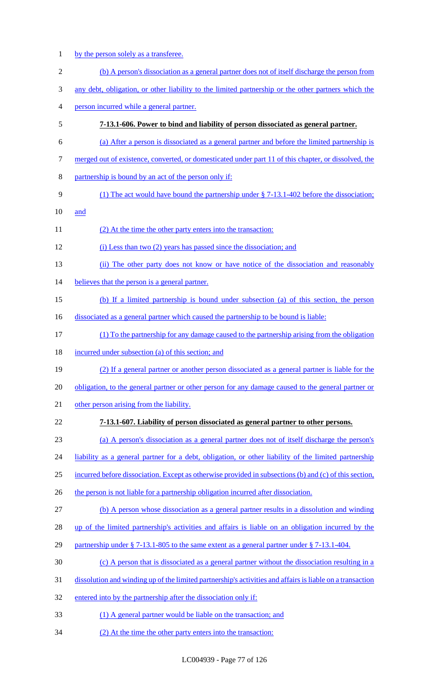- by the person solely as a transferee.
- (b) A person's dissociation as a general partner does not of itself discharge the person from any debt, obligation, or other liability to the limited partnership or the other partners which the person incurred while a general partner. **7-13.1-606. Power to bind and liability of person dissociated as general partner.** (a) After a person is dissociated as a general partner and before the limited partnership is merged out of existence, converted, or domesticated under part 11 of this chapter, or dissolved, the partnership is bound by an act of the person only if: (1) The act would have bound the partnership under § 7-13.1-402 before the dissociation; and (2) At the time the other party enters into the transaction: (i) Less than two (2) years has passed since the dissociation; and 13 (ii) The other party does not know or have notice of the dissociation and reasonably 14 believes that the person is a general partner. (b) If a limited partnership is bound under subsection (a) of this section, the person 16 dissociated as a general partner which caused the partnership to be bound is liable: (1) To the partnership for any damage caused to the partnership arising from the obligation 18 incurred under subsection (a) of this section; and (2) If a general partner or another person dissociated as a general partner is liable for the 20 obligation, to the general partner or other person for any damage caused to the general partner or 21 other person arising from the liability. **7-13.1-607. Liability of person dissociated as general partner to other persons.** (a) A person's dissociation as a general partner does not of itself discharge the person's 24 liability as a general partner for a debt, obligation, or other liability of the limited partnership incurred before dissociation. Except as otherwise provided in subsections (b) and (c) of this section, 26 the person is not liable for a partnership obligation incurred after dissociation. (b) A person whose dissociation as a general partner results in a dissolution and winding up of the limited partnership's activities and affairs is liable on an obligation incurred by the partnership under § 7-13.1-805 to the same extent as a general partner under § 7-13.1-404. (c) A person that is dissociated as a general partner without the dissociation resulting in a dissolution and winding up of the limited partnership's activities and affairs is liable on a transaction entered into by the partnership after the dissociation only if: (1) A general partner would be liable on the transaction; and (2) At the time the other party enters into the transaction: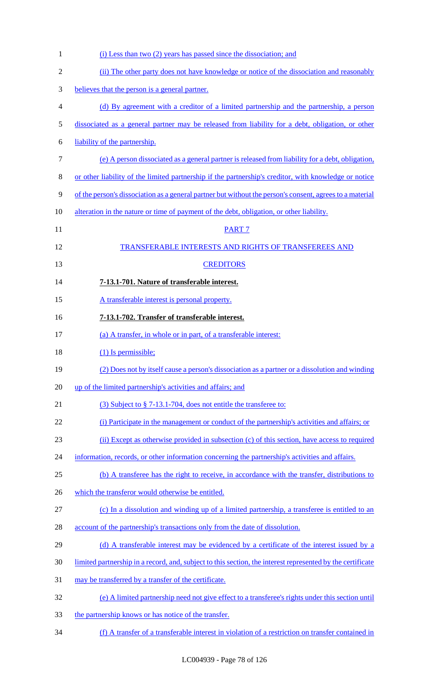| $\mathbf{1}$   | (i) Less than two (2) years has passed since the dissociation; and                                         |
|----------------|------------------------------------------------------------------------------------------------------------|
| $\overline{2}$ | (ii) The other party does not have knowledge or notice of the dissociation and reasonably                  |
| 3              | believes that the person is a general partner.                                                             |
| $\overline{4}$ | (d) By agreement with a creditor of a limited partnership and the partnership, a person                    |
| 5              | dissociated as a general partner may be released from liability for a debt, obligation, or other           |
| 6              | liability of the partnership.                                                                              |
| 7              | (e) A person dissociated as a general partner is released from liability for a debt, obligation,           |
| 8              | or other liability of the limited partnership if the partnership's creditor, with knowledge or notice      |
| 9              | of the person's dissociation as a general partner but without the person's consent, agrees to a material   |
| 10             | alteration in the nature or time of payment of the debt, obligation, or other liability.                   |
| 11             | PART <sub>7</sub>                                                                                          |
| 12             | TRANSFERABLE INTERESTS AND RIGHTS OF TRANSFEREES AND                                                       |
| 13             | <b>CREDITORS</b>                                                                                           |
| 14             | 7-13.1-701. Nature of transferable interest.                                                               |
| 15             | A transferable interest is personal property.                                                              |
| 16             | 7-13.1-702. Transfer of transferable interest.                                                             |
| 17             | (a) A transfer, in whole or in part, of a transferable interest:                                           |
| 18             | (1) Is permissible;                                                                                        |
| 19             | (2) Does not by itself cause a person's dissociation as a partner or a dissolution and winding             |
| 20             | up of the limited partnership's activities and affairs; and                                                |
| 21             | (3) Subject to § 7-13.1-704, does not entitle the transferee to:                                           |
| 22             | (i) Participate in the management or conduct of the partnership's activities and affairs; or               |
| 23             | (ii) Except as otherwise provided in subsection (c) of this section, have access to required               |
| 24             | information, records, or other information concerning the partnership's activities and affairs.            |
| 25             | (b) A transferee has the right to receive, in accordance with the transfer, distributions to               |
| 26             | which the transferor would otherwise be entitled.                                                          |
| 27             | (c) In a dissolution and winding up of a limited partnership, a transferee is entitled to an               |
| 28             | account of the partnership's transactions only from the date of dissolution.                               |
| 29             | (d) A transferable interest may be evidenced by a certificate of the interest issued by a                  |
| 30             | limited partnership in a record, and, subject to this section, the interest represented by the certificate |
| 31             | may be transferred by a transfer of the certificate.                                                       |
| 32             | (e) A limited partnership need not give effect to a transferee's rights under this section until           |
| 33             | the partnership knows or has notice of the transfer.                                                       |
| 34             | (f) A transfer of a transferable interest in violation of a restriction on transfer contained in           |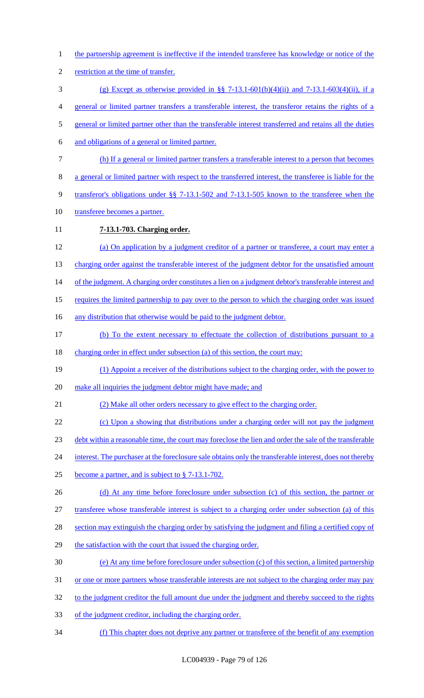1 the partnership agreement is ineffective if the intended transferee has knowledge or notice of the 2 restriction at the time of transfer. 3 (g) Except as otherwise provided in §§ 7-13.1-601(b)(4)(ii) and 7-13.1-603(4)(ii), if a 4 general or limited partner transfers a transferable interest, the transferor retains the rights of a 5 general or limited partner other than the transferable interest transferred and retains all the duties 6 and obligations of a general or limited partner. 7 (h) If a general or limited partner transfers a transferable interest to a person that becomes 8 a general or limited partner with respect to the transferred interest, the transferee is liable for the 9 transferor's obligations under §§ 7-13.1-502 and 7-13.1-505 known to the transferee when the 10 transferee becomes a partner. 11 **7-13.1-703. Charging order.** 12 (a) On application by a judgment creditor of a partner or transferee, a court may enter a 13 charging order against the transferable interest of the judgment debtor for the unsatisfied amount 14 of the judgment. A charging order constitutes a lien on a judgment debtor's transferable interest and 15 requires the limited partnership to pay over to the person to which the charging order was issued 16 any distribution that otherwise would be paid to the judgment debtor. 17 (b) To the extent necessary to effectuate the collection of distributions pursuant to a 18 charging order in effect under subsection (a) of this section, the court may: 19 (1) Appoint a receiver of the distributions subject to the charging order, with the power to 20 make all inquiries the judgment debtor might have made; and 21 (2) Make all other orders necessary to give effect to the charging order. 22 (c) Upon a showing that distributions under a charging order will not pay the judgment 23 debt within a reasonable time, the court may foreclose the lien and order the sale of the transferable 24 interest. The purchaser at the foreclosure sale obtains only the transferable interest, does not thereby 25 become a partner, and is subject to § 7-13.1-702. 26 (d) At any time before foreclosure under subsection (c) of this section, the partner or 27 transferee whose transferable interest is subject to a charging order under subsection (a) of this 28 section may extinguish the charging order by satisfying the judgment and filing a certified copy of 29 the satisfaction with the court that issued the charging order. 30 (e) At any time before foreclosure under subsection (c) of this section, a limited partnership 31 or one or more partners whose transferable interests are not subject to the charging order may pay 32 to the judgment creditor the full amount due under the judgment and thereby succeed to the rights 33 of the judgment creditor, including the charging order. 34 (f) This chapter does not deprive any partner or transferee of the benefit of any exemption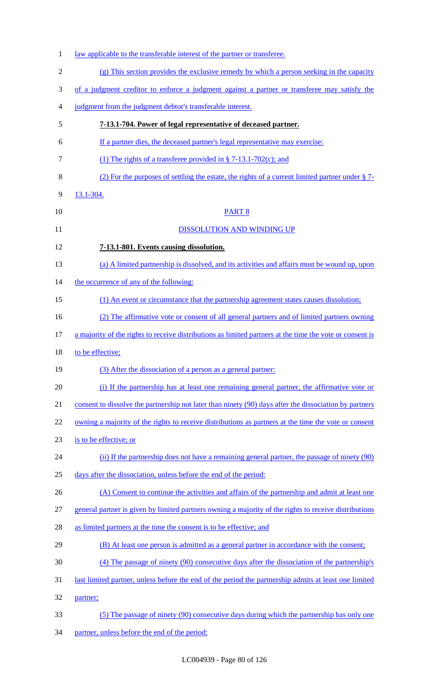| $\mathbf{1}$   | <u>law applicable to the transferable interest of the partner or transferee.</u>                         |
|----------------|----------------------------------------------------------------------------------------------------------|
| $\overline{2}$ | (g) This section provides the exclusive remedy by which a person seeking in the capacity                 |
| 3              | of a judgment creditor to enforce a judgment against a partner or transferee may satisfy the             |
| 4              | judgment from the judgment debtor's transferable interest.                                               |
| 5              | 7-13.1-704. Power of legal representative of deceased partner.                                           |
| 6              | If a partner dies, the deceased partner's legal representative may exercise:                             |
| $\tau$         | (1) The rights of a transferee provided in $\S$ 7-13.1-702(c); and                                       |
| 8              | (2) For the purposes of settling the estate, the rights of a current limited partner under $\S$ 7-       |
| 9              | 13.1-304.                                                                                                |
| 10             | <b>PART 8</b>                                                                                            |
| 11             | DISSOLUTION AND WINDING UP                                                                               |
| 12             | 7-13.1-801. Events causing dissolution.                                                                  |
| 13             | (a) A limited partnership is dissolved, and its activities and affairs must be wound up, upon            |
| 14             | the occurrence of any of the following:                                                                  |
| 15             | (1) An event or circumstance that the partnership agreement states causes dissolution;                   |
| 16             | (2) The affirmative vote or consent of all general partners and of limited partners owning               |
| 17             | a majority of the rights to receive distributions as limited partners at the time the vote or consent is |
| 18             | to be effective;                                                                                         |
| 19             | (3) After the dissociation of a person as a general partner:                                             |
| 20             | (i) If the partnership has at least one remaining general partner, the affirmative vote or               |
| 21             | consent to dissolve the partnership not later than ninety (90) days after the dissociation by partners   |
| 22             | owning a majority of the rights to receive distributions as partners at the time the vote or consent     |
| 23             | is to be effective; or                                                                                   |
| 24             | (ii) If the partnership does not have a remaining general partner, the passage of ninety (90)            |
| 25             | days after the dissociation, unless before the end of the period:                                        |
| 26             | (A) Consent to continue the activities and affairs of the partnership and admit at least one             |
| 27             | general partner is given by limited partners owning a majority of the rights to receive distributions    |
| 28             | as limited partners at the time the consent is to be effective; and                                      |
| 29             | (B) At least one person is admitted as a general partner in accordance with the consent;                 |
| 30             | (4) The passage of ninety (90) consecutive days after the dissociation of the partnership's              |
| 31             | last limited partner, unless before the end of the period the partnership admits at least one limited    |
| 32             | partner;                                                                                                 |
| 33             | (5) The passage of ninety (90) consecutive days during which the partnership has only one                |
| 34             | partner, unless before the end of the period:                                                            |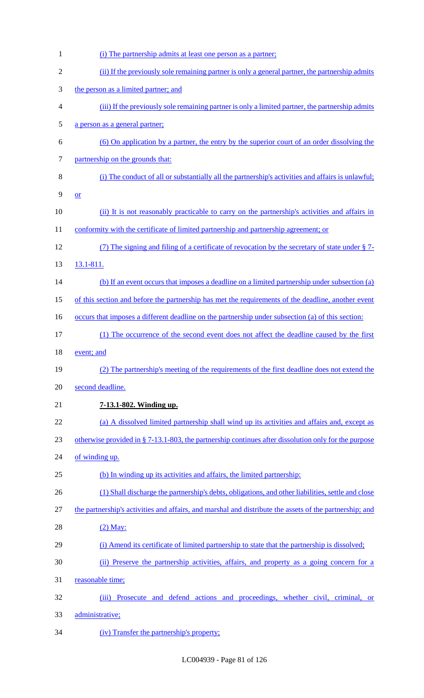| $\mathbf{1}$   | (i) The partnership admits at least one person as a partner.                                            |
|----------------|---------------------------------------------------------------------------------------------------------|
| $\overline{2}$ | (ii) If the previously sole remaining partner is only a general partner, the partnership admits         |
| 3              | the person as a limited partner; and                                                                    |
| 4              | (iii) If the previously sole remaining partner is only a limited partner, the partnership admits        |
| 5              | a person as a general partner;                                                                          |
| 6              | (6) On application by a partner, the entry by the superior court of an order dissolving the             |
| 7              | partnership on the grounds that:                                                                        |
| 8              | (i) The conduct of all or substantially all the partnership's activities and affairs is unlawful;       |
| 9              | $or$                                                                                                    |
| 10             | (ii) It is not reasonably practicable to carry on the partnership's activities and affairs in           |
| 11             | conformity with the certificate of limited partnership and partnership agreement; or                    |
| 12             | (7) The signing and filing of a certificate of revocation by the secretary of state under § 7-          |
| 13             | 13.1-811.                                                                                               |
| 14             | (b) If an event occurs that imposes a deadline on a limited partnership under subsection (a)            |
| 15             | of this section and before the partnership has met the requirements of the deadline, another event      |
| 16             | occurs that imposes a different deadline on the partnership under subsection (a) of this section:       |
| 17             | (1) The occurrence of the second event does not affect the deadline caused by the first                 |
| 18             | event; and                                                                                              |
| 19             | (2) The partnership's meeting of the requirements of the first deadline does not extend the             |
| 20             | second deadline.                                                                                        |
| 21             | 7-13.1-802. Winding up.                                                                                 |
| 22             | (a) A dissolved limited partnership shall wind up its activities and affairs and, except as             |
| 23             | otherwise provided in $\S$ 7-13.1-803, the partnership continues after dissolution only for the purpose |
| 24             | of winding up.                                                                                          |
| 25             | (b) In winding up its activities and affairs, the limited partnership:                                  |
| 26             | (1) Shall discharge the partnership's debts, obligations, and other liabilities, settle and close       |
| 27             | the partnership's activities and affairs, and marshal and distribute the assets of the partnership; and |
| 28             | $(2)$ May:                                                                                              |
| 29             | (i) Amend its certificate of limited partnership to state that the partnership is dissolved;            |
| 30             | (ii) Preserve the partnership activities, affairs, and property as a going concern for a                |
| 31             | reasonable time;                                                                                        |
| 32             | Prosecute and defend actions and proceedings, whether civil, criminal, or<br>(iii)                      |
| 33             | administrative;                                                                                         |
|                |                                                                                                         |

(iv) Transfer the partnership's property;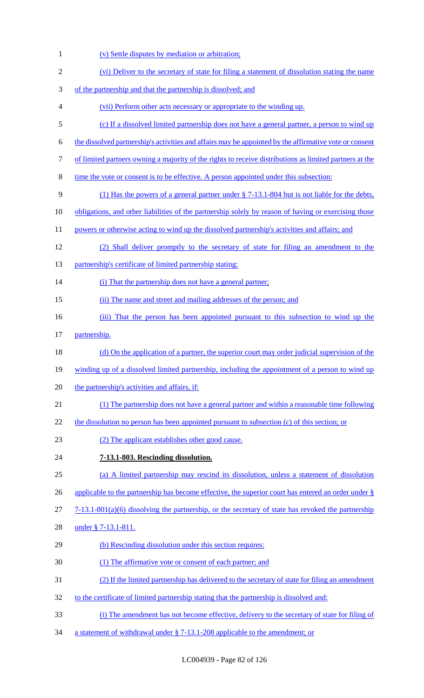- (v) Settle disputes by mediation or arbitration; (vi) Deliver to the secretary of state for filing a statement of dissolution stating the name of the partnership and that the partnership is dissolved; and (vii) Perform other acts necessary or appropriate to the winding up. (c) If a dissolved limited partnership does not have a general partner, a person to wind up the dissolved partnership's activities and affairs may be appointed by the affirmative vote or consent of limited partners owning a majority of the rights to receive distributions as limited partners at the time the vote or consent is to be effective. A person appointed under this subsection: (1) Has the powers of a general partner under § 7-13.1-804 but is not liable for the debts, 10 obligations, and other liabilities of the partnership solely by reason of having or exercising those 11 powers or otherwise acting to wind up the dissolved partnership's activities and affairs; and (2) Shall deliver promptly to the secretary of state for filing an amendment to the 13 partnership's certificate of limited partnership stating: 14 (i) That the partnership does not have a general partner; (ii) The name and street and mailing addresses of the person; and 16 (iii) That the person has been appointed pursuant to this subsection to wind up the partnership. 18 (d) On the application of a partner, the superior court may order judicial supervision of the winding up of a dissolved limited partnership, including the appointment of a person to wind up 20 the partnership's activities and affairs, if: (1) The partnership does not have a general partner and within a reasonable time following 22 the dissolution no person has been appointed pursuant to subsection (c) of this section; or (2) The applicant establishes other good cause. **7-13.1-803. Rescinding dissolution.** (a) A limited partnership may rescind its dissolution, unless a statement of dissolution 26 applicable to the partnership has become effective, the superior court has entered an order under § 7-13.1-801(a)(6) dissolving the partnership, or the secretary of state has revoked the partnership under § 7-13.1-811. (b) Rescinding dissolution under this section requires: (1) The affirmative vote or consent of each partner; and (2) If the limited partnership has delivered to the secretary of state for filing an amendment 32 to the certificate of limited partnership stating that the partnership is dissolved and: (i) The amendment has not become effective, delivery to the secretary of state for filing of
- a statement of withdrawal under § 7-13.1-208 applicable to the amendment; or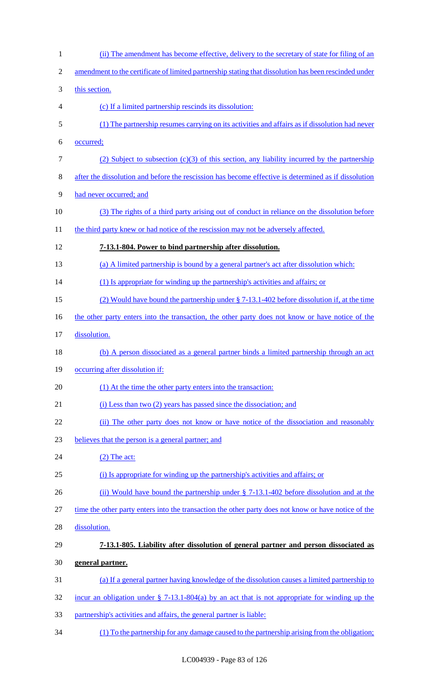| $\mathbf{1}$   | (ii) The amendment has become effective, delivery to the secretary of state for filing of an          |
|----------------|-------------------------------------------------------------------------------------------------------|
| $\overline{2}$ | amendment to the certificate of limited partnership stating that dissolution has been rescinded under |
| 3              | this section.                                                                                         |
| 4              | (c) If a limited partnership rescinds its dissolution:                                                |
| 5              | (1) The partnership resumes carrying on its activities and affairs as if dissolution had never        |
| 6              | occurred;                                                                                             |
| $\tau$         | (2) Subject to subsection (c)(3) of this section, any liability incurred by the partnership           |
| 8              | after the dissolution and before the rescission has become effective is determined as if dissolution  |
| 9              | had never occurred; and                                                                               |
| 10             | (3) The rights of a third party arising out of conduct in reliance on the dissolution before          |
| 11             | the third party knew or had notice of the rescission may not be adversely affected.                   |
| 12             | 7-13.1-804. Power to bind partnership after dissolution.                                              |
| 13             | (a) A limited partnership is bound by a general partner's act after dissolution which:                |
| 14             | (1) Is appropriate for winding up the partnership's activities and affairs; or                        |
| 15             | (2) Would have bound the partnership under $\S$ 7-13.1-402 before dissolution if, at the time         |
| 16             | the other party enters into the transaction, the other party does not know or have notice of the      |
| 17             | dissolution.                                                                                          |
| 18             | (b) A person dissociated as a general partner binds a limited partnership through an act              |
| 19             | occurring after dissolution if:                                                                       |
| 20             | (1) At the time the other party enters into the transaction:                                          |
| 21             | (i) Less than two (2) years has passed since the dissociation; and                                    |
| 22             | (ii) The other party does not know or have notice of the dissociation and reasonably                  |
| 23             | believes that the person is a general partner; and                                                    |
| 24             | $(2)$ The act:                                                                                        |
| 25             | (i) Is appropriate for winding up the partnership's activities and affairs; or                        |
| 26             | (ii) Would have bound the partnership under $\S$ 7-13.1-402 before dissolution and at the             |
| 27             | time the other party enters into the transaction the other party does not know or have notice of the  |
| 28             | dissolution.                                                                                          |
| 29             | 7-13.1-805. Liability after dissolution of general partner and person dissociated as                  |
| 30             | general partner.                                                                                      |
| 31             | (a) If a general partner having knowledge of the dissolution causes a limited partnership to          |
| 32             | incur an obligation under § 7-13.1-804(a) by an act that is not appropriate for winding up the        |
| 33             | partnership's activities and affairs, the general partner is liable:                                  |

(1) To the partnership for any damage caused to the partnership arising from the obligation;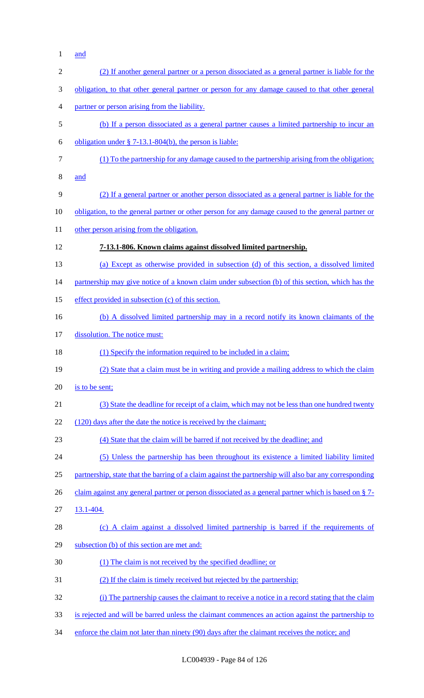1 and

| $\mathbf{2}$   | (2) If another general partner or a person dissociated as a general partner is liable for the          |
|----------------|--------------------------------------------------------------------------------------------------------|
| 3              | obligation, to that other general partner or person for any damage caused to that other general        |
| $\overline{4}$ | partner or person arising from the liability.                                                          |
| 5              | (b) If a person dissociated as a general partner causes a limited partnership to incur an              |
| 6              | obligation under $\S$ 7-13.1-804(b), the person is liable:                                             |
| $\tau$         | (1) To the partnership for any damage caused to the partnership arising from the obligation;           |
| $8\,$          | and                                                                                                    |
| 9              | (2) If a general partner or another person dissociated as a general partner is liable for the          |
| 10             | obligation, to the general partner or other person for any damage caused to the general partner or     |
| 11             | other person arising from the obligation.                                                              |
| 12             | 7-13.1-806. Known claims against dissolved limited partnership.                                        |
| 13             | (a) Except as otherwise provided in subsection (d) of this section, a dissolved limited                |
| 14             | partnership may give notice of a known claim under subsection (b) of this section, which has the       |
| 15             | effect provided in subsection (c) of this section.                                                     |
| 16             | (b) A dissolved limited partnership may in a record notify its known claimants of the                  |
| 17             | dissolution. The notice must:                                                                          |
| 18             | (1) Specify the information required to be included in a claim;                                        |
| 19             | (2) State that a claim must be in writing and provide a mailing address to which the claim             |
| 20             | is to be sent;                                                                                         |
|                |                                                                                                        |
| 21             | (3) State the deadline for receipt of a claim, which may not be less than one hundred twenty           |
| 22             | (120) days after the date the notice is received by the claimant;                                      |
| 23             | (4) State that the claim will be barred if not received by the deadline; and                           |
| 24             | (5) Unless the partnership has been throughout its existence a limited liability limited               |
| 25             | partnership, state that the barring of a claim against the partnership will also bar any corresponding |
| 26             | claim against any general partner or person dissociated as a general partner which is based on § 7-    |
| 27             | 13.1-404.                                                                                              |
| 28             | (c) A claim against a dissolved limited partnership is barred if the requirements of                   |
| 29             | subsection (b) of this section are met and:                                                            |
| 30             | (1) The claim is not received by the specified deadline; or                                            |
| 31             | (2) If the claim is timely received but rejected by the partnership:                                   |
| 32             | (i) The partnership causes the claimant to receive a notice in a record stating that the claim         |

34 enforce the claim not later than ninety (90) days after the claimant receives the notice; and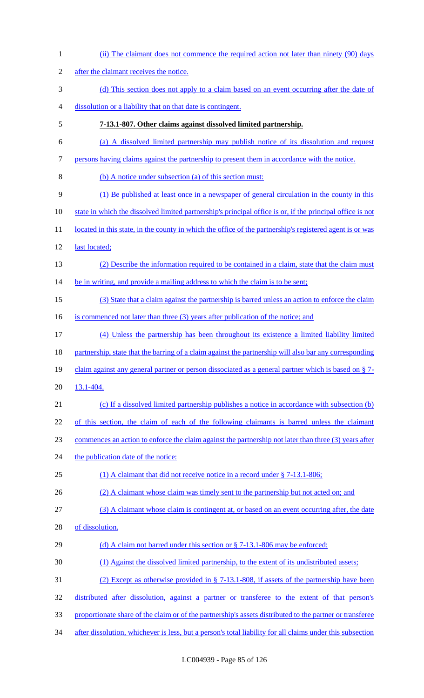| $\mathbf{1}$   | (ii) The claimant does not commence the required action not later than ninety (90) days                   |
|----------------|-----------------------------------------------------------------------------------------------------------|
| $\overline{2}$ | after the claimant receives the notice.                                                                   |
| 3              | (d) This section does not apply to a claim based on an event occurring after the date of                  |
| $\overline{4}$ | dissolution or a liability that on that date is contingent.                                               |
| 5              | 7-13.1-807. Other claims against dissolved limited partnership.                                           |
| 6              | (a) A dissolved limited partnership may publish notice of its dissolution and request                     |
| $\overline{7}$ | persons having claims against the partnership to present them in accordance with the notice.              |
| 8              | (b) A notice under subsection (a) of this section must:                                                   |
| 9              | (1) Be published at least once in a newspaper of general circulation in the county in this                |
| 10             | state in which the dissolved limited partnership's principal office is or, if the principal office is not |
| 11             | located in this state, in the county in which the office of the partnership's registered agent is or was  |
| 12             | last located;                                                                                             |
| 13             | (2) Describe the information required to be contained in a claim, state that the claim must               |
| 14             | be in writing, and provide a mailing address to which the claim is to be sent;                            |
| 15             | (3) State that a claim against the partnership is barred unless an action to enforce the claim            |
| 16             | is commenced not later than three (3) years after publication of the notice; and                          |
| 17             | (4) Unless the partnership has been throughout its existence a limited liability limited                  |
| 18             | partnership, state that the barring of a claim against the partnership will also bar any corresponding    |
| 19             | claim against any general partner or person dissociated as a general partner which is based on § 7-       |
| 20             | 13.1-404.                                                                                                 |
| 21             | (c) If a dissolved limited partnership publishes a notice in accordance with subsection (b)               |
| 22             | of this section, the claim of each of the following claimants is barred unless the claimant               |
| 23             | commences an action to enforce the claim against the partnership not later than three (3) years after     |
| 24             | the publication date of the notice:                                                                       |
| 25             | (1) A claimant that did not receive notice in a record under $\S$ 7-13.1-806;                             |
| 26             | (2) A claimant whose claim was timely sent to the partnership but not acted on; and                       |
| 27             | (3) A claimant whose claim is contingent at, or based on an event occurring after, the date               |
| 28             | of dissolution.                                                                                           |
| 29             | (d) A claim not barred under this section or $\S$ 7-13.1-806 may be enforced:                             |
| 30             | (1) Against the dissolved limited partnership, to the extent of its undistributed assets;                 |
| 31             | (2) Except as otherwise provided in $\S$ 7-13.1-808, if assets of the partnership have been               |
| 32             | distributed after dissolution, against a partner or transferee to the extent of that person's             |
| 33             | proportionate share of the claim or of the partnership's assets distributed to the partner or transferee  |
| 34             | after dissolution, whichever is less, but a person's total liability for all claims under this subsection |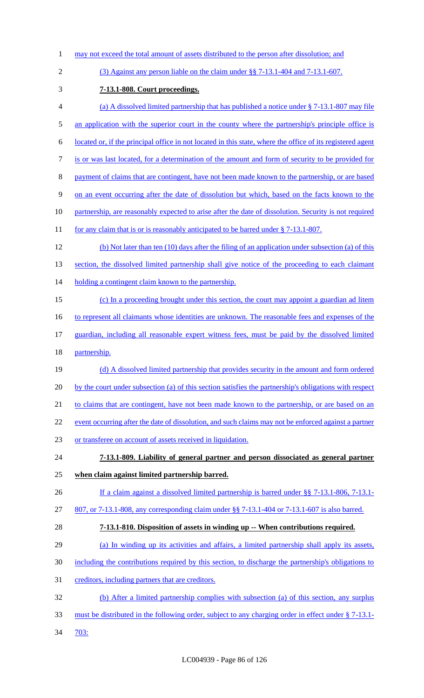- 1 may not exceed the total amount of assets distributed to the person after dissolution; and
- (3) Against any person liable on the claim under §§ 7-13.1-404 and 7-13.1-607.
- **7-13.1-808. Court proceedings.**
- (a) A dissolved limited partnership that has published a notice under § 7-13.1-807 may file
- 5 an application with the superior court in the county where the partnership's principle office is
- located or, if the principal office in not located in this state, where the office of its registered agent
- is or was last located, for a determination of the amount and form of security to be provided for
- payment of claims that are contingent, have not been made known to the partnership, or are based
- on an event occurring after the date of dissolution but which, based on the facts known to the
- 10 partnership, are reasonably expected to arise after the date of dissolution. Security is not required
- 11 for any claim that is or is reasonably anticipated to be barred under § 7-13.1-807.
- (b) Not later than ten (10) days after the filing of an application under subsection (a) of this 13 section, the dissolved limited partnership shall give notice of the proceeding to each claimant 14 holding a contingent claim known to the partnership.
- (c) In a proceeding brought under this section, the court may appoint a guardian ad litem
- 16 to represent all claimants whose identities are unknown. The reasonable fees and expenses of the
- guardian, including all reasonable expert witness fees, must be paid by the dissolved limited 18 partnership.
- (d) A dissolved limited partnership that provides security in the amount and form ordered
- by the court under subsection (a) of this section satisfies the partnership's obligations with respect
- 21 to claims that are contingent, have not been made known to the partnership, or are based on an
- 22 event occurring after the date of dissolution, and such claims may not be enforced against a partner
- or transferee on account of assets received in liquidation.
- **7-13.1-809. Liability of general partner and person dissociated as general partner when claim against limited partnership barred.**
- 26 If a claim against a dissolved limited partnership is barred under §§ 7-13.1-806, 7-13.1-
- 807, or 7-13.1-808, any corresponding claim under §§ 7-13.1-404 or 7-13.1-607 is also barred.
- 

## **7-13.1-810. Disposition of assets in winding up -- When contributions required.**

- (a) In winding up its activities and affairs, a limited partnership shall apply its assets,
- including the contributions required by this section, to discharge the partnership's obligations to
- creditors, including partners that are creditors.
- (b) After a limited partnership complies with subsection (a) of this section, any surplus
- must be distributed in the following order, subject to any charging order in effect under § 7-13.1-
- 34 703: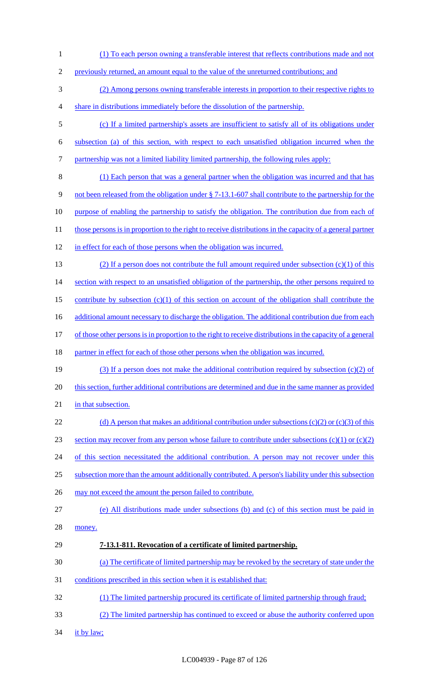(1) To each person owning a transferable interest that reflects contributions made and not previously returned, an amount equal to the value of the unreturned contributions; and (2) Among persons owning transferable interests in proportion to their respective rights to share in distributions immediately before the dissolution of the partnership. (c) If a limited partnership's assets are insufficient to satisfy all of its obligations under subsection (a) of this section, with respect to each unsatisfied obligation incurred when the partnership was not a limited liability limited partnership, the following rules apply: (1) Each person that was a general partner when the obligation was incurred and that has not been released from the obligation under § 7-13.1-607 shall contribute to the partnership for the 10 purpose of enabling the partnership to satisfy the obligation. The contribution due from each of 11 those persons is in proportion to the right to receive distributions in the capacity of a general partner in effect for each of those persons when the obligation was incurred. (2) If a person does not contribute the full amount required under subsection (c)(1) of this 14 section with respect to an unsatisfied obligation of the partnership, the other persons required to contribute by subsection (c)(1) of this section on account of the obligation shall contribute the 16 additional amount necessary to discharge the obligation. The additional contribution due from each 17 of those other persons is in proportion to the right to receive distributions in the capacity of a general 18 partner in effect for each of those other persons when the obligation was incurred. 19 (3) If a person does not make the additional contribution required by subsection (c)(2) of 20 this section, further additional contributions are determined and due in the same manner as provided 21 in that subsection. 22 (d) A person that makes an additional contribution under subsections  $(c)(2)$  or  $(c)(3)$  of this 23 section may recover from any person whose failure to contribute under subsections  $(c)(1)$  or  $(c)(2)$ 24 of this section necessitated the additional contribution. A person may not recover under this subsection more than the amount additionally contributed. A person's liability under this subsection may not exceed the amount the person failed to contribute. (e) All distributions made under subsections (b) and (c) of this section must be paid in money. **7-13.1-811. Revocation of a certificate of limited partnership.** (a) The certificate of limited partnership may be revoked by the secretary of state under the conditions prescribed in this section when it is established that: (1) The limited partnership procured its certificate of limited partnership through fraud; (2) The limited partnership has continued to exceed or abuse the authority conferred upon it by law;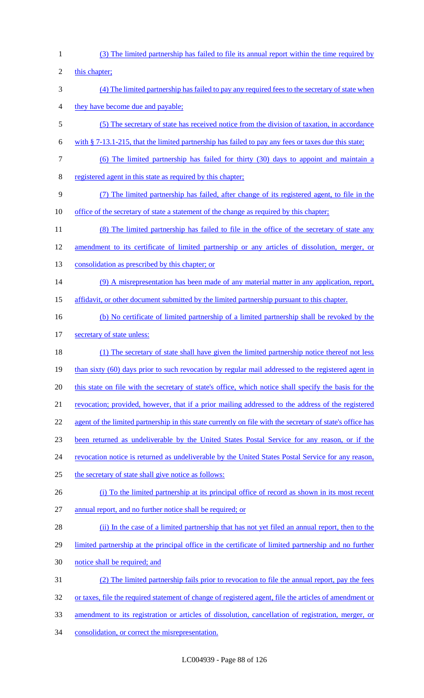(3) The limited partnership has failed to file its annual report within the time required by 2 this chapter; (4) The limited partnership has failed to pay any required fees to the secretary of state when they have become due and payable; (5) The secretary of state has received notice from the division of taxation, in accordance with § 7-13.1-215, that the limited partnership has failed to pay any fees or taxes due this state; (6) The limited partnership has failed for thirty (30) days to appoint and maintain a registered agent in this state as required by this chapter; (7) The limited partnership has failed, after change of its registered agent, to file in the 10 office of the secretary of state a statement of the change as required by this chapter; 11 (8) The limited partnership has failed to file in the office of the secretary of state any amendment to its certificate of limited partnership or any articles of dissolution, merger, or 13 consolidation as prescribed by this chapter; or 14 (9) A misrepresentation has been made of any material matter in any application, report, 15 affidavit, or other document submitted by the limited partnership pursuant to this chapter. (b) No certificate of limited partnership of a limited partnership shall be revoked by the 17 secretary of state unless: (1) The secretary of state shall have given the limited partnership notice thereof not less 19 than sixty (60) days prior to such revocation by regular mail addressed to the registered agent in 20 this state on file with the secretary of state's office, which notice shall specify the basis for the revocation; provided, however, that if a prior mailing addressed to the address of the registered 22 agent of the limited partnership in this state currently on file with the secretary of state's office has been returned as undeliverable by the United States Postal Service for any reason, or if the 24 revocation notice is returned as undeliverable by the United States Postal Service for any reason, the secretary of state shall give notice as follows: (i) To the limited partnership at its principal office of record as shown in its most recent annual report, and no further notice shall be required; or 28 (ii) In the case of a limited partnership that has not yet filed an annual report, then to the limited partnership at the principal office in the certificate of limited partnership and no further notice shall be required; and (2) The limited partnership fails prior to revocation to file the annual report, pay the fees 32 or taxes, file the required statement of change of registered agent, file the articles of amendment or amendment to its registration or articles of dissolution, cancellation of registration, merger, or consolidation, or correct the misrepresentation.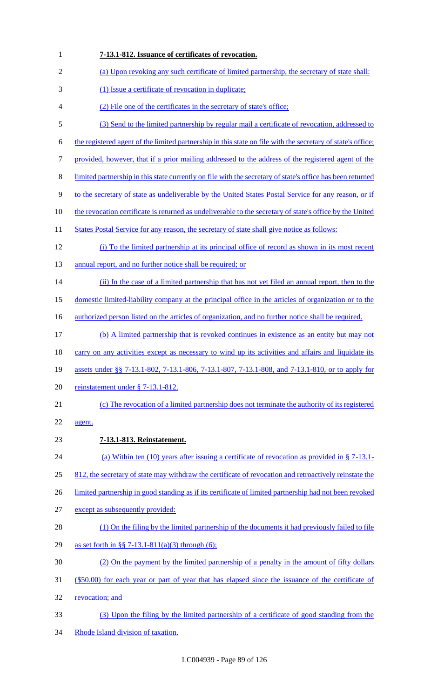| $\mathbf{1}$   | 7-13.1-812. Issuance of certificates of revocation.                                                         |
|----------------|-------------------------------------------------------------------------------------------------------------|
| $\overline{2}$ | (a) Upon revoking any such certificate of limited partnership, the secretary of state shall:                |
| 3              | (1) Issue a certificate of revocation in duplicate;                                                         |
| 4              | (2) File one of the certificates in the secretary of state's office;                                        |
| 5              | (3) Send to the limited partnership by regular mail a certificate of revocation, addressed to               |
| 6              | the registered agent of the limited partnership in this state on file with the secretary of state's office; |
| 7              | provided, however, that if a prior mailing addressed to the address of the registered agent of the          |
| 8              | limited partnership in this state currently on file with the secretary of state's office has been returned  |
| 9              | to the secretary of state as undeliverable by the United States Postal Service for any reason, or if        |
| 10             | the revocation certificate is returned as undeliverable to the secretary of state's office by the United    |
| 11             | States Postal Service for any reason, the secretary of state shall give notice as follows:                  |
| 12             | (i) To the limited partnership at its principal office of record as shown in its most recent                |
| 13             | annual report, and no further notice shall be required; or                                                  |
| 14             | (ii) In the case of a limited partnership that has not yet filed an annual report, then to the              |
| 15             | domestic limited-liability company at the principal office in the articles of organization or to the        |
| 16             | authorized person listed on the articles of organization, and no further notice shall be required.          |
| 17             | (b) A limited partnership that is revoked continues in existence as an entity but may not                   |
| 18             | carry on any activities except as necessary to wind up its activities and affairs and liquidate its         |
| 19             | assets under §§ 7-13.1-802, 7-13.1-806, 7-13.1-807, 7-13.1-808, and 7-13.1-810, or to apply for             |
| 20             | reinstatement under § 7-13.1-812.                                                                           |
| 21             | (c) The revocation of a limited partnership does not terminate the authority of its registered              |
| 22             | agent.                                                                                                      |
| 23             | 7-13.1-813. Reinstatement.                                                                                  |
| 24             | (a) Within ten (10) years after issuing a certificate of revocation as provided in § 7-13.1-                |
| 25             | 812, the secretary of state may withdraw the certificate of revocation and retroactively reinstate the      |
| 26             | limited partnership in good standing as if its certificate of limited partnership had not been revoked      |
| 27             | except as subsequently provided:                                                                            |
| 28             | (1) On the filing by the limited partnership of the documents it had previously failed to file              |
| 29             | as set forth in §§ 7-13.1-811(a)(3) through (6);                                                            |
| 30             | (2) On the payment by the limited partnership of a penalty in the amount of fifty dollars                   |
| 31             | (\$50.00) for each year or part of year that has elapsed since the issuance of the certificate of           |
| 32             | revocation; and                                                                                             |
| 33             | (3) Upon the filing by the limited partnership of a certificate of good standing from the                   |
| 34             | Rhode Island division of taxation.                                                                          |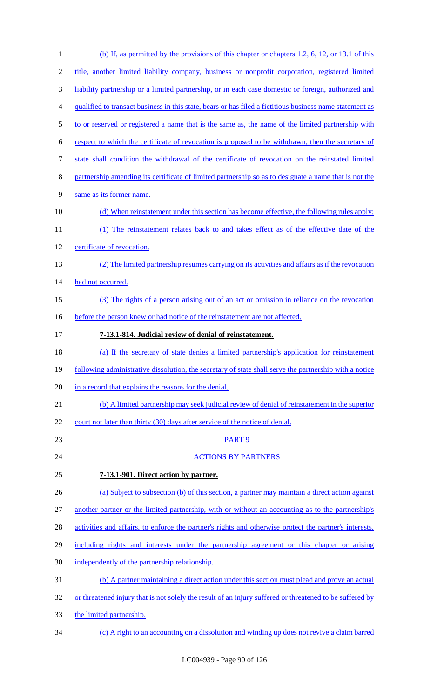| $\mathbf{1}$   | (b) If, as permitted by the provisions of this chapter or chapters 1.2, 6, 12, or 13.1 of this           |
|----------------|----------------------------------------------------------------------------------------------------------|
| $\overline{c}$ | title, another limited liability company, business or nonprofit corporation, registered limited          |
| 3              | liability partnership or a limited partnership, or in each case domestic or foreign, authorized and      |
| 4              | qualified to transact business in this state, bears or has filed a fictitious business name statement as |
| 5              | to or reserved or registered a name that is the same as, the name of the limited partnership with        |
| 6              | respect to which the certificate of revocation is proposed to be withdrawn, then the secretary of        |
| 7              | state shall condition the withdrawal of the certificate of revocation on the reinstated limited          |
| 8              | partnership amending its certificate of limited partnership so as to designate a name that is not the    |
| 9              | same as its former name.                                                                                 |
| 10             | (d) When reinstatement under this section has become effective, the following rules apply:               |
| 11             | (1) The reinstatement relates back to and takes effect as of the effective date of the                   |
| 12             | certificate of revocation.                                                                               |
| 13             | (2) The limited partnership resumes carrying on its activities and affairs as if the revocation          |
| 14             | had not occurred.                                                                                        |
| 15             | (3) The rights of a person arising out of an act or omission in reliance on the revocation               |
| 16             | before the person knew or had notice of the reinstatement are not affected.                              |
| 17             | 7-13.1-814. Judicial review of denial of reinstatement.                                                  |
| 18             | (a) If the secretary of state denies a limited partnership's application for reinstatement               |
| 19             | following administrative dissolution, the secretary of state shall serve the partnership with a notice   |
| 20             | in a record that explains the reasons for the denial.                                                    |
| 21             | (b) A limited partnership may seek judicial review of denial of reinstatement in the superior            |
| 22             | court not later than thirty (30) days after service of the notice of denial.                             |
| 23             | PART <sub>9</sub>                                                                                        |
| 24             | <b>ACTIONS BY PARTNERS</b>                                                                               |
| 25             | 7-13.1-901. Direct action by partner.                                                                    |
| 26             | (a) Subject to subsection (b) of this section, a partner may maintain a direct action against            |
| 27             | another partner or the limited partnership, with or without an accounting as to the partnership's        |
| 28             | activities and affairs, to enforce the partner's rights and otherwise protect the partner's interests,   |
| 29             | including rights and interests under the partnership agreement or this chapter or arising                |
| 30             | independently of the partnership relationship.                                                           |
| 31             | (b) A partner maintaining a direct action under this section must plead and prove an actual              |
| 32             | or threatened injury that is not solely the result of an injury suffered or threatened to be suffered by |
| 33             | the limited partnership.                                                                                 |
| 34             | (c) A right to an accounting on a dissolution and winding up does not revive a claim barred              |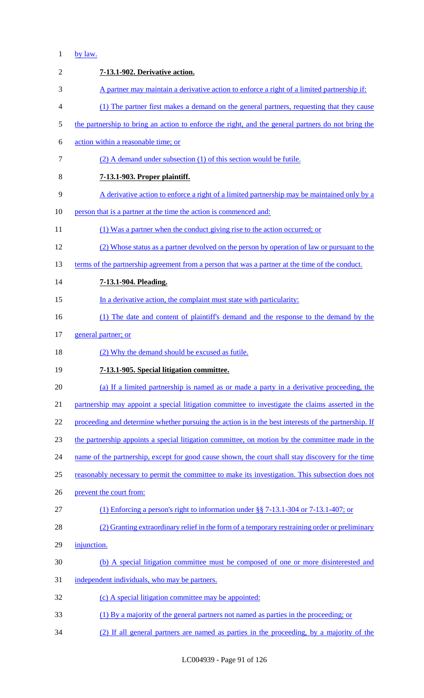## by law.

| $\overline{2}$ | 7-13.1-902. Derivative action.                                                                       |
|----------------|------------------------------------------------------------------------------------------------------|
| 3              | A partner may maintain a derivative action to enforce a right of a limited partnership if:           |
| $\overline{4}$ | (1) The partner first makes a demand on the general partners, requesting that they cause             |
| $\mathfrak{S}$ | the partnership to bring an action to enforce the right, and the general partners do not bring the   |
| 6              | action within a reasonable time; or                                                                  |
| $\overline{7}$ | (2) A demand under subsection (1) of this section would be futile.                                   |
| 8              | 7-13.1-903. Proper plaintiff.                                                                        |
| 9              | A derivative action to enforce a right of a limited partnership may be maintained only by a          |
| 10             | person that is a partner at the time the action is commenced and:                                    |
| 11             | (1) Was a partner when the conduct giving rise to the action occurred; or                            |
| 12             | (2) Whose status as a partner devolved on the person by operation of law or pursuant to the          |
| 13             | terms of the partnership agreement from a person that was a partner at the time of the conduct.      |
| 14             | 7-13.1-904. Pleading.                                                                                |
| 15             | In a derivative action, the complaint must state with particularity:                                 |
| 16             | (1) The date and content of plaintiff's demand and the response to the demand by the                 |
| 17             | general partner; or                                                                                  |
| 18             | (2) Why the demand should be excused as futile.                                                      |
| 19             | 7-13.1-905. Special litigation committee.                                                            |
| 20             | (a) If a limited partnership is named as or made a party in a derivative proceeding, the             |
| 21             | partnership may appoint a special litigation committee to investigate the claims asserted in the     |
| 22             | proceeding and determine whether pursuing the action is in the best interests of the partnership. If |
| 23             | the partnership appoints a special litigation committee, on motion by the committee made in the      |
| 24             | name of the partnership, except for good cause shown, the court shall stay discovery for the time    |
| 25             | reasonably necessary to permit the committee to make its investigation. This subsection does not     |
| 26             | prevent the court from:                                                                              |
| 27             | (1) Enforcing a person's right to information under $\S$ 7-13.1-304 or 7-13.1-407; or                |
| 28             | (2) Granting extraordinary relief in the form of a temporary restraining order or preliminary        |
| 29             | injunction.                                                                                          |
| 30             | (b) A special litigation committee must be composed of one or more disinterested and                 |
| 31             | independent individuals, who may be partners.                                                        |
| 32             | (c) A special litigation committee may be appointed:                                                 |
| 33             | (1) By a majority of the general partners not named as parties in the proceeding; or                 |
| 34             | (2) If all general partners are named as parties in the proceeding, by a majority of the             |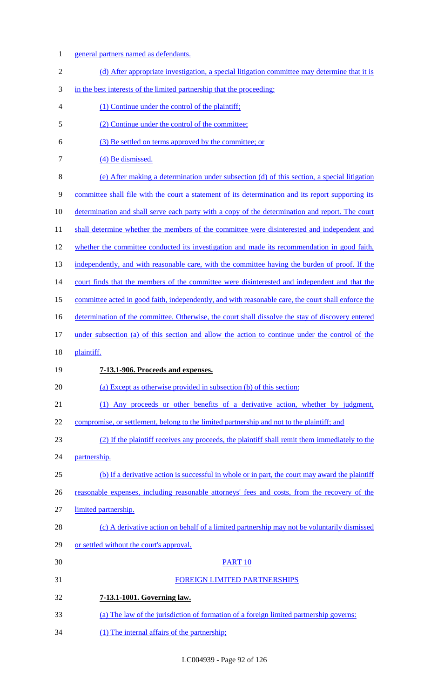- general partners named as defendants.
- 2 (d) After appropriate investigation, a special litigation committee may determine that it is
- in the best interests of the limited partnership that the proceeding:
- (1) Continue under the control of the plaintiff;
- (2) Continue under the control of the committee;
- (3) Be settled on terms approved by the committee; or
- 7 (4) Be dismissed.
- (e) After making a determination under subsection (d) of this section, a special litigation committee shall file with the court a statement of its determination and its report supporting its
- 10 determination and shall serve each party with a copy of the determination and report. The court
- 11 shall determine whether the members of the committee were disinterested and independent and
- whether the committee conducted its investigation and made its recommendation in good faith,
- 13 independently, and with reasonable care, with the committee having the burden of proof. If the
- court finds that the members of the committee were disinterested and independent and that the
- committee acted in good faith, independently, and with reasonable care, the court shall enforce the
- 16 determination of the committee. Otherwise, the court shall dissolve the stay of discovery entered
- under subsection (a) of this section and allow the action to continue under the control of the
- plaintiff.

## **7-13.1-906. Proceeds and expenses.**

- (a) Except as otherwise provided in subsection (b) of this section:
- (1) Any proceeds or other benefits of a derivative action, whether by judgment,
- 22 compromise, or settlement, belong to the limited partnership and not to the plaintiff; and
- (2) If the plaintiff receives any proceeds, the plaintiff shall remit them immediately to the
- partnership.
- (b) If a derivative action is successful in whole or in part, the court may award the plaintiff
- 26 reasonable expenses, including reasonable attorneys' fees and costs, from the recovery of the limited partnership.
- 28 (c) A derivative action on behalf of a limited partnership may not be voluntarily dismissed 29 or settled without the court's approval.
- PART 10 FOREIGN LIMITED PARTNERSHIPS **7-13.1-1001. Governing law.** (a) The law of the jurisdiction of formation of a foreign limited partnership governs:
- (1) The internal affairs of the partnership;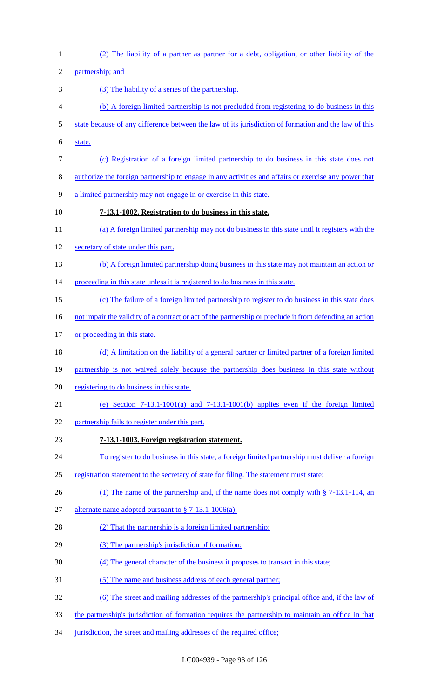- (2) The liability of a partner as partner for a debt, obligation, or other liability of the
- partnership; and (3) The liability of a series of the partnership. (b) A foreign limited partnership is not precluded from registering to do business in this state because of any difference between the law of its jurisdiction of formation and the law of this state. (c) Registration of a foreign limited partnership to do business in this state does not authorize the foreign partnership to engage in any activities and affairs or exercise any power that a limited partnership may not engage in or exercise in this state. **7-13.1-1002. Registration to do business in this state.** (a) A foreign limited partnership may not do business in this state until it registers with the secretary of state under this part. (b) A foreign limited partnership doing business in this state may not maintain an action or 14 proceeding in this state unless it is registered to do business in this state. (c) The failure of a foreign limited partnership to register to do business in this state does 16 not impair the validity of a contract or act of the partnership or preclude it from defending an action 17 or proceeding in this state. 18 (d) A limitation on the liability of a general partner or limited partner of a foreign limited partnership is not waived solely because the partnership does business in this state without registering to do business in this state. (e) Section 7-13.1-1001(a) and 7-13.1-1001(b) applies even if the foreign limited 22 partnership fails to register under this part. **7-13.1-1003. Foreign registration statement.** To register to do business in this state, a foreign limited partnership must deliver a foreign registration statement to the secretary of state for filing. The statement must state: 26 (1) The name of the partnership and, if the name does not comply with § 7-13.1-114, an 27 alternate name adopted pursuant to § 7-13.1-1006(a); 28 (2) That the partnership is a foreign limited partnership; (3) The partnership's jurisdiction of formation; (4) The general character of the business it proposes to transact in this state; (5) The name and business address of each general partner; (6) The street and mailing addresses of the partnership's principal office and, if the law of the partnership's jurisdiction of formation requires the partnership to maintain an office in that
- 34 jurisdiction, the street and mailing addresses of the required office;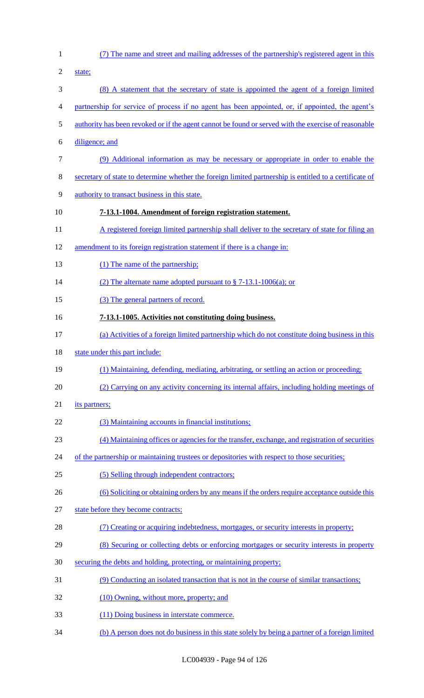(7) The name and street and mailing addresses of the partnership's registered agent in this state; (8) A statement that the secretary of state is appointed the agent of a foreign limited partnership for service of process if no agent has been appointed, or, if appointed, the agent's authority has been revoked or if the agent cannot be found or served with the exercise of reasonable diligence; and (9) Additional information as may be necessary or appropriate in order to enable the secretary of state to determine whether the foreign limited partnership is entitled to a certificate of authority to transact business in this state. **7-13.1-1004. Amendment of foreign registration statement.** 11 A registered foreign limited partnership shall deliver to the secretary of state for filing an amendment to its foreign registration statement if there is a change in: 13 (1) The name of the partnership; 14 (2) The alternate name adopted pursuant to § 7-13.1-1006(a); or 15 (3) The general partners of record. **7-13.1-1005. Activities not constituting doing business.** (a) Activities of a foreign limited partnership which do not constitute doing business in this 18 state under this part include: (1) Maintaining, defending, mediating, arbitrating, or settling an action or proceeding; (2) Carrying on any activity concerning its internal affairs, including holding meetings of 21 its partners; (3) Maintaining accounts in financial institutions; (4) Maintaining offices or agencies for the transfer, exchange, and registration of securities 24 of the partnership or maintaining trustees or depositories with respect to those securities; (5) Selling through independent contractors; (6) Soliciting or obtaining orders by any means if the orders require acceptance outside this 27 state before they become contracts; (7) Creating or acquiring indebtedness, mortgages, or security interests in property; (8) Securing or collecting debts or enforcing mortgages or security interests in property securing the debts and holding, protecting, or maintaining property; (9) Conducting an isolated transaction that is not in the course of similar transactions; 32 (10) Owning, without more, property; and (11) Doing business in interstate commerce. (b) A person does not do business in this state solely by being a partner of a foreign limited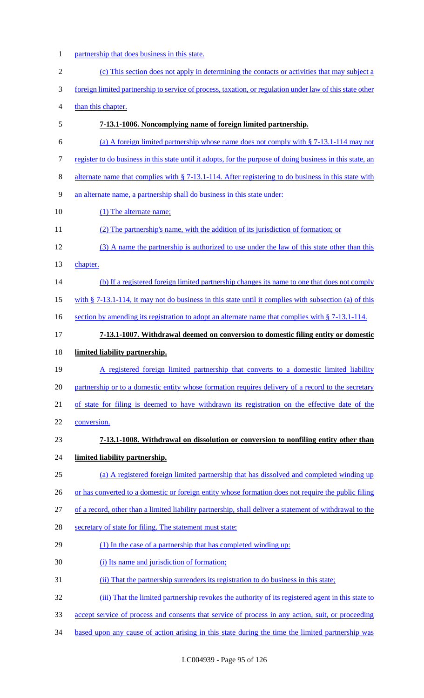- 1 partnership that does business in this state.
- (c) This section does not apply in determining the contacts or activities that may subject a foreign limited partnership to service of process, taxation, or regulation under law of this state other than this chapter. **7-13.1-1006. Noncomplying name of foreign limited partnership.** (a) A foreign limited partnership whose name does not comply with § 7-13.1-114 may not register to do business in this state until it adopts, for the purpose of doing business in this state, an alternate name that complies with § 7-13.1-114. After registering to do business in this state with an alternate name, a partnership shall do business in this state under: 10 (1) The alternate name; (2) The partnership's name, with the addition of its jurisdiction of formation; or (3) A name the partnership is authorized to use under the law of this state other than this chapter. 14 (b) If a registered foreign limited partnership changes its name to one that does not comply with § 7-13.1-114, it may not do business in this state until it complies with subsection (a) of this 16 section by amending its registration to adopt an alternate name that complies with § 7-13.1-114. **7-13.1-1007. Withdrawal deemed on conversion to domestic filing entity or domestic limited liability partnership.** 19 A registered foreign limited partnership that converts to a domestic limited liability 20 partnership or to a domestic entity whose formation requires delivery of a record to the secretary of state for filing is deemed to have withdrawn its registration on the effective date of the conversion. **7-13.1-1008. Withdrawal on dissolution or conversion to nonfiling entity other than limited liability partnership.** (a) A registered foreign limited partnership that has dissolved and completed winding up 26 or has converted to a domestic or foreign entity whose formation does not require the public filing of a record, other than a limited liability partnership, shall deliver a statement of withdrawal to the secretary of state for filing. The statement must state: 29 (1) In the case of a partnership that has completed winding up: (i) Its name and jurisdiction of formation; (ii) That the partnership surrenders its registration to do business in this state; (iii) That the limited partnership revokes the authority of its registered agent in this state to accept service of process and consents that service of process in any action, suit, or proceeding
- based upon any cause of action arising in this state during the time the limited partnership was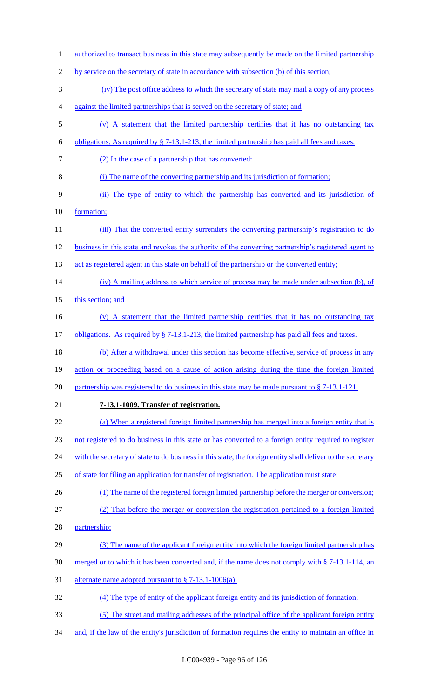| $\mathbf{1}$   | authorized to transact business in this state may subsequently be made on the limited partnership           |
|----------------|-------------------------------------------------------------------------------------------------------------|
| $\overline{2}$ | by service on the secretary of state in accordance with subsection (b) of this section;                     |
| 3              | (iv) The post office address to which the secretary of state may mail a copy of any process                 |
| $\overline{4}$ | against the limited partnerships that is served on the secretary of state; and                              |
| $\mathfrak{S}$ | (v) A statement that the limited partnership certifies that it has no outstanding tax                       |
| 6              | obligations. As required by $\S$ 7-13.1-213, the limited partnership has paid all fees and taxes.           |
| $\overline{7}$ | (2) In the case of a partnership that has converted:                                                        |
| 8              | (i) The name of the converting partnership and its jurisdiction of formation;                               |
| 9              | (ii) The type of entity to which the partnership has converted and its jurisdiction of                      |
| 10             | formation;                                                                                                  |
| 11             | (iii) That the converted entity surrenders the converting partnership's registration to do                  |
| 12             | business in this state and revokes the authority of the converting partnership's registered agent to        |
| 13             | act as registered agent in this state on behalf of the partnership or the converted entity;                 |
| 14             | (iv) A mailing address to which service of process may be made under subsection (b), of                     |
| 15             | this section; and                                                                                           |
| 16             | (v) A statement that the limited partnership certifies that it has no outstanding tax                       |
| 17             | obligations. As required by § 7-13.1-213, the limited partnership has paid all fees and taxes.              |
| 18             | (b) After a withdrawal under this section has become effective, service of process in any                   |
| 19             | action or proceeding based on a cause of action arising during the time the foreign limited                 |
| 20             | partnership was registered to do business in this state may be made pursuant to $\S$ 7-13.1-121.            |
| 21             | 7-13.1-1009. Transfer of registration.                                                                      |
| 22             | (a) When a registered foreign limited partnership has merged into a foreign entity that is                  |
| 23             | not registered to do business in this state or has converted to a foreign entity required to register       |
| 24             | with the secretary of state to do business in this state, the foreign entity shall deliver to the secretary |
| 25             | of state for filing an application for transfer of registration. The application must state:                |
| 26             | (1) The name of the registered foreign limited partnership before the merger or conversion;                 |
| 27             | (2) That before the merger or conversion the registration pertained to a foreign limited                    |
| 28             | partnership;                                                                                                |
| 29             | (3) The name of the applicant foreign entity into which the foreign limited partnership has                 |
| 30             | merged or to which it has been converted and, if the name does not comply with $\S$ 7-13.1-114, an          |
| 31             | <u>alternate name adopted pursuant to <math>\S</math> 7-13.1-1006(a)</u> ;                                  |
| 32             | (4) The type of entity of the applicant foreign entity and its jurisdiction of formation;                   |
| 33             | (5) The street and mailing addresses of the principal office of the applicant foreign entity                |
| 34             | and, if the law of the entity's jurisdiction of formation requires the entity to maintain an office in      |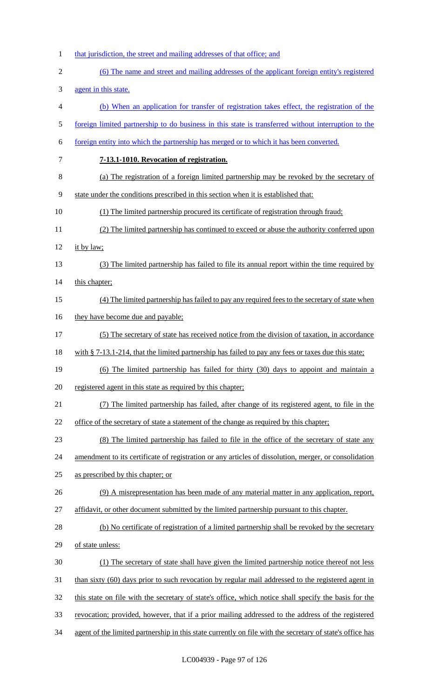| $\mathbf{1}$   | that jurisdiction, the street and mailing addresses of that office; and                                   |
|----------------|-----------------------------------------------------------------------------------------------------------|
| $\overline{c}$ | (6) The name and street and mailing addresses of the applicant foreign entity's registered                |
| 3              | agent in this state.                                                                                      |
| 4              | (b) When an application for transfer of registration takes effect, the registration of the                |
| 5              | foreign limited partnership to do business in this state is transferred without interruption to the       |
| 6              | foreign entity into which the partnership has merged or to which it has been converted.                   |
| 7              | 7-13.1-1010. Revocation of registration.                                                                  |
| 8              | (a) The registration of a foreign limited partnership may be revoked by the secretary of                  |
| 9              | state under the conditions prescribed in this section when it is established that:                        |
| 10             | (1) The limited partnership procured its certificate of registration through fraud;                       |
| 11             | (2) The limited partnership has continued to exceed or abuse the authority conferred upon                 |
| 12             | it by law;                                                                                                |
| 13             | (3) The limited partnership has failed to file its annual report within the time required by              |
| 14             | this chapter;                                                                                             |
| 15             | (4) The limited partnership has failed to pay any required fees to the secretary of state when            |
| 16             | they have become due and payable;                                                                         |
| 17             | (5) The secretary of state has received notice from the division of taxation, in accordance               |
| 18             | with $\S$ 7-13.1-214, that the limited partnership has failed to pay any fees or taxes due this state;    |
| 19             | (6) The limited partnership has failed for thirty (30) days to appoint and maintain a                     |
| 20             | registered agent in this state as required by this chapter;                                               |
| 21             | (7) The limited partnership has failed, after change of its registered agent, to file in the              |
| 22             | office of the secretary of state a statement of the change as required by this chapter;                   |
| 23             | (8) The limited partnership has failed to file in the office of the secretary of state any                |
| 24             | amendment to its certificate of registration or any articles of dissolution, merger, or consolidation     |
| 25             | as prescribed by this chapter; or                                                                         |
| 26             | (9) A misrepresentation has been made of any material matter in any application, report,                  |
| 27             | affidavit, or other document submitted by the limited partnership pursuant to this chapter.               |
| 28             | (b) No certificate of registration of a limited partnership shall be revoked by the secretary             |
| 29             | of state unless:                                                                                          |
| 30             | (1) The secretary of state shall have given the limited partnership notice thereof not less               |
| 31             | than sixty (60) days prior to such revocation by regular mail addressed to the registered agent in        |
| 32             | this state on file with the secretary of state's office, which notice shall specify the basis for the     |
| 33             | revocation; provided, however, that if a prior mailing addressed to the address of the registered         |
| 34             | agent of the limited partnership in this state currently on file with the secretary of state's office has |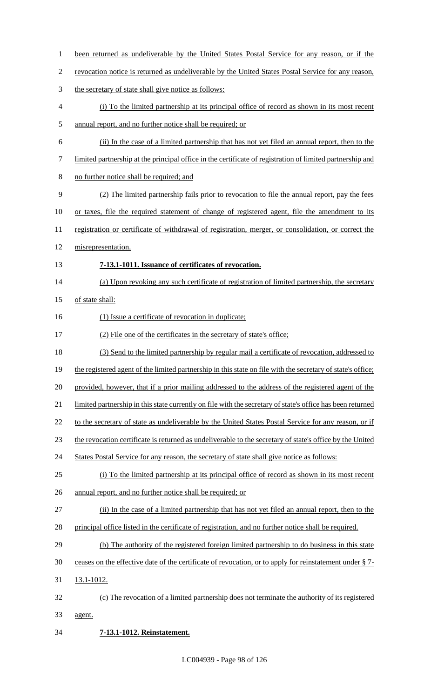- been returned as undeliverable by the United States Postal Service for any reason, or if the
- revocation notice is returned as undeliverable by the United States Postal Service for any reason,
- the secretary of state shall give notice as follows:
- (i) To the limited partnership at its principal office of record as shown in its most recent annual report, and no further notice shall be required; or
- (ii) In the case of a limited partnership that has not yet filed an annual report, then to the
- limited partnership at the principal office in the certificate of registration of limited partnership and
- no further notice shall be required; and
- (2) The limited partnership fails prior to revocation to file the annual report, pay the fees
- or taxes, file the required statement of change of registered agent, file the amendment to its
- 11 registration or certificate of withdrawal of registration, merger, or consolidation, or correct the
- misrepresentation.
- **7-13.1-1011. Issuance of certificates of revocation.**
- (a) Upon revoking any such certificate of registration of limited partnership, the secretary
- 15 of state shall:
- 16 (1) Issue a certificate of revocation in duplicate;
- (2) File one of the certificates in the secretary of state's office;
- (3) Send to the limited partnership by regular mail a certificate of revocation, addressed to
- 19 the registered agent of the limited partnership in this state on file with the secretary of state's office;
- provided, however, that if a prior mailing addressed to the address of the registered agent of the
- limited partnership in this state currently on file with the secretary of state's office has been returned
- 22 to the secretary of state as undeliverable by the United States Postal Service for any reason, or if
- the revocation certificate is returned as undeliverable to the secretary of state's office by the United
- 24 States Postal Service for any reason, the secretary of state shall give notice as follows:
- (i) To the limited partnership at its principal office of record as shown in its most recent
- 26 annual report, and no further notice shall be required; or
- (ii) In the case of a limited partnership that has not yet filed an annual report, then to the
- principal office listed in the certificate of registration, and no further notice shall be required.
- (b) The authority of the registered foreign limited partnership to do business in this state
- ceases on the effective date of the certificate of revocation, or to apply for reinstatement under § 7-
- 13.1-1012.
- (c) The revocation of a limited partnership does not terminate the authority of its registered
- agent.
- **7-13.1-1012. Reinstatement.**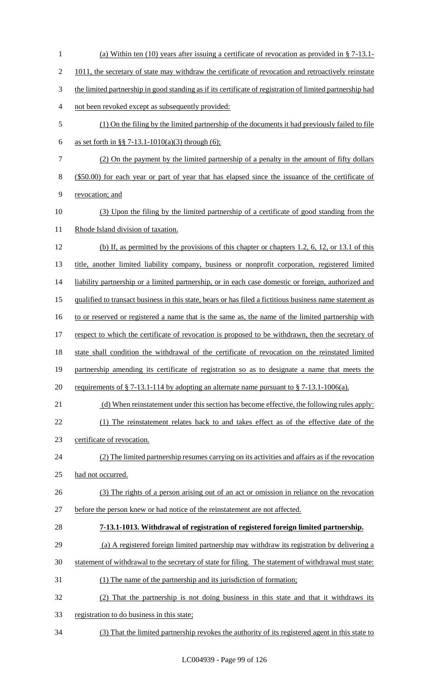| $\mathbf{1}$   | (a) Within ten (10) years after issuing a certificate of revocation as provided in $\S$ 7-13.1-           |
|----------------|-----------------------------------------------------------------------------------------------------------|
| $\mathfrak{2}$ | 1011, the secretary of state may withdraw the certificate of revocation and retroactively reinstate       |
| 3              | the limited partnership in good standing as if its certificate of registration of limited partnership had |
| $\overline{4}$ | not been revoked except as subsequently provided:                                                         |
| 5              | (1) On the filing by the limited partnership of the documents it had previously failed to file            |
| 6              | as set forth in §§ 7-13.1-1010(a)(3) through (6);                                                         |
| $\tau$         | (2) On the payment by the limited partnership of a penalty in the amount of fifty dollars                 |
| $8\,$          | (\$50.00) for each year or part of year that has elapsed since the issuance of the certificate of         |
| 9              | revocation; and                                                                                           |
| 10             | (3) Upon the filing by the limited partnership of a certificate of good standing from the                 |
| 11             | Rhode Island division of taxation.                                                                        |
| 12             | (b) If, as permitted by the provisions of this chapter or chapters 1.2, 6, 12, or 13.1 of this            |
| 13             | title, another limited liability company, business or nonprofit corporation, registered limited           |
| 14             | liability partnership or a limited partnership, or in each case domestic or foreign, authorized and       |
| 15             | qualified to transact business in this state, bears or has filed a fictitious business name statement as  |
| 16             | to or reserved or registered a name that is the same as, the name of the limited partnership with         |
| 17             | respect to which the certificate of revocation is proposed to be withdrawn, then the secretary of         |
| 18             | state shall condition the withdrawal of the certificate of revocation on the reinstated limited           |
| 19             | partnership amending its certificate of registration so as to designate a name that meets the             |
| 20             | requirements of § 7-13.1-114 by adopting an alternate name pursuant to § 7-13.1-1006(a).                  |
| 21             | (d) When reinstatement under this section has become effective, the following rules apply:                |
| 22             | (1) The reinstatement relates back to and takes effect as of the effective date of the                    |
| 23             | certificate of revocation.                                                                                |
| 24             | (2) The limited partnership resumes carrying on its activities and affairs as if the revocation           |
| 25             | had not occurred.                                                                                         |
| 26             | (3) The rights of a person arising out of an act or omission in reliance on the revocation                |
| 27             | before the person knew or had notice of the reinstatement are not affected.                               |
| 28             | <u>7-13.1-1013. Withdrawal of registration of registered foreign limited partnership.</u>                 |
| 29             | (a) A registered foreign limited partnership may withdraw its registration by delivering a                |
| 30             | statement of withdrawal to the secretary of state for filing. The statement of withdrawal must state:     |
| 31             | (1) The name of the partnership and its jurisdiction of formation;                                        |
| 32             | (2) That the partnership is not doing business in this state and that it withdraws its                    |
| 33             | registration to do business in this state;                                                                |
| 34             | (3) That the limited partnership revokes the authority of its registered agent in this state to           |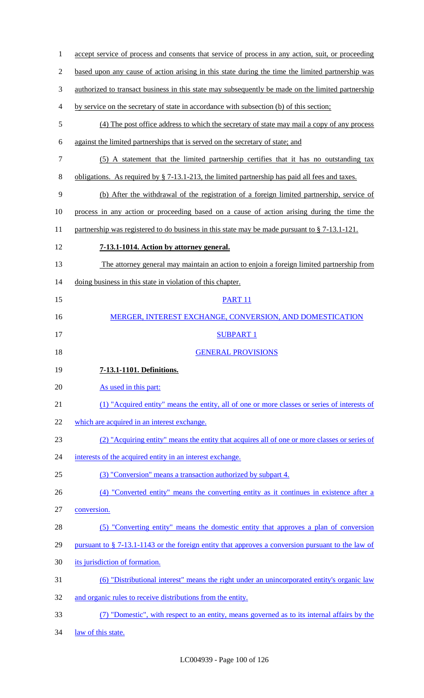| $\mathbf{1}$   | accept service of process and consents that service of process in any action, suit, or proceeding        |
|----------------|----------------------------------------------------------------------------------------------------------|
| $\overline{2}$ | based upon any cause of action arising in this state during the time the limited partnership was         |
| 3              | <u>authorized to transact business in this state may subsequently be made on the limited partnership</u> |
| $\overline{4}$ | by service on the secretary of state in accordance with subsection (b) of this section;                  |
| $\mathfrak s$  | (4) The post office address to which the secretary of state may mail a copy of any process               |
| 6              | against the limited partnerships that is served on the secretary of state; and                           |
| 7              | (5) A statement that the limited partnership certifies that it has no outstanding tax                    |
| 8              | obligations. As required by $\S$ 7-13.1-213, the limited partnership has paid all fees and taxes.        |
| 9              | (b) After the withdrawal of the registration of a foreign limited partnership, service of                |
| 10             | process in any action or proceeding based on a cause of action arising during the time the               |
| 11             | partnership was registered to do business in this state may be made pursuant to $\S$ 7-13.1-121.         |
| 12             | 7-13.1-1014. Action by attorney general.                                                                 |
| 13             | The attorney general may maintain an action to enjoin a foreign limited partnership from                 |
| 14             | doing business in this state in violation of this chapter.                                               |
| 15             | <b>PART 11</b>                                                                                           |
| 16             | <b>MERGER, INTEREST EXCHANGE, CONVERSION, AND DOMESTICATION</b>                                          |
| 17             | <b>SUBPART 1</b>                                                                                         |
| 18             | <b>GENERAL PROVISIONS</b>                                                                                |
|                |                                                                                                          |
| 19             | 7-13.1-1101. Definitions.                                                                                |
| 20             | As used in this part:                                                                                    |
| 21             | (1) "Acquired entity" means the entity, all of one or more classes or series of interests of             |
| 22             | which are acquired in an interest exchange.                                                              |
| 23             | (2) "Acquiring entity" means the entity that acquires all of one or more classes or series of            |
| 24             | interests of the acquired entity in an interest exchange.                                                |
| 25             | (3) "Conversion" means a transaction authorized by subpart 4.                                            |
| 26             | (4) "Converted entity" means the converting entity as it continues in existence after a                  |
| 27             | conversion.                                                                                              |
| 28             | (5) "Converting entity" means the domestic entity that approves a plan of conversion                     |
| 29             | pursuant to § 7-13.1-1143 or the foreign entity that approves a conversion pursuant to the law of        |
| 30             | its jurisdiction of formation.                                                                           |
| 31             | (6) "Distributional interest" means the right under an unincorporated entity's organic law               |
| 32             | and organic rules to receive distributions from the entity.                                              |
| 33             | (7) "Domestic", with respect to an entity, means governed as to its internal affairs by the              |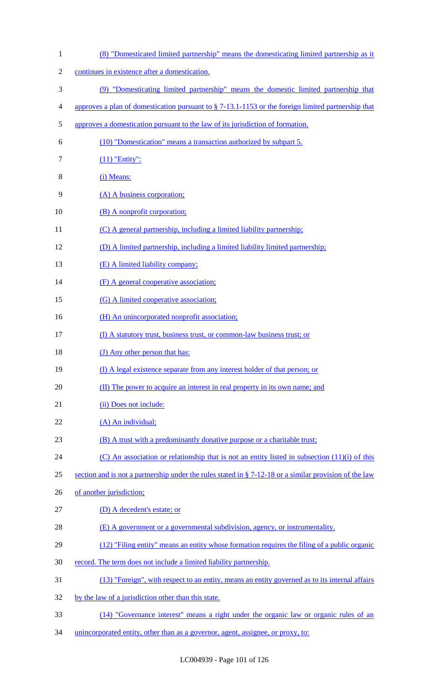| $\mathbf{1}$   | (8) "Domesticated limited partnership" means the domesticating limited partnership as it                  |
|----------------|-----------------------------------------------------------------------------------------------------------|
| $\overline{2}$ | continues in existence after a domestication.                                                             |
| 3              | (9) "Domesticating limited partnership" means the domestic limited partnership that                       |
| 4              | approves a plan of domestication pursuant to $\S$ 7-13.1-1153 or the foreign limited partnership that     |
| 5              | approves a domestication pursuant to the law of its jurisdiction of formation.                            |
| 6              | (10) "Domestication" means a transaction authorized by subpart 5.                                         |
| 7              | $(11)$ "Entity":                                                                                          |
| 8              | (i) Means:                                                                                                |
| 9              | (A) A business corporation;                                                                               |
| 10             | (B) A nonprofit corporation;                                                                              |
| 11             | (C) A general partnership, including a limited liability partnership;                                     |
| 12             | (D) A limited partnership, including a limited liability limited partnership;                             |
| 13             | (E) A limited liability company;                                                                          |
| 14             | (F) A general cooperative association;                                                                    |
| 15             | (G) A limited cooperative association;                                                                    |
| 16             | (H) An unincorporated nonprofit association;                                                              |
| 17             | (I) A statutory trust, business trust, or common-law business trust; or                                   |
| 18             | (J) Any other person that has:                                                                            |
| 19             | (I) A legal existence separate from any interest holder of that person; or                                |
| 20             | (II) The power to acquire an interest in real property in its own name; and                               |
| 21             | (ii) Does not include:                                                                                    |
| 22             | (A) An individual;                                                                                        |
| 23             | (B) A trust with a predominantly donative purpose or a charitable trust;                                  |
| 24             | (C) An association or relationship that is not an entity listed in subsection $(11)(i)$ of this           |
| 25             | section and is not a partnership under the rules stated in $\S$ 7-12-18 or a similar provision of the law |
| 26             | of another jurisdiction;                                                                                  |
| 27             | (D) A decedent's estate; or                                                                               |
| 28             | (E) A government or a governmental subdivision, agency, or instrumentality.                               |
| 29             | (12) "Filing entity" means an entity whose formation requires the filing of a public organic              |
| 30             | record. The term does not include a limited liability partnership.                                        |
| 31             | (13) "Foreign", with respect to an entity, means an entity governed as to its internal affairs            |
| 32             | by the law of a jurisdiction other than this state.                                                       |
| 33             | (14) "Governance interest" means a right under the organic law or organic rules of an                     |
|                |                                                                                                           |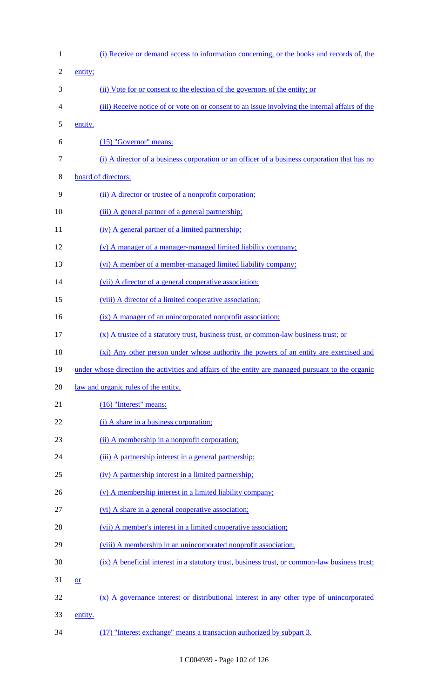| $\mathbf{1}$   |                 | (i) Receive or demand access to information concerning, or the books and records of, the           |
|----------------|-----------------|----------------------------------------------------------------------------------------------------|
| $\overline{2}$ | entity;         |                                                                                                    |
| 3              |                 | (ii) Vote for or consent to the election of the governors of the entity; or                        |
| 4              |                 | (iii) Receive notice of or vote on or consent to an issue involving the internal affairs of the    |
| 5              | entity.         |                                                                                                    |
| 6              |                 | (15) "Governor" means:                                                                             |
| $\tau$         |                 | (i) A director of a business corporation or an officer of a business corporation that has no       |
| 8              |                 | board of directors;                                                                                |
| 9              |                 | (ii) A director or trustee of a nonprofit corporation;                                             |
| 10             |                 | (iii) A general partner of a general partnership;                                                  |
| 11             |                 | (iv) A general partner of a limited partnership;                                                   |
| 12             |                 | (v) A manager of a manager-managed limited liability company;                                      |
| 13             |                 | (vi) A member of a member-managed limited liability company;                                       |
| 14             |                 | (vii) A director of a general cooperative association;                                             |
| 15             |                 | (viii) A director of a limited cooperative association;                                            |
| 16             |                 | (ix) A manager of an unincorporated nonprofit association;                                         |
| 17             |                 | (x) A trustee of a statutory trust, business trust, or common-law business trust; or               |
| 18             |                 | (xi) Any other person under whose authority the powers of an entity are exercised and              |
| 19             |                 | under whose direction the activities and affairs of the entity are managed pursuant to the organic |
| 20             |                 | law and organic rules of the entity.                                                               |
| 21             |                 | (16) "Interest" means:                                                                             |
| 22             |                 | (i) A share in a business corporation;                                                             |
| 23             |                 | (ii) A membership in a nonprofit corporation;                                                      |
| 24             |                 | (iii) A partnership interest in a general partnership;                                             |
| 25             |                 | (iv) A partnership interest in a limited partnership;                                              |
| 26             |                 | (v) A membership interest in a limited liability company;                                          |
| 27             |                 | (vi) A share in a general cooperative association;                                                 |
| 28             |                 | (vii) A member's interest in a limited cooperative association;                                    |
| 29             |                 | (viii) A membership in an unincorporated nonprofit association;                                    |
| 30             |                 | (ix) A beneficial interest in a statutory trust, business trust, or common-law business trust;     |
| 31             | $\overline{or}$ |                                                                                                    |
| 32             |                 | $(x)$ A governance interest or distributional interest in any other type of unincorporated         |
| 33             | entity.         |                                                                                                    |
| 34             |                 | (17) "Interest exchange" means a transaction authorized by subpart 3.                              |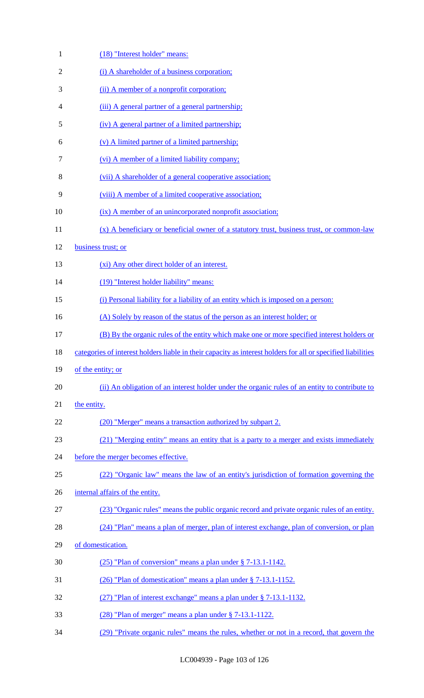| $\mathbf{1}$   | (18) "Interest holder" means:                                                                                |
|----------------|--------------------------------------------------------------------------------------------------------------|
| $\overline{2}$ | (i) A shareholder of a business corporation;                                                                 |
| 3              | (ii) A member of a nonprofit corporation;                                                                    |
| 4              | (iii) A general partner of a general partnership;                                                            |
| 5              | (iv) A general partner of a limited partnership;                                                             |
| 6              | (v) A limited partner of a limited partnership;                                                              |
| 7              | (vi) A member of a limited liability company;                                                                |
| 8              | (vii) A shareholder of a general cooperative association;                                                    |
| 9              | (viii) A member of a limited cooperative association;                                                        |
| 10             | (ix) A member of an unincorporated nonprofit association;                                                    |
| 11             | $(x)$ A beneficiary or beneficial owner of a statutory trust, business trust, or common-law                  |
| 12             | business trust; or                                                                                           |
| 13             | (xi) Any other direct holder of an interest.                                                                 |
| 14             | (19) "Interest holder liability" means:                                                                      |
| 15             | (i) Personal liability for a liability of an entity which is imposed on a person:                            |
| 16             | (A) Solely by reason of the status of the person as an interest holder; or                                   |
| 17             | (B) By the organic rules of the entity which make one or more specified interest holders or                  |
| 18             | categories of interest holders liable in their capacity as interest holders for all or specified liabilities |
| 19             | of the entity; or                                                                                            |
| 20             | (ii) An obligation of an interest holder under the organic rules of an entity to contribute to               |
| 21             | the entity.                                                                                                  |
| 22             | (20) "Merger" means a transaction authorized by subpart 2.                                                   |
| 23             | (21) "Merging entity" means an entity that is a party to a merger and exists immediately                     |
| 24             | before the merger becomes effective.                                                                         |
| 25             | (22) "Organic law" means the law of an entity's jurisdiction of formation governing the                      |
| 26             | internal affairs of the entity.                                                                              |
| 27             | (23) "Organic rules" means the public organic record and private organic rules of an entity.                 |
| 28             | (24) "Plan" means a plan of merger, plan of interest exchange, plan of conversion, or plan                   |
| 29             | of domestication.                                                                                            |
| 30             | (25) "Plan of conversion" means a plan under § 7-13.1-1142.                                                  |
| 31             | (26) "Plan of domestication" means a plan under § 7-13.1-1152.                                               |
| 32             | (27) "Plan of interest exchange" means a plan under § 7-13.1-1132.                                           |
| 33             | (28) "Plan of merger" means a plan under § 7-13.1-1122.                                                      |
| 34             | (29) "Private organic rules" means the rules, whether or not in a record, that govern the                    |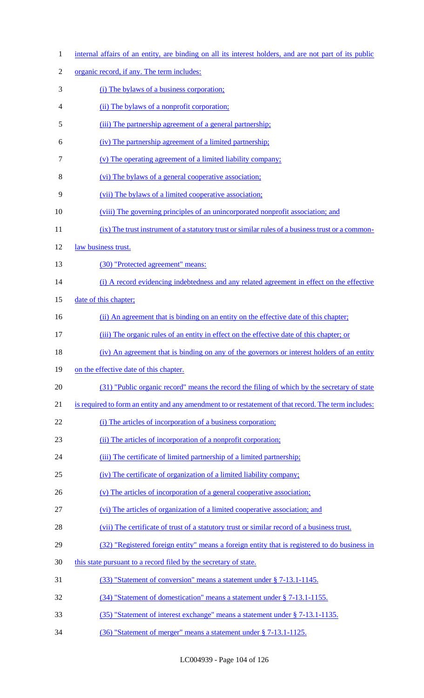| $\mathbf{1}$   | internal affairs of an entity, are binding on all its interest holders, and are not part of its public |
|----------------|--------------------------------------------------------------------------------------------------------|
| $\overline{2}$ | organic record, if any. The term includes:                                                             |
| 3              | (i) The bylaws of a business corporation;                                                              |
| $\overline{4}$ | (ii) The bylaws of a nonprofit corporation;                                                            |
| 5              | (iii) The partnership agreement of a general partnership;                                              |
| 6              | (iv) The partnership agreement of a limited partnership;                                               |
| 7              | (v) The operating agreement of a limited liability company;                                            |
| 8              | (vi) The bylaws of a general cooperative association;                                                  |
| 9              | (vii) The bylaws of a limited cooperative association;                                                 |
| 10             | (viii) The governing principles of an unincorporated nonprofit association; and                        |
| 11             | (ix) The trust instrument of a statutory trust or similar rules of a business trust or a common-       |
| 12             | law business trust.                                                                                    |
| 13             | (30) "Protected agreement" means:                                                                      |
| 14             | (i) A record evidencing indebtedness and any related agreement in effect on the effective              |
| 15             | date of this chapter;                                                                                  |
| 16             | (ii) An agreement that is binding on an entity on the effective date of this chapter;                  |
| 17             | (iii) The organic rules of an entity in effect on the effective date of this chapter; or               |
| 18             | (iv) An agreement that is binding on any of the governors or interest holders of an entity             |
| 19             | on the effective date of this chapter.                                                                 |
| 20             | (31) "Public organic record" means the record the filing of which by the secretary of state            |
| 21             | is required to form an entity and any amendment to or restatement of that record. The term includes:   |
| 22             | (i) The articles of incorporation of a business corporation;                                           |
| 23             | (ii) The articles of incorporation of a nonprofit corporation;                                         |
| 24             | (iii) The certificate of limited partnership of a limited partnership;                                 |
| 25             | (iv) The certificate of organization of a limited liability company;                                   |
| 26             | (v) The articles of incorporation of a general cooperative association;                                |
| 27             | (vi) The articles of organization of a limited cooperative association; and                            |
| 28             | (vii) The certificate of trust of a statutory trust or similar record of a business trust.             |
| 29             | (32) "Registered foreign entity" means a foreign entity that is registered to do business in           |
| 30             | this state pursuant to a record filed by the secretary of state.                                       |
| 31             | (33) "Statement of conversion" means a statement under § 7-13.1-1145.                                  |
| 32             | (34) "Statement of domestication" means a statement under § 7-13.1-1155.                               |
| 33             | (35) "Statement of interest exchange" means a statement under § 7-13.1-1135.                           |
| 34             | (36) "Statement of merger" means a statement under § 7-13.1-1125.                                      |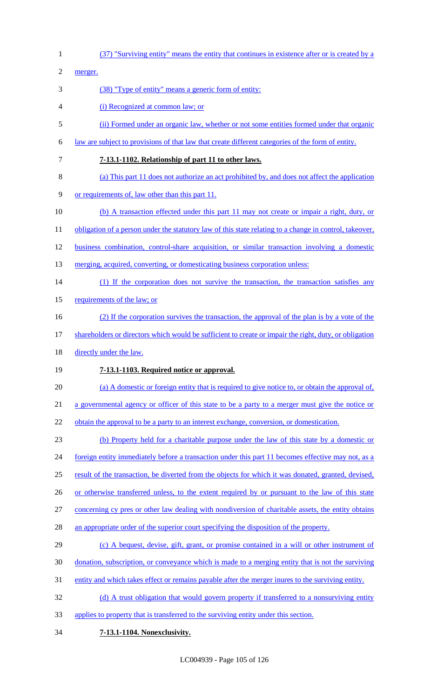- (37) "Surviving entity" means the entity that continues in existence after or is created by a
- merger.
- (38) "Type of entity" means a generic form of entity:
- (i) Recognized at common law; or
- (ii) Formed under an organic law, whether or not some entities formed under that organic
- law are subject to provisions of that law that create different categories of the form of entity.
- **7-13.1-1102. Relationship of part 11 to other laws.**
- (a) This part 11 does not authorize an act prohibited by, and does not affect the application
- or requirements of, law other than this part 11.
- (b) A transaction effected under this part 11 may not create or impair a right, duty, or
- 11 obligation of a person under the statutory law of this state relating to a change in control, takeover,
- business combination, control-share acquisition, or similar transaction involving a domestic
- 13 merging, acquired, converting, or domesticating business corporation unless:
- 14 (1) If the corporation does not survive the transaction, the transaction satisfies any
- requirements of the law; or
- (2) If the corporation survives the transaction, the approval of the plan is by a vote of the
- 17 shareholders or directors which would be sufficient to create or impair the right, duty, or obligation
- 18 directly under the law.
- **7-13.1-1103. Required notice or approval.**
- (a) A domestic or foreign entity that is required to give notice to, or obtain the approval of,
- a governmental agency or officer of this state to be a party to a merger must give the notice or
- 22 obtain the approval to be a party to an interest exchange, conversion, or domestication.
- (b) Property held for a charitable purpose under the law of this state by a domestic or
- 24 foreign entity immediately before a transaction under this part 11 becomes effective may not, as a
- result of the transaction, be diverted from the objects for which it was donated, granted, devised,
- 26 or otherwise transferred unless, to the extent required by or pursuant to the law of this state
- concerning cy pres or other law dealing with nondiversion of charitable assets, the entity obtains
- 28 an appropriate order of the superior court specifying the disposition of the property.
- (c) A bequest, devise, gift, grant, or promise contained in a will or other instrument of
- donation, subscription, or conveyance which is made to a merging entity that is not the surviving
- entity and which takes effect or remains payable after the merger inures to the surviving entity.
- 32 (d) A trust obligation that would govern property if transferred to a nonsurviving entity
- applies to property that is transferred to the surviving entity under this section.
- **7-13.1-1104. Nonexclusivity.**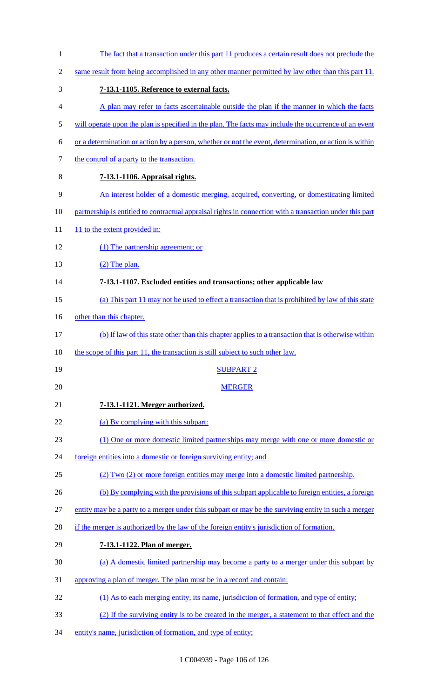| $\mathbf{1}$   | The fact that a transaction under this part 11 produces a certain result does not preclude the           |
|----------------|----------------------------------------------------------------------------------------------------------|
| $\overline{c}$ | same result from being accomplished in any other manner permitted by law other than this part 11.        |
| 3              | 7-13.1-1105. Reference to external facts.                                                                |
| 4              | A plan may refer to facts ascertainable outside the plan if the manner in which the facts                |
| 5              | will operate upon the plan is specified in the plan. The facts may include the occurrence of an event    |
| 6              | or a determination or action by a person, whether or not the event, determination, or action is within   |
| 7              | the control of a party to the transaction.                                                               |
| 8              | 7-13.1-1106. Appraisal rights.                                                                           |
| 9              | An interest holder of a domestic merging, acquired, converting, or domesticating limited                 |
| 10             | partnership is entitled to contractual appraisal rights in connection with a transaction under this part |
| 11             | 11 to the extent provided in:                                                                            |
| 12             | (1) The partnership agreement; or                                                                        |
| 13             | $(2)$ The plan.                                                                                          |
| 14             | 7-13.1-1107. Excluded entities and transactions; other applicable law                                    |
| 15             | (a) This part 11 may not be used to effect a transaction that is prohibited by law of this state         |
| 16             | other than this chapter.                                                                                 |
| 17             | (b) If law of this state other than this chapter applies to a transaction that is otherwise within       |
| 18             | the scope of this part 11, the transaction is still subject to such other law.                           |
| 19             | <b>SUBPART 2</b>                                                                                         |
| 20             | <b>MERGER</b>                                                                                            |
| 21             | 7-13.1-1121. Merger authorized.                                                                          |
| 22             | (a) By complying with this subpart:                                                                      |
| 23             | (1) One or more domestic limited partnerships may merge with one or more domestic or                     |
| 24             | foreign entities into a domestic or foreign surviving entity; and                                        |
| 25             | (2) Two (2) or more foreign entities may merge into a domestic limited partnership.                      |
| 26             | (b) By complying with the provisions of this subpart applicable to foreign entities, a foreign           |
| 27             | entity may be a party to a merger under this subpart or may be the surviving entity in such a merger     |
| 28             | if the merger is authorized by the law of the foreign entity's jurisdiction of formation.                |
| 29             | 7-13.1-1122. Plan of merger.                                                                             |
| 30             | (a) A domestic limited partnership may become a party to a merger under this subpart by                  |
| 31             | approving a plan of merger. The plan must be in a record and contain:                                    |
| 32             | (1) As to each merging entity, its name, jurisdiction of formation, and type of entity;                  |
| 33             | (2) If the surviving entity is to be created in the merger, a statement to that effect and the           |
|                |                                                                                                          |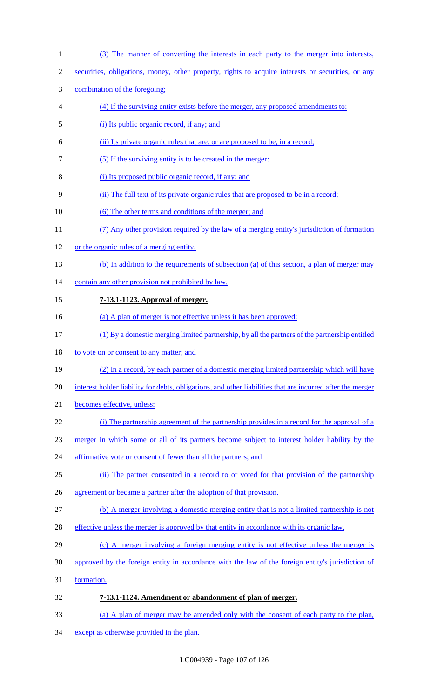(3) The manner of converting the interests in each party to the merger into interests, 2 securities, obligations, money, other property, rights to acquire interests or securities, or any combination of the foregoing; (4) If the surviving entity exists before the merger, any proposed amendments to: (i) Its public organic record, if any; and (ii) Its private organic rules that are, or are proposed to be, in a record; (5) If the surviving entity is to be created in the merger: (i) Its proposed public organic record, if any; and (ii) The full text of its private organic rules that are proposed to be in a record; (6) The other terms and conditions of the merger; and (7) Any other provision required by the law of a merging entity's jurisdiction of formation or the organic rules of a merging entity. (b) In addition to the requirements of subsection (a) of this section, a plan of merger may 14 contain any other provision not prohibited by law. **7-13.1-1123. Approval of merger.** 16 (a) A plan of merger is not effective unless it has been approved: (1) By a domestic merging limited partnership, by all the partners of the partnership entitled 18 to vote on or consent to any matter; and (2) In a record, by each partner of a domestic merging limited partnership which will have interest holder liability for debts, obligations, and other liabilities that are incurred after the merger becomes effective, unless: (i) The partnership agreement of the partnership provides in a record for the approval of a merger in which some or all of its partners become subject to interest holder liability by the 24 affirmative vote or consent of fewer than all the partners; and (ii) The partner consented in a record to or voted for that provision of the partnership agreement or became a partner after the adoption of that provision. (b) A merger involving a domestic merging entity that is not a limited partnership is not 28 effective unless the merger is approved by that entity in accordance with its organic law. (c) A merger involving a foreign merging entity is not effective unless the merger is approved by the foreign entity in accordance with the law of the foreign entity's jurisdiction of formation. **7-13.1-1124. Amendment or abandonment of plan of merger.** (a) A plan of merger may be amended only with the consent of each party to the plan, 34 except as otherwise provided in the plan.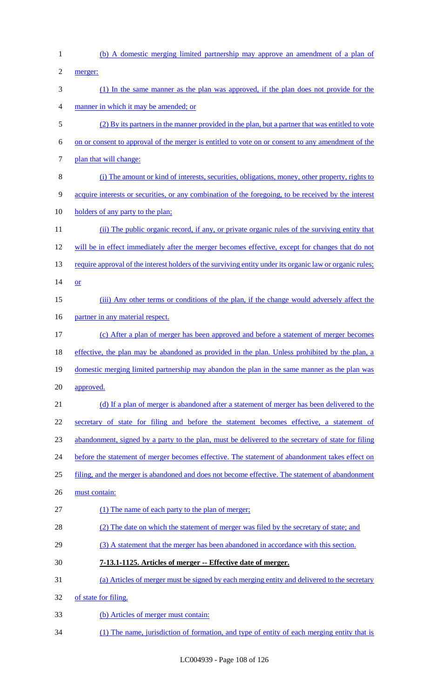| $\mathbf{1}$   | (b) A domestic merging limited partnership may approve an amendment of a plan of                         |
|----------------|----------------------------------------------------------------------------------------------------------|
| $\mathfrak{2}$ | merger:                                                                                                  |
| 3              | (1) In the same manner as the plan was approved, if the plan does not provide for the                    |
| 4              | manner in which it may be amended; or                                                                    |
| $\mathfrak s$  | (2) By its partners in the manner provided in the plan, but a partner that was entitled to vote          |
| 6              | on or consent to approval of the merger is entitled to vote on or consent to any amendment of the        |
| $\tau$         | plan that will change:                                                                                   |
| 8              | (i) The amount or kind of interests, securities, obligations, money, other property, rights to           |
| 9              | acquire interests or securities, or any combination of the foregoing, to be received by the interest     |
| 10             | holders of any party to the plan;                                                                        |
| 11             | (ii) The public organic record, if any, or private organic rules of the surviving entity that            |
| 12             | will be in effect immediately after the merger becomes effective, except for changes that do not         |
| 13             | require approval of the interest holders of the surviving entity under its organic law or organic rules; |
| 14             | $or$                                                                                                     |
| 15             | (iii) Any other terms or conditions of the plan, if the change would adversely affect the                |
| 16             | partner in any material respect.                                                                         |
| 17             | (c) After a plan of merger has been approved and before a statement of merger becomes                    |
| 18             | effective, the plan may be abandoned as provided in the plan. Unless prohibited by the plan, a           |
| 19             | domestic merging limited partnership may abandon the plan in the same manner as the plan was             |
| 20             | approved.                                                                                                |
| 21             | (d) If a plan of merger is abandoned after a statement of merger has been delivered to the               |
| 22             | secretary of state for filing and before the statement becomes effective, a statement of                 |
| 23             | abandonment, signed by a party to the plan, must be delivered to the secretary of state for filing       |
| 24             | before the statement of merger becomes effective. The statement of abandonment takes effect on           |
| 25             | filing, and the merger is abandoned and does not become effective. The statement of abandonment          |
| 26             | must contain:                                                                                            |
| 27             | (1) The name of each party to the plan of merger;                                                        |
| 28             | (2) The date on which the statement of merger was filed by the secretary of state; and                   |
| 29             | (3) A statement that the merger has been abandoned in accordance with this section.                      |
| 30             | 7-13.1-1125. Articles of merger -- Effective date of merger.                                             |
| 31             | (a) Articles of merger must be signed by each merging entity and delivered to the secretary              |
| 32             | of state for filing.                                                                                     |
| 33             | (b) Articles of merger must contain:                                                                     |
| 34             | (1) The name, jurisdiction of formation, and type of entity of each merging entity that is               |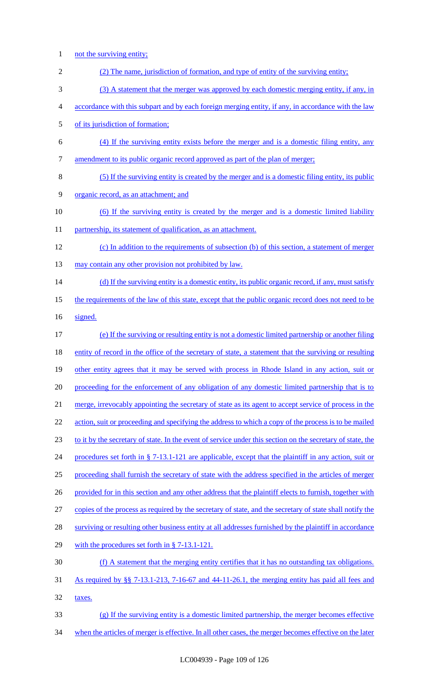1 not the surviving entity; (2) The name, jurisdiction of formation, and type of entity of the surviving entity; (3) A statement that the merger was approved by each domestic merging entity, if any, in accordance with this subpart and by each foreign merging entity, if any, in accordance with the law of its jurisdiction of formation; (4) If the surviving entity exists before the merger and is a domestic filing entity, any 7 amendment to its public organic record approved as part of the plan of merger; (5) If the surviving entity is created by the merger and is a domestic filing entity, its public organic record, as an attachment; and (6) If the surviving entity is created by the merger and is a domestic limited liability 11 partnership, its statement of qualification, as an attachment. (c) In addition to the requirements of subsection (b) of this section, a statement of merger 13 may contain any other provision not prohibited by law. 14 (d) If the surviving entity is a domestic entity, its public organic record, if any, must satisfy 15 the requirements of the law of this state, except that the public organic record does not need to be 16 signed. (e) If the surviving or resulting entity is not a domestic limited partnership or another filing 18 entity of record in the office of the secretary of state, a statement that the surviving or resulting other entity agrees that it may be served with process in Rhode Island in any action, suit or proceeding for the enforcement of any obligation of any domestic limited partnership that is to merge, irrevocably appointing the secretary of state as its agent to accept service of process in the 22 action, suit or proceeding and specifying the address to which a copy of the process is to be mailed to it by the secretary of state. In the event of service under this section on the secretary of state, the procedures set forth in § 7-13.1-121 are applicable, except that the plaintiff in any action, suit or proceeding shall furnish the secretary of state with the address specified in the articles of merger 26 provided for in this section and any other address that the plaintiff elects to furnish, together with copies of the process as required by the secretary of state, and the secretary of state shall notify the 28 surviving or resulting other business entity at all addresses furnished by the plaintiff in accordance with the procedures set forth in § 7-13.1-121. (f) A statement that the merging entity certifies that it has no outstanding tax obligations. As required by §§ 7-13.1-213, 7-16-67 and 44-11-26.1, the merging entity has paid all fees and taxes. (g) If the surviving entity is a domestic limited partnership, the merger becomes effective 34 when the articles of merger is effective. In all other cases, the merger becomes effective on the later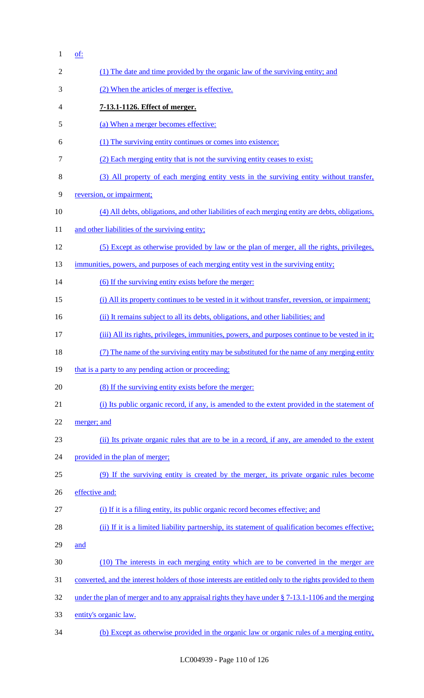| 1              | of:                                                                                                     |
|----------------|---------------------------------------------------------------------------------------------------------|
| $\overline{2}$ | (1) The date and time provided by the organic law of the surviving entity; and                          |
| 3              | (2) When the articles of merger is effective.                                                           |
| 4              | 7-13.1-1126. Effect of merger.                                                                          |
| 5              | (a) When a merger becomes effective:                                                                    |
| 6              | (1) The surviving entity continues or comes into existence;                                             |
| 7              | (2) Each merging entity that is not the surviving entity ceases to exist;                               |
| 8              | (3) All property of each merging entity vests in the surviving entity without transfer,                 |
| 9              | reversion, or impairment;                                                                               |
| 10             | (4) All debts, obligations, and other liabilities of each merging entity are debts, obligations,        |
| 11             | and other liabilities of the surviving entity;                                                          |
| 12             | (5) Except as otherwise provided by law or the plan of merger, all the rights, privileges,              |
| 13             | immunities, powers, and purposes of each merging entity vest in the surviving entity;                   |
| 14             | (6) If the surviving entity exists before the merger:                                                   |
| 15             | (i) All its property continues to be vested in it without transfer, reversion, or impairment;           |
| 16             | (ii) It remains subject to all its debts, obligations, and other liabilities; and                       |
| 17             | (iii) All its rights, privileges, immunities, powers, and purposes continue to be vested in it;         |
| 18             | (7) The name of the surviving entity may be substituted for the name of any merging entity              |
| 19             | that is a party to any pending action or proceeding;                                                    |
| 20             | (8) If the surviving entity exists before the merger:                                                   |
| 21             | (i) Its public organic record, if any, is amended to the extent provided in the statement of            |
| 22             | merger; and                                                                                             |
| 23             | (ii) Its private organic rules that are to be in a record, if any, are amended to the extent            |
| 24             | provided in the plan of merger;                                                                         |
| 25             | (9) If the surviving entity is created by the merger, its private organic rules become                  |
| 26             | effective and:                                                                                          |
| 27             | (i) If it is a filing entity, its public organic record becomes effective; and                          |
| 28             | (ii) If it is a limited liability partnership, its statement of qualification becomes effective;        |
| 29             | and                                                                                                     |
| 30             | (10) The interests in each merging entity which are to be converted in the merger are                   |
| 31             | converted, and the interest holders of those interests are entitled only to the rights provided to them |
| 32             | under the plan of merger and to any appraisal rights they have under $\S$ 7-13.1-1106 and the merging   |
| 33             | entity's organic law.                                                                                   |
| 34             | (b) Except as otherwise provided in the organic law or organic rules of a merging entity,               |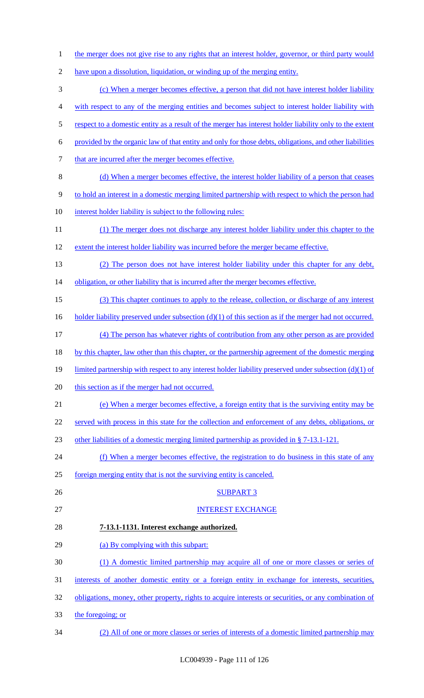1 the merger does not give rise to any rights that an interest holder, governor, or third party would have upon a dissolution, liquidation, or winding up of the merging entity. (c) When a merger becomes effective, a person that did not have interest holder liability with respect to any of the merging entities and becomes subject to interest holder liability with 5 respect to a domestic entity as a result of the merger has interest holder liability only to the extent provided by the organic law of that entity and only for those debts, obligations, and other liabilities 7 that are incurred after the merger becomes effective. (d) When a merger becomes effective, the interest holder liability of a person that ceases to hold an interest in a domestic merging limited partnership with respect to which the person had interest holder liability is subject to the following rules: (1) The merger does not discharge any interest holder liability under this chapter to the extent the interest holder liability was incurred before the merger became effective. (2) The person does not have interest holder liability under this chapter for any debt, 14 obligation, or other liability that is incurred after the merger becomes effective. (3) This chapter continues to apply to the release, collection, or discharge of any interest 16 holder liability preserved under subsection (d)(1) of this section as if the merger had not occurred. (4) The person has whatever rights of contribution from any other person as are provided 18 by this chapter, law other than this chapter, or the partnership agreement of the domestic merging 19 limited partnership with respect to any interest holder liability preserved under subsection (d)(1) of 20 this section as if the merger had not occurred. (e) When a merger becomes effective, a foreign entity that is the surviving entity may be served with process in this state for the collection and enforcement of any debts, obligations, or other liabilities of a domestic merging limited partnership as provided in § 7-13.1-121. (f) When a merger becomes effective, the registration to do business in this state of any foreign merging entity that is not the surviving entity is canceled. 26 SUBPART 3 INTEREST EXCHANGE **7-13.1-1131. Interest exchange authorized.** 29 (a) By complying with this subpart: (1) A domestic limited partnership may acquire all of one or more classes or series of interests of another domestic entity or a foreign entity in exchange for interests, securities, 32 obligations, money, other property, rights to acquire interests or securities, or any combination of the foregoing; or (2) All of one or more classes or series of interests of a domestic limited partnership may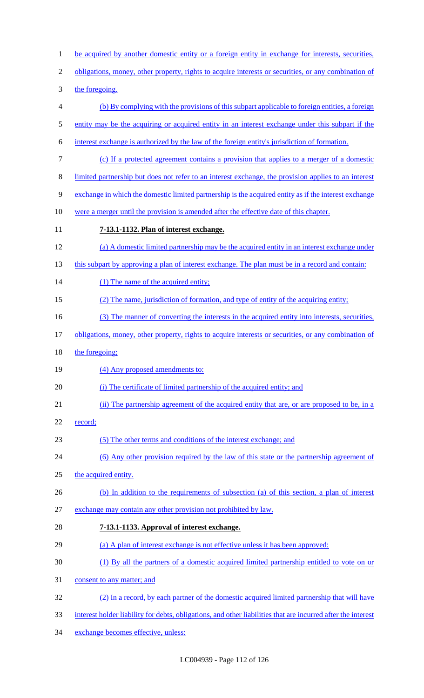| $\mathbf{1}$   | be acquired by another domestic entity or a foreign entity in exchange for interests, securities,            |
|----------------|--------------------------------------------------------------------------------------------------------------|
| $\sqrt{2}$     | obligations, money, other property, rights to acquire interests or securities, or any combination of         |
| 3              | the foregoing.                                                                                               |
| $\overline{4}$ | (b) By complying with the provisions of this subpart applicable to foreign entities, a foreign               |
| $\mathfrak{S}$ | entity may be the acquiring or acquired entity in an interest exchange under this subpart if the             |
| 6              | interest exchange is authorized by the law of the foreign entity's jurisdiction of formation.                |
| $\tau$         | (c) If a protected agreement contains a provision that applies to a merger of a domestic                     |
| $8\,$          | limited partnership but does not refer to an interest exchange, the provision applies to an interest         |
| 9              | exchange in which the domestic limited partnership is the acquired entity as if the interest exchange        |
| 10             | were a merger until the provision is amended after the effective date of this chapter.                       |
| 11             | 7-13.1-1132. Plan of interest exchange.                                                                      |
| 12             | (a) A domestic limited partnership may be the acquired entity in an interest exchange under                  |
| 13             | this subpart by approving a plan of interest exchange. The plan must be in a record and contain:             |
| 14             | (1) The name of the acquired entity;                                                                         |
| 15             | (2) The name, jurisdiction of formation, and type of entity of the acquiring entity;                         |
| 16             | (3) The manner of converting the interests in the acquired entity into interests, securities,                |
| 17             | obligations, money, other property, rights to acquire interests or securities, or any combination of         |
| 18             | the foregoing;                                                                                               |
| 19             | (4) Any proposed amendments to:                                                                              |
| 20             | (i) The certificate of limited partnership of the acquired entity; and                                       |
| 21             | (ii) The partnership agreement of the acquired entity that are, or are proposed to be, in a                  |
| 22             | record;                                                                                                      |
| 23             | (5) The other terms and conditions of the interest exchange; and                                             |
| 24             | (6) Any other provision required by the law of this state or the partnership agreement of                    |
| 25             | the acquired entity.                                                                                         |
| 26             | (b) In addition to the requirements of subsection (a) of this section, a plan of interest                    |
| 27             | exchange may contain any other provision not prohibited by law.                                              |
| 28             | 7-13.1-1133. Approval of interest exchange.                                                                  |
| 29             | (a) A plan of interest exchange is not effective unless it has been approved:                                |
| 30             | (1) By all the partners of a domestic acquired limited partnership entitled to vote on or                    |
| 31             | consent to any matter; and                                                                                   |
| 32             | (2) In a record, by each partner of the domestic acquired limited partnership that will have                 |
| 33             | interest holder liability for debts, obligations, and other liabilities that are incurred after the interest |
| 34             | exchange becomes effective, unless:                                                                          |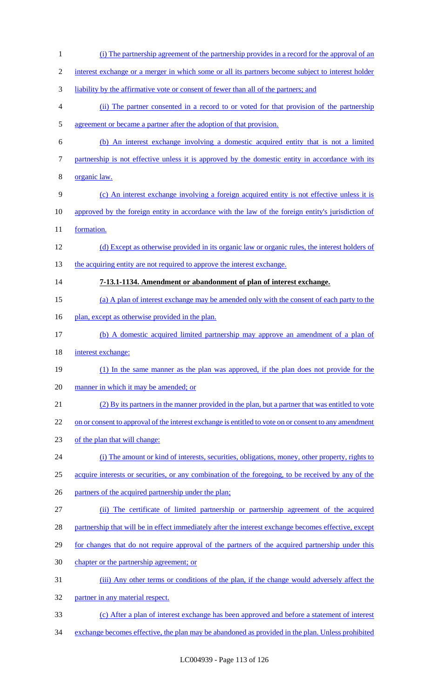(i) The partnership agreement of the partnership provides in a record for the approval of an 2 interest exchange or a merger in which some or all its partners become subject to interest holder liability by the affirmative vote or consent of fewer than all of the partners; and (ii) The partner consented in a record to or voted for that provision of the partnership agreement or became a partner after the adoption of that provision. (b) An interest exchange involving a domestic acquired entity that is not a limited partnership is not effective unless it is approved by the domestic entity in accordance with its organic law. (c) An interest exchange involving a foreign acquired entity is not effective unless it is approved by the foreign entity in accordance with the law of the foreign entity's jurisdiction of 11 formation. (d) Except as otherwise provided in its organic law or organic rules, the interest holders of 13 the acquiring entity are not required to approve the interest exchange. **7-13.1-1134. Amendment or abandonment of plan of interest exchange.** (a) A plan of interest exchange may be amended only with the consent of each party to the 16 plan, except as otherwise provided in the plan. (b) A domestic acquired limited partnership may approve an amendment of a plan of interest exchange: (1) In the same manner as the plan was approved, if the plan does not provide for the manner in which it may be amended; or (2) By its partners in the manner provided in the plan, but a partner that was entitled to vote 22 on or consent to approval of the interest exchange is entitled to vote on or consent to any amendment of the plan that will change: (i) The amount or kind of interests, securities, obligations, money, other property, rights to acquire interests or securities, or any combination of the foregoing, to be received by any of the 26 partners of the acquired partnership under the plan; (ii) The certificate of limited partnership or partnership agreement of the acquired 28 partnership that will be in effect immediately after the interest exchange becomes effective, except 29 for changes that do not require approval of the partners of the acquired partnership under this chapter or the partnership agreement; or (iii) Any other terms or conditions of the plan, if the change would adversely affect the partner in any material respect. (c) After a plan of interest exchange has been approved and before a statement of interest exchange becomes effective, the plan may be abandoned as provided in the plan. Unless prohibited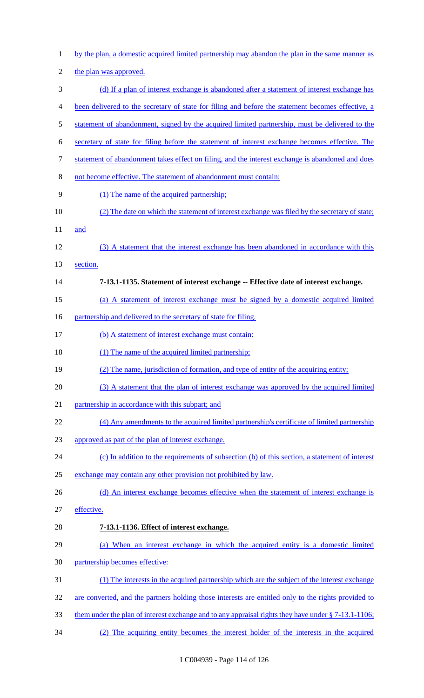| $\mathbf{1}$   | by the plan, a domestic acquired limited partnership may abandon the plan in the same manner as        |
|----------------|--------------------------------------------------------------------------------------------------------|
| $\overline{2}$ | the plan was approved.                                                                                 |
| 3              | (d) If a plan of interest exchange is abandoned after a statement of interest exchange has             |
| 4              | been delivered to the secretary of state for filing and before the statement becomes effective, a      |
| 5              | statement of abandonment, signed by the acquired limited partnership, must be delivered to the         |
| 6              | secretary of state for filing before the statement of interest exchange becomes effective. The         |
| 7              | statement of abandonment takes effect on filing, and the interest exchange is abandoned and does       |
| 8              | not become effective. The statement of abandonment must contain:                                       |
| 9              | (1) The name of the acquired partnership;                                                              |
| 10             | (2) The date on which the statement of interest exchange was filed by the secretary of state;          |
| 11             | and                                                                                                    |
| 12             | (3) A statement that the interest exchange has been abandoned in accordance with this                  |
| 13             | section.                                                                                               |
| 14             | 7-13.1-1135. Statement of interest exchange -- Effective date of interest exchange.                    |
| 15             | (a) A statement of interest exchange must be signed by a domestic acquired limited                     |
| 16             | partnership and delivered to the secretary of state for filing.                                        |
| 17             | (b) A statement of interest exchange must contain:                                                     |
| 18             | (1) The name of the acquired limited partnership;                                                      |
| 19             | (2) The name, jurisdiction of formation, and type of entity of the acquiring entity;                   |
| 20             | (3) A statement that the plan of interest exchange was approved by the acquired limited                |
| 21             | partnership in accordance with this subpart; and                                                       |
| 22             | (4) Any amendments to the acquired limited partnership's certificate of limited partnership            |
| 23             | approved as part of the plan of interest exchange.                                                     |
| 24             | (c) In addition to the requirements of subsection (b) of this section, a statement of interest         |
| 25             | exchange may contain any other provision not prohibited by law.                                        |
| 26             | (d) An interest exchange becomes effective when the statement of interest exchange is                  |
| 27             | effective.                                                                                             |
| 28             | 7-13.1-1136. Effect of interest exchange.                                                              |
| 29             | (a) When an interest exchange in which the acquired entity is a domestic limited                       |
| 30             | partnership becomes effective:                                                                         |
| 31             | (1) The interests in the acquired partnership which are the subject of the interest exchange           |
| 32             | are converted, and the partners holding those interests are entitled only to the rights provided to    |
| 33             | them under the plan of interest exchange and to any appraisal rights they have under $\S$ 7-13.1-1106; |
| 34             | (2) The acquiring entity becomes the interest holder of the interests in the acquired                  |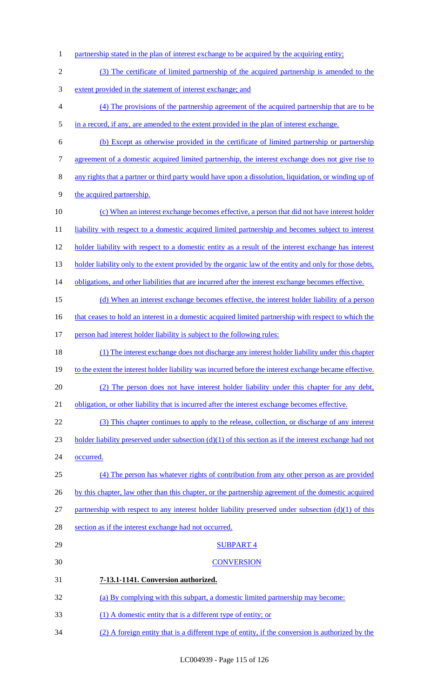1 partnership stated in the plan of interest exchange to be acquired by the acquiring entity; 2 (3) The certificate of limited partnership of the acquired partnership is amended to the 3 extent provided in the statement of interest exchange; and 4 (4) The provisions of the partnership agreement of the acquired partnership that are to be 5 in a record, if any, are amended to the extent provided in the plan of interest exchange. 6 (b) Except as otherwise provided in the certificate of limited partnership or partnership 7 agreement of a domestic acquired limited partnership, the interest exchange does not give rise to 8 any rights that a partner or third party would have upon a dissolution, liquidation, or winding up of 9 the acquired partnership. 10 (c) When an interest exchange becomes effective, a person that did not have interest holder 11 liability with respect to a domestic acquired limited partnership and becomes subject to interest 12 holder liability with respect to a domestic entity as a result of the interest exchange has interest 13 holder liability only to the extent provided by the organic law of the entity and only for those debts, 14 obligations, and other liabilities that are incurred after the interest exchange becomes effective. 15 (d) When an interest exchange becomes effective, the interest holder liability of a person 16 that ceases to hold an interest in a domestic acquired limited partnership with respect to which the 17 person had interest holder liability is subject to the following rules: 18 (1) The interest exchange does not discharge any interest holder liability under this chapter 19 to the extent the interest holder liability was incurred before the interest exchange became effective. 20 (2) The person does not have interest holder liability under this chapter for any debt, 21 obligation, or other liability that is incurred after the interest exchange becomes effective. 22 (3) This chapter continues to apply to the release, collection, or discharge of any interest 23 holder liability preserved under subsection  $(d)(1)$  of this section as if the interest exchange had not 24 occurred. 25 (4) The person has whatever rights of contribution from any other person as are provided 26 by this chapter, law other than this chapter, or the partnership agreement of the domestic acquired 27 partnership with respect to any interest holder liability preserved under subsection (d)(1) of this 28 section as if the interest exchange had not occurred. 29 SUBPART 4 30 CONVERSION 31 **7-13.1-1141. Conversion authorized.** 32 (a) By complying with this subpart, a domestic limited partnership may become: 33 (1) A domestic entity that is a different type of entity; or 34 (2) A foreign entity that is a different type of entity, if the conversion is authorized by the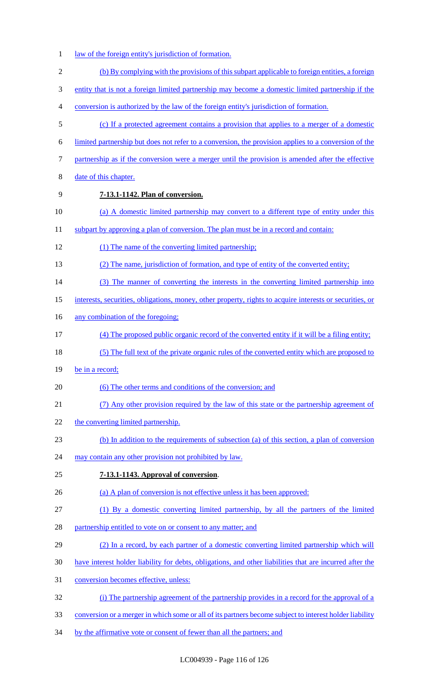(b) By complying with the provisions of this subpart applicable to foreign entities, a foreign entity that is not a foreign limited partnership may become a domestic limited partnership if the conversion is authorized by the law of the foreign entity's jurisdiction of formation. (c) If a protected agreement contains a provision that applies to a merger of a domestic limited partnership but does not refer to a conversion, the provision applies to a conversion of the partnership as if the conversion were a merger until the provision is amended after the effective date of this chapter. **7-13.1-1142. Plan of conversion.** (a) A domestic limited partnership may convert to a different type of entity under this 11 subpart by approving a plan of conversion. The plan must be in a record and contain: (1) The name of the converting limited partnership; 13 (2) The name, jurisdiction of formation, and type of entity of the converted entity; 14 (3) The manner of converting the interests in the converting limited partnership into interests, securities, obligations, money, other property, rights to acquire interests or securities, or 16 any combination of the foregoing: (4) The proposed public organic record of the converted entity if it will be a filing entity; (5) The full text of the private organic rules of the converted entity which are proposed to 19 be in a record; 20 (6) The other terms and conditions of the conversion; and (7) Any other provision required by the law of this state or the partnership agreement of 22 the converting limited partnership. (b) In addition to the requirements of subsection (a) of this section, a plan of conversion 24 may contain any other provision not prohibited by law. **7-13.1-1143. Approval of conversion**. 26 (a) A plan of conversion is not effective unless it has been approved: (1) By a domestic converting limited partnership, by all the partners of the limited 28 partnership entitled to vote on or consent to any matter; and (2) In a record, by each partner of a domestic converting limited partnership which will have interest holder liability for debts, obligations, and other liabilities that are incurred after the conversion becomes effective, unless:

1 law of the foreign entity's jurisdiction of formation.

- (i) The partnership agreement of the partnership provides in a record for the approval of a
- conversion or a merger in which some or all of its partners become subject to interest holder liability
- 34 by the affirmative vote or consent of fewer than all the partners; and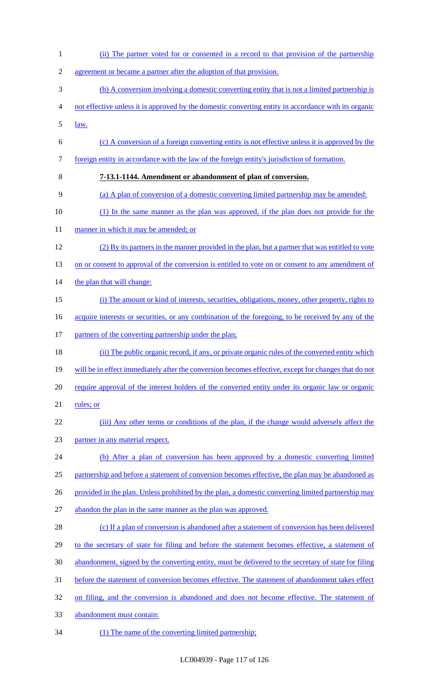- 1 (ii) The partner voted for or consented in a record to that provision of the partnership 2 agreement or became a partner after the adoption of that provision. 3 (b) A conversion involving a domestic converting entity that is not a limited partnership is 4 not effective unless it is approved by the domestic converting entity in accordance with its organic 5 law. 6 (c) A conversion of a foreign converting entity is not effective unless it is approved by the 7 foreign entity in accordance with the law of the foreign entity's jurisdiction of formation. 8 **7-13.1-1144. Amendment or abandonment of plan of conversion.** 9 (a) A plan of conversion of a domestic converting limited partnership may be amended: 10 (1) In the same manner as the plan was approved, if the plan does not provide for the 11 manner in which it may be amended; or 12 (2) By its partners in the manner provided in the plan, but a partner that was entitled to vote 13 on or consent to approval of the conversion is entitled to vote on or consent to any amendment of 14 the plan that will change: 15 (i) The amount or kind of interests, securities, obligations, money, other property, rights to 16 acquire interests or securities, or any combination of the foregoing, to be received by any of the 17 partners of the converting partnership under the plan; 18 (ii) The public organic record, if any, or private organic rules of the converted entity which 19 will be in effect immediately after the conversion becomes effective, except for changes that do not 20 require approval of the interest holders of the converted entity under its organic law or organic 21 rules; or 22 (iii) Any other terms or conditions of the plan, if the change would adversely affect the 23 partner in any material respect. 24 (b) After a plan of conversion has been approved by a domestic converting limited 25 partnership and before a statement of conversion becomes effective, the plan may be abandoned as 26 provided in the plan. Unless prohibited by the plan, a domestic converting limited partnership may 27 abandon the plan in the same manner as the plan was approved. 28 (c) If a plan of conversion is abandoned after a statement of conversion has been delivered 29 to the secretary of state for filing and before the statement becomes effective, a statement of 30 abandonment, signed by the converting entity, must be delivered to the secretary of state for filing 31 before the statement of conversion becomes effective. The statement of abandonment takes effect 32 on filing, and the conversion is abandoned and does not become effective. The statement of 33 abandonment must contain:
- 34 (1) The name of the converting limited partnership;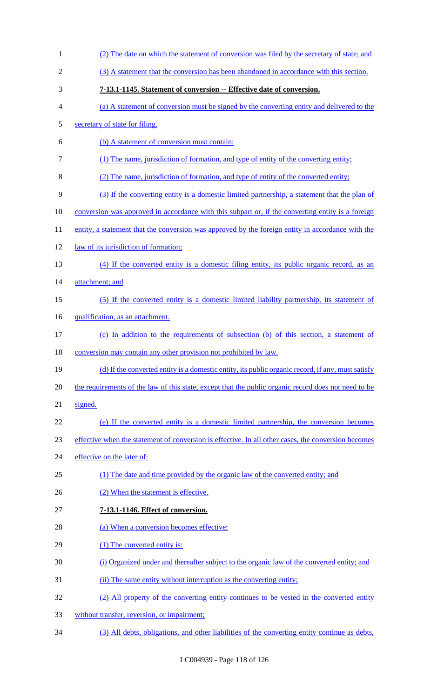| $\mathbf{1}$   | (2) The date on which the statement of conversion was filed by the secretary of state; and           |
|----------------|------------------------------------------------------------------------------------------------------|
| $\mathfrak{2}$ | (3) A statement that the conversion has been abandoned in accordance with this section.              |
| 3              | 7-13.1-1145. Statement of conversion -- Effective date of conversion.                                |
| 4              | (a) A statement of conversion must be signed by the converting entity and delivered to the           |
| 5              | secretary of state for filing.                                                                       |
| 6              | (b) A statement of conversion must contain:                                                          |
| 7              | (1) The name, jurisdiction of formation, and type of entity of the converting entity;                |
| 8              | (2) The name, jurisdiction of formation, and type of entity of the converted entity;                 |
| 9              | (3) If the converting entity is a domestic limited partnership, a statement that the plan of         |
| 10             | conversion was approved in accordance with this subpart or, if the converting entity is a foreign    |
| 11             | entity, a statement that the conversion was approved by the foreign entity in accordance with the    |
| 12             | law of its jurisdiction of formation;                                                                |
| 13             | (4) If the converted entity is a domestic filing entity, its public organic record, as an            |
| 14             | attachment; and                                                                                      |
| 15             | (5) If the converted entity is a domestic limited liability partnership, its statement of            |
| 16             | qualification, as an attachment.                                                                     |
| 17             | (c) In addition to the requirements of subsection (b) of this section, a statement of                |
| 18             | conversion may contain any other provision not prohibited by law.                                    |
| 19             | (d) If the converted entity is a domestic entity, its public organic record, if any, must satisfy    |
| 20             | the requirements of the law of this state, except that the public organic record does not need to be |
| 21             | signed.                                                                                              |
| 22             | (e) If the converted entity is a domestic limited partnership, the conversion becomes                |
| 23             | effective when the statement of conversion is effective. In all other cases, the conversion becomes  |
| 24             | effective on the later of:                                                                           |
| 25             | (1) The date and time provided by the organic law of the converted entity; and                       |
| 26             | (2) When the statement is effective.                                                                 |
| 27             | 7-13.1-1146. Effect of conversion.                                                                   |
| 28             | (a) When a conversion becomes effective:                                                             |
| 29             | (1) The converted entity is:                                                                         |
| 30             | (i) Organized under and thereafter subject to the organic law of the converted entity; and           |
| 31             | (ii) The same entity without interruption as the converting entity;                                  |
| 32             | (2) All property of the converting entity continues to be vested in the converted entity             |
| 33             | without transfer, reversion, or impairment;                                                          |
| 34             | (3) All debts, obligations, and other liabilities of the converting entity continue as debts,        |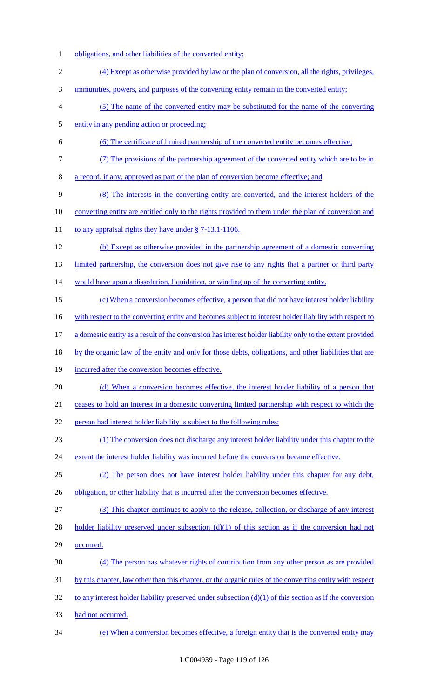obligations, and other liabilities of the converted entity; (4) Except as otherwise provided by law or the plan of conversion, all the rights, privileges, immunities, powers, and purposes of the converting entity remain in the converted entity; (5) The name of the converted entity may be substituted for the name of the converting entity in any pending action or proceeding; (6) The certificate of limited partnership of the converted entity becomes effective; (7) The provisions of the partnership agreement of the converted entity which are to be in a record, if any, approved as part of the plan of conversion become effective; and (8) The interests in the converting entity are converted, and the interest holders of the converting entity are entitled only to the rights provided to them under the plan of conversion and 11 to any appraisal rights they have under § 7-13.1-1106. (b) Except as otherwise provided in the partnership agreement of a domestic converting 13 limited partnership, the conversion does not give rise to any rights that a partner or third party 14 would have upon a dissolution, liquidation, or winding up of the converting entity. (c) When a conversion becomes effective, a person that did not have interest holder liability 16 with respect to the converting entity and becomes subject to interest holder liability with respect to a domestic entity as a result of the conversion has interest holder liability only to the extent provided 18 by the organic law of the entity and only for those debts, obligations, and other liabilities that are incurred after the conversion becomes effective. (d) When a conversion becomes effective, the interest holder liability of a person that ceases to hold an interest in a domestic converting limited partnership with respect to which the person had interest holder liability is subject to the following rules: (1) The conversion does not discharge any interest holder liability under this chapter to the 24 extent the interest holder liability was incurred before the conversion became effective. (2) The person does not have interest holder liability under this chapter for any debt, 26 obligation, or other liability that is incurred after the conversion becomes effective. (3) This chapter continues to apply to the release, collection, or discharge of any interest 28 holder liability preserved under subsection  $(d)(1)$  of this section as if the conversion had not occurred. (4) The person has whatever rights of contribution from any other person as are provided 31 by this chapter, law other than this chapter, or the organic rules of the converting entity with respect to any interest holder liability preserved under subsection (d)(1) of this section as if the conversion had not occurred. (e) When a conversion becomes effective, a foreign entity that is the converted entity may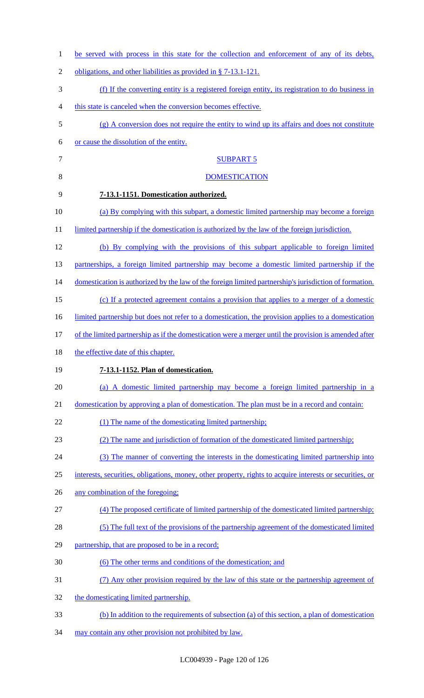| $\mathbf{1}$   | be served with process in this state for the collection and enforcement of any of its debts,             |
|----------------|----------------------------------------------------------------------------------------------------------|
| $\overline{c}$ | obligations, and other liabilities as provided in $\S$ 7-13.1-121.                                       |
| 3              | (f) If the converting entity is a registered foreign entity, its registration to do business in          |
| 4              | this state is canceled when the conversion becomes effective.                                            |
| 5              | $(g)$ A conversion does not require the entity to wind up its affairs and does not constitute            |
| 6              | or cause the dissolution of the entity.                                                                  |
| 7              | <b>SUBPART 5</b>                                                                                         |
| $8\,$          | <b>DOMESTICATION</b>                                                                                     |
| 9              | 7-13.1-1151. Domestication authorized.                                                                   |
| 10             | (a) By complying with this subpart, a domestic limited partnership may become a foreign                  |
| 11             | limited partnership if the domestication is authorized by the law of the foreign jurisdiction.           |
| 12             | (b) By complying with the provisions of this subpart applicable to foreign limited                       |
| 13             | partnerships, a foreign limited partnership may become a domestic limited partnership if the             |
| 14             | domestication is authorized by the law of the foreign limited partnership's jurisdiction of formation.   |
| 15             | (c) If a protected agreement contains a provision that applies to a merger of a domestic                 |
| 16             | limited partnership but does not refer to a domestication, the provision applies to a domestication      |
| 17             | of the limited partnership as if the domestication were a merger until the provision is amended after    |
| 18             | the effective date of this chapter.                                                                      |
| 19             | 7-13.1-1152. Plan of domestication.                                                                      |
| 20             | (a) A domestic limited partnership may become a foreign limited partnership in a                         |
| 21             | domestication by approving a plan of domestication. The plan must be in a record and contain:            |
| 22             | (1) The name of the domesticating limited partnership;                                                   |
| 23             | (2) The name and jurisdiction of formation of the domesticated limited partnership;                      |
| 24             | (3) The manner of converting the interests in the domesticating limited partnership into                 |
| 25             | interests, securities, obligations, money, other property, rights to acquire interests or securities, or |
| 26             | any combination of the foregoing;                                                                        |
| 27             | (4) The proposed certificate of limited partnership of the domesticated limited partnership;             |
| 28             | (5) The full text of the provisions of the partnership agreement of the domesticated limited             |
| 29             | partnership, that are proposed to be in a record;                                                        |
| 30             | (6) The other terms and conditions of the domestication; and                                             |
| 31             | (7) Any other provision required by the law of this state or the partnership agreement of                |
| 32             | the domesticating limited partnership.                                                                   |
| 33             | (b) In addition to the requirements of subsection (a) of this section, a plan of domestication           |
| 34             | may contain any other provision not prohibited by law.                                                   |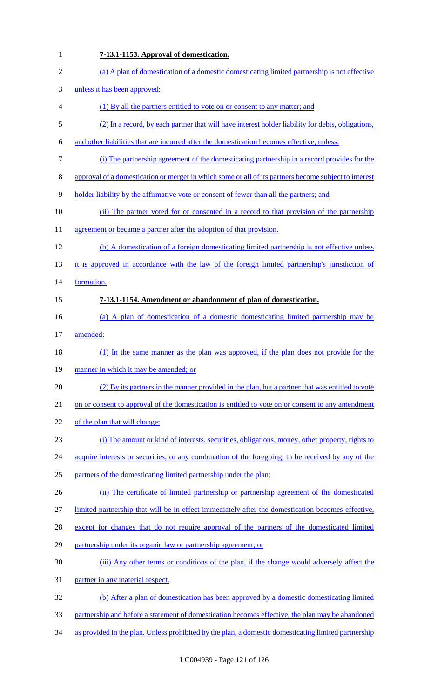| 1              | 7-13.1-1153. Approval of domestication.                                                               |
|----------------|-------------------------------------------------------------------------------------------------------|
| $\mathbf{2}$   | (a) A plan of domestication of a domestic domesticating limited partnership is not effective          |
| 3              | unless it has been approved:                                                                          |
| $\overline{4}$ | (1) By all the partners entitled to vote on or consent to any matter; and                             |
| 5              | (2) In a record, by each partner that will have interest holder liability for debts, obligations,     |
| 6              | and other liabilities that are incurred after the domestication becomes effective, unless:            |
| $\tau$         | (i) The partnership agreement of the domesticating partnership in a record provides for the           |
| 8              | approval of a domestication or merger in which some or all of its partners become subject to interest |
| 9              | holder liability by the affirmative vote or consent of fewer than all the partners; and               |
| 10             | (ii) The partner voted for or consented in a record to that provision of the partnership              |
| 11             | agreement or became a partner after the adoption of that provision.                                   |
| 12             | (b) A domestication of a foreign domesticating limited partnership is not effective unless            |
| 13             | it is approved in accordance with the law of the foreign limited partnership's jurisdiction of        |
| 14             | formation.                                                                                            |
| 15             | 7-13.1-1154. Amendment or abandonment of plan of domestication.                                       |
| 16             | (a) A plan of domestication of a domestic domesticating limited partnership may be                    |
| 17             | amended:                                                                                              |
| 18             | (1) In the same manner as the plan was approved, if the plan does not provide for the                 |
| 19             | manner in which it may be amended; or                                                                 |
| 20             | (2) By its partners in the manner provided in the plan, but a partner that was entitled to vote       |
| 21             | on or consent to approval of the domestication is entitled to vote on or consent to any amendment     |
| 22             | of the plan that will change:                                                                         |
| 23             | (i) The amount or kind of interests, securities, obligations, money, other property, rights to        |
| 24             | acquire interests or securities, or any combination of the foregoing, to be received by any of the    |
| 25             | partners of the domesticating limited partnership under the plan;                                     |
| 26             | (ii) The certificate of limited partnership or partnership agreement of the domesticated              |
| 27             | limited partnership that will be in effect immediately after the domestication becomes effective,     |
| 28             | except for changes that do not require approval of the partners of the domesticated limited           |
| 29             | partnership under its organic law or partnership agreement; or                                        |
| 30             | (iii) Any other terms or conditions of the plan, if the change would adversely affect the             |
| 31             | partner in any material respect.                                                                      |
| 32             | (b) After a plan of domestication has been approved by a domestic domesticating limited               |
| 33             | partnership and before a statement of domestication becomes effective, the plan may be abandoned      |
| 34             | as provided in the plan. Unless prohibited by the plan, a domestic domesticating limited partnership  |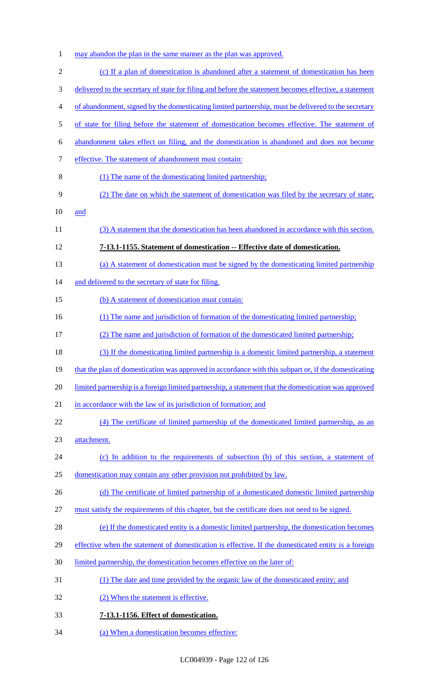1 may abandon the plan in the same manner as the plan was approved. 2 (c) If a plan of domestication is abandoned after a statement of domestication has been delivered to the secretary of state for filing and before the statement becomes effective, a statement of abandonment, signed by the domesticating limited partnership, must be delivered to the secretary of state for filing before the statement of domestication becomes effective. The statement of abandonment takes effect on filing, and the domestication is abandoned and does not become effective. The statement of abandonment must contain: (1) The name of the domesticating limited partnership; (2) The date on which the statement of domestication was filed by the secretary of state; and 11 (3) A statement that the domestication has been abandoned in accordance with this section. **7-13.1-1155. Statement of domestication -- Effective date of domestication.** (a) A statement of domestication must be signed by the domesticating limited partnership 14 and delivered to the secretary of state for filing. (b) A statement of domestication must contain: 16 (1) The name and jurisdiction of formation of the domesticating limited partnership; (2) The name and jurisdiction of formation of the domesticated limited partnership; (3) If the domesticating limited partnership is a domestic limited partnership, a statement 19 that the plan of domestication was approved in accordance with this subpart or, if the domesticating 20 limited partnership is a foreign limited partnership, a statement that the domestication was approved 21 in accordance with the law of its jurisdiction of formation; and (4) The certificate of limited partnership of the domesticated limited partnership, as an attachment. (c) In addition to the requirements of subsection (b) of this section, a statement of domestication may contain any other provision not prohibited by law. 26 (d) The certificate of limited partnership of a domesticated domestic limited partnership must satisfy the requirements of this chapter, but the certificate does not need to be signed. (e) If the domesticated entity is a domestic limited partnership, the domestication becomes effective when the statement of domestication is effective. If the domesticated entity is a foreign limited partnership, the domestication becomes effective on the later of: (1) The date and time provided by the organic law of the domesticated entity; and 32 (2) When the statement is effective. **7-13.1-1156. Effect of domestication.** (a) When a domestication becomes effective: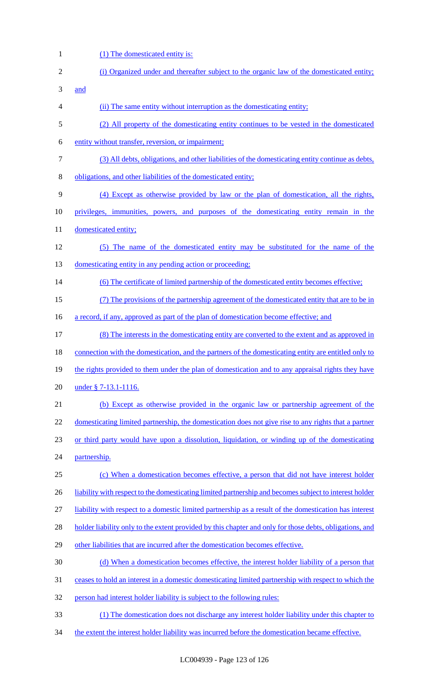(1) The domesticated entity is: (i) Organized under and thereafter subject to the organic law of the domesticated entity; and (ii) The same entity without interruption as the domesticating entity; (2) All property of the domesticating entity continues to be vested in the domesticated entity without transfer, reversion, or impairment; (3) All debts, obligations, and other liabilities of the domesticating entity continue as debts, obligations, and other liabilities of the domesticated entity; (4) Except as otherwise provided by law or the plan of domestication, all the rights, privileges, immunities, powers, and purposes of the domesticating entity remain in the 11 domesticated entity; (5) The name of the domesticated entity may be substituted for the name of the 13 domesticating entity in any pending action or proceeding; 14 (6) The certificate of limited partnership of the domesticated entity becomes effective; (7) The provisions of the partnership agreement of the domesticated entity that are to be in 16 a record, if any, approved as part of the plan of domestication become effective; and (8) The interests in the domesticating entity are converted to the extent and as approved in 18 connection with the domestication, and the partners of the domesticating entity are entitled only to 19 the rights provided to them under the plan of domestication and to any appraisal rights they have under § 7-13.1-1116. (b) Except as otherwise provided in the organic law or partnership agreement of the 22 domesticating limited partnership, the domestication does not give rise to any rights that a partner or third party would have upon a dissolution, liquidation, or winding up of the domesticating partnership. (c) When a domestication becomes effective, a person that did not have interest holder 26 liability with respect to the domesticating limited partnership and becomes subject to interest holder liability with respect to a domestic limited partnership as a result of the domestication has interest 28 holder liability only to the extent provided by this chapter and only for those debts, obligations, and 29 other liabilities that are incurred after the domestication becomes effective. (d) When a domestication becomes effective, the interest holder liability of a person that ceases to hold an interest in a domestic domesticating limited partnership with respect to which the person had interest holder liability is subject to the following rules: (1) The domestication does not discharge any interest holder liability under this chapter to 34 the extent the interest holder liability was incurred before the domestication became effective.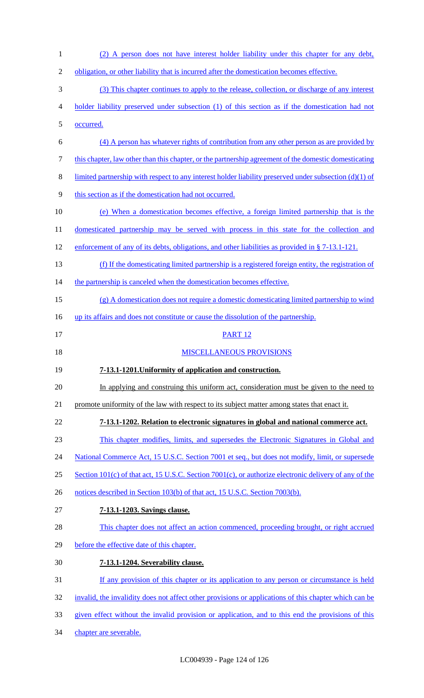| $\mathbf{1}$   | (2) A person does not have interest holder liability under this chapter for any debt,                      |
|----------------|------------------------------------------------------------------------------------------------------------|
| $\overline{2}$ | obligation, or other liability that is incurred after the domestication becomes effective.                 |
| 3              | (3) This chapter continues to apply to the release, collection, or discharge of any interest               |
| 4              | holder liability preserved under subsection (1) of this section as if the domestication had not            |
| 5              | occurred.                                                                                                  |
| 6              | (4) A person has whatever rights of contribution from any other person as are provided by                  |
| 7              | this chapter, law other than this chapter, or the partnership agreement of the domestic domesticating      |
| $8\,$          | limited partnership with respect to any interest holder liability preserved under subsection $(d)(1)$ of   |
| 9              | this section as if the domestication had not occurred.                                                     |
| 10             | (e) When a domestication becomes effective, a foreign limited partnership that is the                      |
| 11             | domesticated partnership may be served with process in this state for the collection and                   |
| 12             | enforcement of any of its debts, obligations, and other liabilities as provided in $\S$ 7-13.1-121.        |
| 13             | (f) If the domesticating limited partnership is a registered foreign entity, the registration of           |
| 14             | the partnership is canceled when the domestication becomes effective.                                      |
| 15             | (g) A domestication does not require a domestic domesticating limited partnership to wind                  |
| 16             | up its affairs and does not constitute or cause the dissolution of the partnership.                        |
| 17             | <b>PART 12</b>                                                                                             |
|                |                                                                                                            |
| 18             | <b>MISCELLANEOUS PROVISIONS</b>                                                                            |
| 19             | 7-13.1-1201. Uniformity of application and construction.                                                   |
| 20             | In applying and construing this uniform act, consideration must be given to the need to                    |
| 21             | promote uniformity of the law with respect to its subject matter among states that enact it.               |
| 22             | 7-13.1-1202. Relation to electronic signatures in global and national commerce act.                        |
| 23             | This chapter modifies, limits, and supersedes the Electronic Signatures in Global and                      |
| 24             | National Commerce Act, 15 U.S.C. Section 7001 et seq., but does not modify, limit, or supersede            |
| 25             | Section $101(c)$ of that act, 15 U.S.C. Section $7001(c)$ , or authorize electronic delivery of any of the |
| 26             | notices described in Section 103(b) of that act, 15 U.S.C. Section 7003(b).                                |
| 27             | 7-13.1-1203. Savings clause.                                                                               |
| 28             | This chapter does not affect an action commenced, proceeding brought, or right accrued                     |
| 29             | before the effective date of this chapter.                                                                 |
| 30             | 7-13.1-1204. Severability clause.                                                                          |
| 31             | If any provision of this chapter or its application to any person or circumstance is held                  |
| 32             | invalid, the invalidity does not affect other provisions or applications of this chapter which can be      |
| 33             | given effect without the invalid provision or application, and to this end the provisions of this          |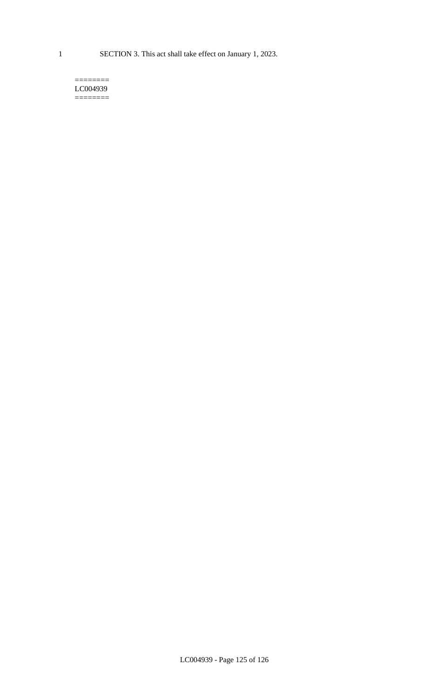1 SECTION 3. This act shall take effect on January 1, 2023.

#### $=$ LC004939  $=$

LC004939 - Page 125 of 126